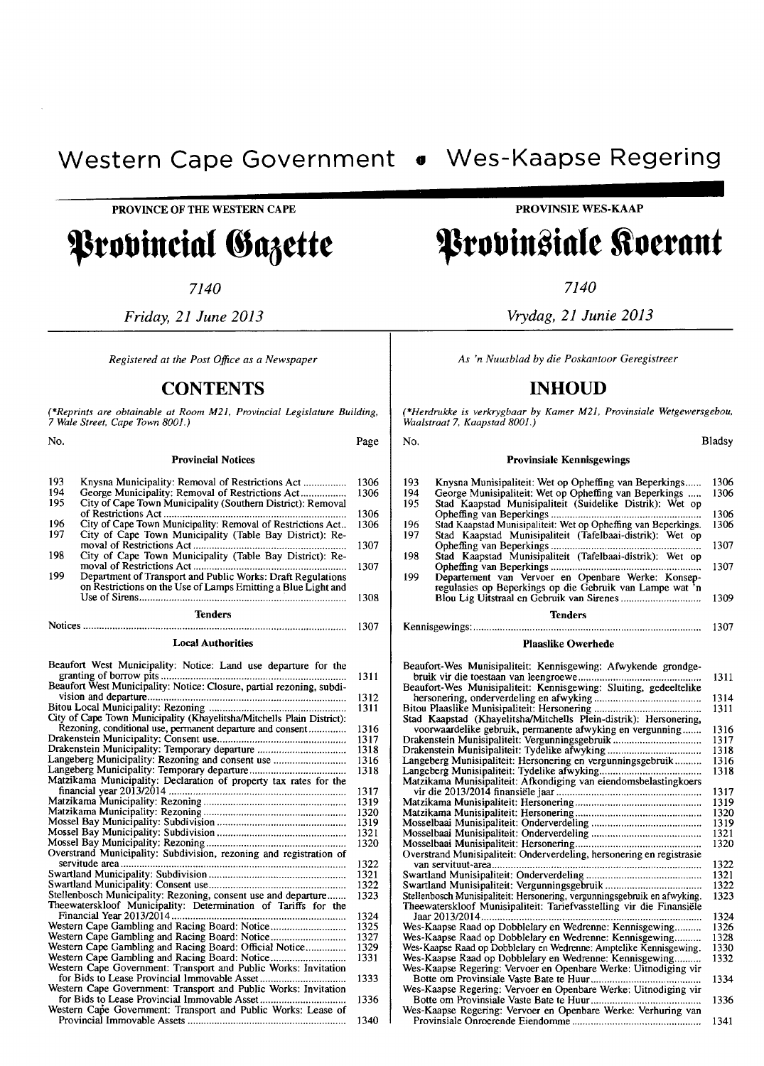PROVINCE OF THE WESTERN CAPE

Provincial Gazette

*7140* 

*Friday,* 21 *June 2013* 

*Registered at the Post Office as a Newspaper* 

# **CONTENTS**

(\*Reprints are obtainable at Room M21, Provincial Legislature Building, *7 Wale Street, Cape Town 800/.)* 

No.

#### Provincial Notices

| 193 |                                                               | 1306 |
|-----|---------------------------------------------------------------|------|
| 194 | George Municipality: Removal of Restrictions Act              | 1306 |
| 195 | City of Cape Town Municipality (Southern District): Removal   |      |
|     |                                                               | 1306 |
| 196 | City of Cape Town Municipality: Removal of Restrictions Act   | 1306 |
| 197 | City of Cape Town Municipality (Table Bay District): Re-      |      |
|     |                                                               | 1307 |
| 198 | City of Cape Town Municipality (Table Bay District): Re-      |      |
|     |                                                               | 1307 |
| 199 | Department of Transport and Public Works: Draft Regulations   |      |
|     | on Restrictions on the Use of Lamps Emitting a Blue Light and |      |
|     |                                                               | 1308 |
|     | <b>Tenders</b>                                                |      |
|     | Notices                                                       | 1307 |

#### Local Authorities

| Beaufort West Municipality: Notice: Land use departure for the<br>granting of borrow pits | 1311 |
|-------------------------------------------------------------------------------------------|------|
| Beaufort West Municipality: Notice: Closure, partial rezoning, subdi-                     |      |
|                                                                                           | 1312 |
|                                                                                           | 1311 |
| City of Cape Town Municipality (Khayelitsha/Mitchells Plain District):                    |      |
| Rezoning, conditional use, permanent departure and consent                                | 1316 |
|                                                                                           | 1317 |
| Drakenstein Municipality: Temporary departure                                             | 1318 |
| Langeberg Municipality: Rezoning and consent use                                          | 1316 |
|                                                                                           | 1318 |
| Matzikama Municipality: Declaration of property tax rates for the                         |      |
|                                                                                           | 1317 |
|                                                                                           | 1319 |
|                                                                                           | 1320 |
|                                                                                           | 1319 |
|                                                                                           | 1321 |
|                                                                                           | 1320 |
| Overstrand Municipality: Subdivision, rezoning and registration of                        |      |
| servitude area.                                                                           | 1322 |
|                                                                                           | 1321 |
|                                                                                           | 1322 |
| Stellenbosch Municipality: Rezoning, consent use and departure                            | 1323 |
| Theewaterskloof Municipality: Determination of Tariffs for the                            |      |
| Financial Year 2013/2014                                                                  | 1324 |
| Western Cape Gambling and Racing Board: Notice                                            | 1325 |
| Western Cape Gambling and Racing Board: Notice                                            | 1327 |
| Western Cape Gambling and Racing Board: Official Notice                                   | 1329 |
|                                                                                           | 1331 |
| Western Cape Government: Transport and Public Works: Invitation                           |      |
|                                                                                           | 1333 |
| Western Cape Government: Transport and Public Works: Invitation                           |      |
|                                                                                           | 1336 |
| Western Cape Government: Transport and Public Works: Lease of                             |      |
|                                                                                           | 1340 |

**PROVINSIE** WES-KAAP

*7140* 

*Vrydag,* 21 *Junie 2013* 

*As 'n Nuusblad by die Poskantoor Geregistreer* 

# **INHOUD**

\*Herdrukke is verkrygbaar by Kamer M21, Provinsiale Wetgewersgebou, *Waalstraat* 7, *Kaapstad 8001.)* 

No. Bladsy

Page

#### 193 194 195 196 197 198 199 Provinsiale Kennisgewings Knysna Munisipaliteit: Wet op Opheffing van Beperkings ..... . George Munisipaliteit: Wet op Opheffing van Beperkings ... .. Stad Kaapstad Munisipaliteit (Suidelike Distrik): Wet op Opheffing van Beperkings ..................................................... . Stad Kaapstad Munisipaiiteit: Wet op Opheffing van Beperkings. Stad Kaapstad Munisipaliteit (Tafelbaai-distrik): Wet op Opheffing van Beperkings ...................................................... . Stad Kaapstad Munisipaliteit (Tafelbaai-distrik): Wet op Opheffing van Beperkings ............... . ............................. . Departement van Vervoer en Openbare Werke: Konsep-regulasies op Beperkings op die Gebruik van Lampe wat 'n Blou Lig Uitstraal en Gebruik van Sirenes ............................. . Tenders Kennisgewings: .................................................................................... . 1306 1306 1306 1306 1307 1307 1309 1307

### Plaaslike Owerhede

| Beaufort-Wes Munisipaliteit: Kennisgewing: Afwykende grondge-             |      |
|---------------------------------------------------------------------------|------|
|                                                                           | 1311 |
| Beaufort-Wes Munisipaliteit: Kennisgewing: Sluiting, gedeeltelike         |      |
|                                                                           | 1314 |
|                                                                           | 1311 |
| Stad Kaapstad (Khayelitsha/Mitchells Plein-distrik): Hersonering,         |      |
| voorwaardelike gebruik, permanente afwyking en vergunning                 | 1316 |
| Drakenstein Munisipaliteit: Vergunningsgebruik                            | 1317 |
| Drakenstein Munisipaliteit: Tydelike afwyking                             | 1318 |
| Langeberg Munisipaliteit: Hersonering en vergunningsgebruik               | 1316 |
|                                                                           | 1318 |
| Matzikama Munisipaliteit: Afkondiging van eiendomsbelastingkoers          |      |
|                                                                           | 1317 |
|                                                                           | 1319 |
|                                                                           | 1320 |
|                                                                           | 1319 |
|                                                                           | 1321 |
|                                                                           | 1320 |
| Overstrand Munisipaliteit: Onderverdeling, hersonering en registrasie     |      |
| van servituut-area                                                        | 1322 |
|                                                                           | 1321 |
|                                                                           | 1322 |
| Stellenbosch Munisipaliteit: Hersonering, vergunningsgebruik en afwyking. | 1323 |
| Theewaterskloof Munisipaliteit: Tariefvasstelling vir die Finansiële      |      |
| Jaar 2013/2014.                                                           | 1324 |
| Wes-Kaapse Raad op Dobblelary en Wedrenne: Kennisgewing                   | 1326 |
| Wes-Kaapse Raad op Dobblelary en Wedrenne: Kennisgewing                   | 1328 |
| Wes-Kaapse Raad op Dobblelary en Wedrenne: Amptelike Kennisgewing.        | 1330 |
| Wes-Kaapse Raad op Dobblelary en Wedrenne: Kennisgewing                   | 1332 |
| Wes-Kaapse Regering: Vervoer en Openbare Werke: Uitnodiging vir           |      |
|                                                                           | 1334 |
| Wes-Kaapse Regering: Vervoer en Openbare Werke: Uitnodiging vir           |      |
|                                                                           | 1336 |
| Wes-Kaapse Regering: Vervoer en Openbare Werke: Verhuring van             |      |
|                                                                           | 1341 |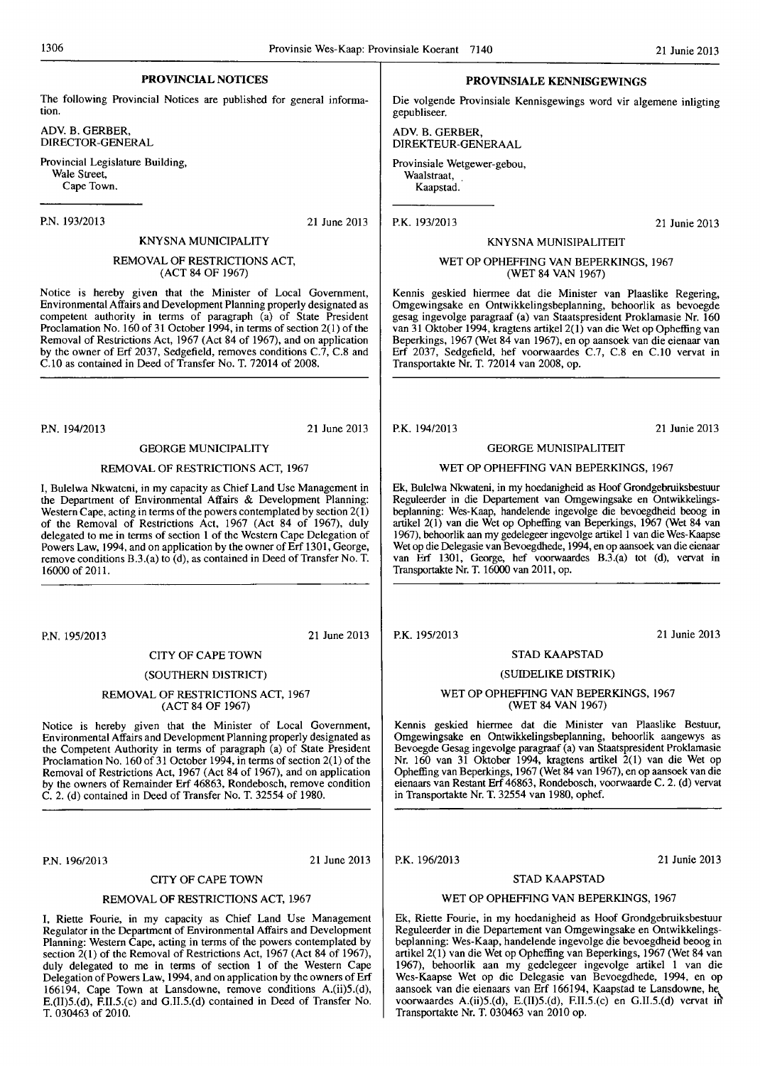# PROVINCIAL NOTICES

The following Provincial Notices are published for general information.

ADY. B. GERBER, DIRECTOR-GENERAL

Provincial Legislature Building, Wale Street, Cape Town.

P.N. 193/2013

21 June 2013

# KNYSNA MUNICIPALITY REMOVAL OF RESTRICTIONS ACT,

(ACT 84 OF 1967)

Notice is hereby given that the Minister of Local Government, Environmental Affairs and Development Planning properly designated as competent authority in terms of paragraph (a) of State President Proclamation No. 160 of 31 October 1994, in terms of section 2(1) of the Removal of Restrictions Act, 1967 (Act 84 of 1967), and on application by the owner of Erf 2037, Sedgefield, removes conditions  $C.\overline{7}$ ,  $C.\overline{8}$  and C.I0 as contained in Deed of Transfer No. T. 72014 of 2008.

P.N. 194/2013 21 June 2013

# GEORGE MUNICIPALITY

#### REMOVAL OF RESTRICTIONS ACT, 1967

I, Bulelwa Nkwateni, in my capacity as Chief Land Usc Management in the Department of Environmental Affairs & Development Planning: Western Cape, acting in terms of the powers contemplated by section  $2(1)$ of the Removal of Restrictions Act, 1967 (Act 84 of 1967), duly delegated to me in terms of section 1 of the Western Cape Delegation of Powers Law, 1994, and on application by the owner of Erf 1301, George, remove conditions B.3.(a) to (d), as contained in Deed of Transfer No. T. 16000 of 2011.

P.N.195/2013 21 June 2013

CITY OF CAPE TOWN

# (SOUTHERN DISTRICT)

# REMOVAL OF RESTRICTIONS ACT, 1967 (ACT 84 OF 1967)

Notice is hereby given that the Minister of Local Government, Environmental Affairs and Development Planning properly designated as the Competent Authority in tenns of paragraph (a) of State President Proclamation No. 160 of 31 October 1994, in terms of section 2(1) of the Removal of Restrictions Act, 1967 (Act 84 of 1967), and on application by the owners of Remainder Erf 46863, Rondebosch, remove condition C. 2. (d) contained in Deed of Transfer No. T. 32554 of 1980.

P.N. *19612013* 21 June 2013

# CITY OF CAPE TOWN

# REMOVAL OF RESTRICTIONS ACT, 1967

I, Riette Fourie, in my capacity as Chief Land Use Management Regulator in the Department of Environmental Affairs and Development Planning: Western Cape, acting in terms of the powers contemplated by section  $\overline{2}(1)$  of the Removal of Restrictions Act, 1967 (Act 84 of 1967), duly delegated to me in terms of section 1 of the Western Cape Delegation of Powers Law, 1994, and on application by the owners of Erf 166194, Cape Town at Lansdowne, remove conditions A.(ii)5.(d), E.(1l)5.(d), F.II.5.(c) and G.l1.5.(d) contained in Deed of Transfer No. T. 030463 of 2010.

### PROVINSIALE KENNISGEWINGS

Die volgende Provinsiale Kennisgewings word vir algemene inligting<br>gepubliseer.

ADY. B. GERBER, DIREKTEUR-GENERAAL

Provinsiale Wetgewer-gebou, Waalstraat, Kaapstad.

P.K.193/2013

21 Junie 2013

### KNYSNA MUNISIPALITEIT

# WET OP OPHEFFING VAN BEPERKINGS, 1967 (WET 84 VAN 1967)

Kennis geskied hiennee dat die Minister van Plaaslike Regering, Omgewingsake en Ontwikkelingsbeplanning, behoorlik as bevoegde gesag ingevolge paragraaf (a) van Staatspresident Proklarnasie Nr. 160 van 31 Oktober 1994, kragtens artikel 2(1) van die Wet op Opheffing van Beperkings, 1967 (Wet 84 van 1967), en op aansoek van die eienaar van Erf 2037, Sedgefield, hef voorwaardes C.7, C.8 en C.lO vervat in Transportakte Nr. T. 72014 van 2008, op.

P.K. 194/2013 21 Junie 2013

# GEORGE MUNISIPALITEIT

#### WET OP OPHEFFING VAN BEPERKINGS, 1967

Ek, Bulelwa Nkwateni, in my hoedanigheid as Hoof Grondgebruiksbestuur Reguleerder in die Departement van Omgewingsake en Ontwikkelingsbeplanning: Wes-Kaap, handelende ingevolge die bevoegdheid beoog in artikel 2(1) van die Wet op Opheffing van Beperkings, 1967 (Wet 84 van 1967), behoorlik aan my gedelegeer ingevolge artikel I van die Wes-Kaapse Wet op die Delegasie van Bevoegdhede, 1994, en op aansoek van die eienaar van Erf 1301, George, hef voorwaardes B.3.(a) tot (d), vervat in Transportakte Nr. T. 16000 van 2011, op.

21 Junie 2013

# STAD KAAPSTAD (SUIDELIKE DISTRIK)

#### WET OP OPHEFFING VAN BEPERKINGS, 1967 (WET 84 VAN 1967)

Kennis geskied hiennee dat die Minister van Plaaslike Bestuur, Omgewingsake en Ontwikkelingsbeplanning, behoorlik aangewys as Bevoegde Gesag ingevolge paragraaf (a) van Staatspresident Proklamasie Nr. 160 van 31 Oktober 1994, kragtens artikel 2(1) van die Wet op Opheffing van Beperkings, 1967 (Wet 84 van 1967), en op aansoek van die eienaars van Restant Erf 46863, Rondebosch, voorwaarde C. 2. (d) vervat in Transportakte Nr. T. 32554 van 1980, ophef.

P.K. 196/2013 21 Junie 2013

STAD KAAPSTAD

#### WET OP OPHEFFING VAN BEPERKINGS, 1967

Ek, Riette Fourie, in my hoedanigheid as Hoof Grondgebruiksbestuur Reguleerder in die Departement van Omgewingsake en Ontwikkelingsbeplanning: Wes-Kaap, handelende ingevolge die bevoegdheid beoog in artike12(1) van die Wet op Opheffing van Beperkings, 1967 (Wet 84 van 1967), behoorlik aan my gedelegeer ingevolge artikel I van die Wes-Kaapse Wet op die Delegasie van Bevoegdhede, 1994, en op aansoek van die eienaars van Erf 166194, Kaapstad te Lansdowne, he voorwaardes A.(ii)5.(d), E.(II)5.(d), F.II.5.(c) en G.II.5.(d) vervat in Transportakte Nr. T. 030463 van 2010 op.

P.K. 195/2013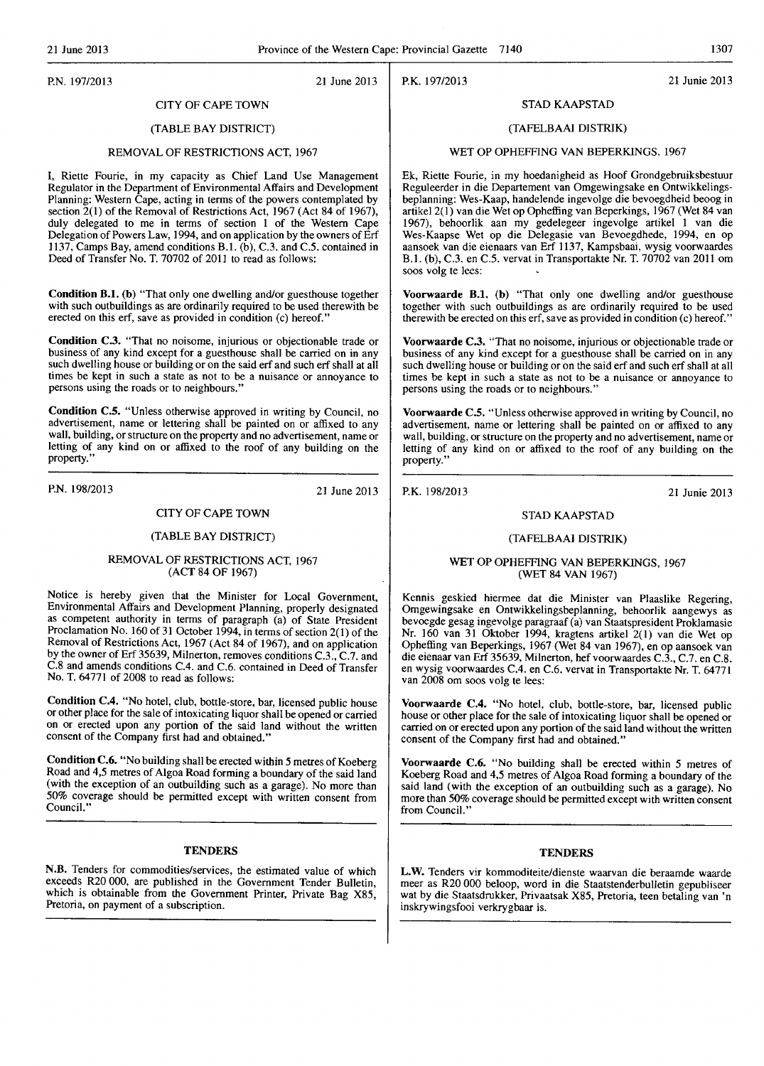P.K.197/2013 21 Junie 2013

# P.N.197/2013 21 June 2013

# CITY OF CAPE TOWN

# (TABLE BAY DISTRICT)

# REMOVAL OF RESTRICTIONS ACT, 1967

I, Riette Fourie, in my capacity as Chief Land Use Management Regulator in the Department of Environmental Affairs and Development Planning: Western Cape, acting in terms of the powers contemplated by section  $\tilde{2}(1)$  of the Removal of Restrictions Act, 1967 (Act 84 of 1967), duly delegated to me in terms of section 1 of the Western Cape Delegation of Powers Law, 1994, and on application by the owners of Erf 1137, Camps Bay, amend conditions B.1.  $(b)$ , C.3. and C.5. contained in Deed of Transfer No. T. 70702 of 2011 to read as follows:

Condition B.l. (b) "That only one dwelling and/or guesthouse together with such outbuildings as are ordinarily required to be used therewith be erected on this erf, save as provided in condition (c) hereof."

Condition C.3. "That no noisome, injurious or objectionable trade or business of any kind except for a guesthouse shall be carried on in any such dwelling house or building or on the said erf and such crf shall at all times be kept in such a state as not to be a nuisance or annoyance to persons using the roads or to neighbours."

Condition C.S. "Unless otherwise approved in writing by Council, no advertisement, name or lettering shall be painted on or affixed to any wall, building, or structure on the property and no advertisement, name or letting of any kind on or affixed to the roof of any building on the property.'

P.N. 198/2013 21 June 2013

# CITY OF CAPE TOWN

# (TABLE BAY DISTRICT)

# REMOVAL OF RESTRICTIONS ACT, 1967 (ACT 84 OF 1967)

Notice is hereby given that the Minister for Local Government, Environmental Affairs and Development Planning, properly designated as competent authority in terms of paragraph (a) of State President Proclamation No. 160 of 31 October 1994, in terms of section 2(1) of the Removal of Restrictions Act, 1967 (Act 84 of 1967), and on application by the owner of Erf 35639, Milnerton, removes conditions C.3., C.7. and C.8 and amends conditions C.4. and C.6. contained in Deed of Transfer No. T. 64771 of 2008 to read as follows:

Condition C.4. "No hotel, club, bottle-store, bar, licensed public house or other place for the sale of intoxicating liquor shall be opened or carried on or erected upon any portion of the said land without the written consent of the Company first had and obtained."

Condition C.6. "No building shall be erected within 5 metres of Koeberg Road and 4,5 metres of Algoa Road forming a boundary of the said land (with the exception of an outbuilding such as a garage). No more than 50% coverage should be permitted except with written consent from Council."

#### **TENDERS**

N.B. Tenders for commodities/services, the estimated value of which exceeds R20 000, are published in the Government Tender Bulletin, which is obtainable from the Government Printer, Private Bag X85, Pretoria, on payment of a subscription.

STAD KAAPSTAD

#### (TAFELBAAI DISTRIK)

#### WET OP OPHEFFING VAN BEPERKINGS, 1967

Ek, Riette Fourie, in my hoedanigheid as Hoof Grondgebruiksbestuur Reguleerder in die Departement van Omgewingsake en Ontwikkelingsbeplanning: Wes-Kaap, handelende ingevolge die bevoegdheid beoog in artikel 2(1) van die Wet op Opheffing van Beperkings, 1967 (Wet 84 van 1967), behoorlik aan my gedelegeer ingevolge artikel 1 van die Wes-Kaapse Wet op die Delegasie van Bevoegdhede. 1994, en op aansoek van die eienaars van Erf 1137, Kampsbaai, wysig voorwaardes B.1. (b), C.3. en C.5. vervat in Transportakte Nr. T. 70702 van 2011 om soos volg te lees;

Voorwaarde B.1. (b) "That only One dwelling and/or guesthouse together with such outbuildings as are ordinarily required to be used therewith be erected on this erf, save as provided in condition (c) hereof."

Voorwaarde C.3. "That no noisome, injurious or objectionable trade or business of any kind except for a guesthouse shall be carried on in any such dwelling house or building or on the said erf and such erf shall at all times be kept in such a state as not to be a nuisance or annoyance to persons using the roads or to neighbours."

Voorwaarde C.5. "Unless otherwise approved in writing by Council, no advertisement, name or lettering shall be painted on or affixed to any wall, building, or structure on the property and no advertisement, name or letting of any kind on or affixed to the roof of any building on the property."

P.K.198/2013 21 Junie 2013

# STAD KAAPSTAD

# (TAFELBAAI DISTRIK)

### WET OP OPHEFFING VAN BEPERKINGS, 1967 (WET 84 VAN 1967)

Kennis geskied hiermee dat die Minister van Plaaslike Regering, Omgewingsake en Ontwikkelingsbeplanning, behoorlik aangewys as bevoegde gesag ingevolge paragraaf (a) van Staatspresident Proklamasie Nr. 160 van 31 Oktober 1994, kragtcns artikel 2(1) van dic Wet op Opheffing van Beperkings, 1967 (Wet 84 van 1967), en op aansoek van die eienaar van Erf 35639, Milnerton, hefvoorwaardes C.3., C.7. en C.8. en wysig voorwaardes C.4. en C.6. vervat in Transportakte Nr. T. 64771 van 2008 om soos volg te lees:

Voorwaarde C.4. "No hotel, club, bottle-store, bar, licensed public house or other place for the sale of intoxicating liquor shall be opened or carried on or erected upon any portion of the said land without the written consent of the Company first had and obtained."

Voorwaarde C.6. "No building shall be erected within 5 metres of Koeberg Road and 4,5 metres of Algoa Road forming a boundary of the said land (with the exception of an outbuilding such as a garage). No more than 50% coverage should be permitted except with written consent from Council."

# **TENDERS**

L.W. Tenders vir kommoditeite/dienste waarvan die beraamde waarde meer as R20000 beloop, word in die Staatstenderbulletin gepubliseer wat by die Staatsdrukker, Privaatsak X85, Pretoria, teen betaling van 'n inskrywingsfooi verkrygbaar is.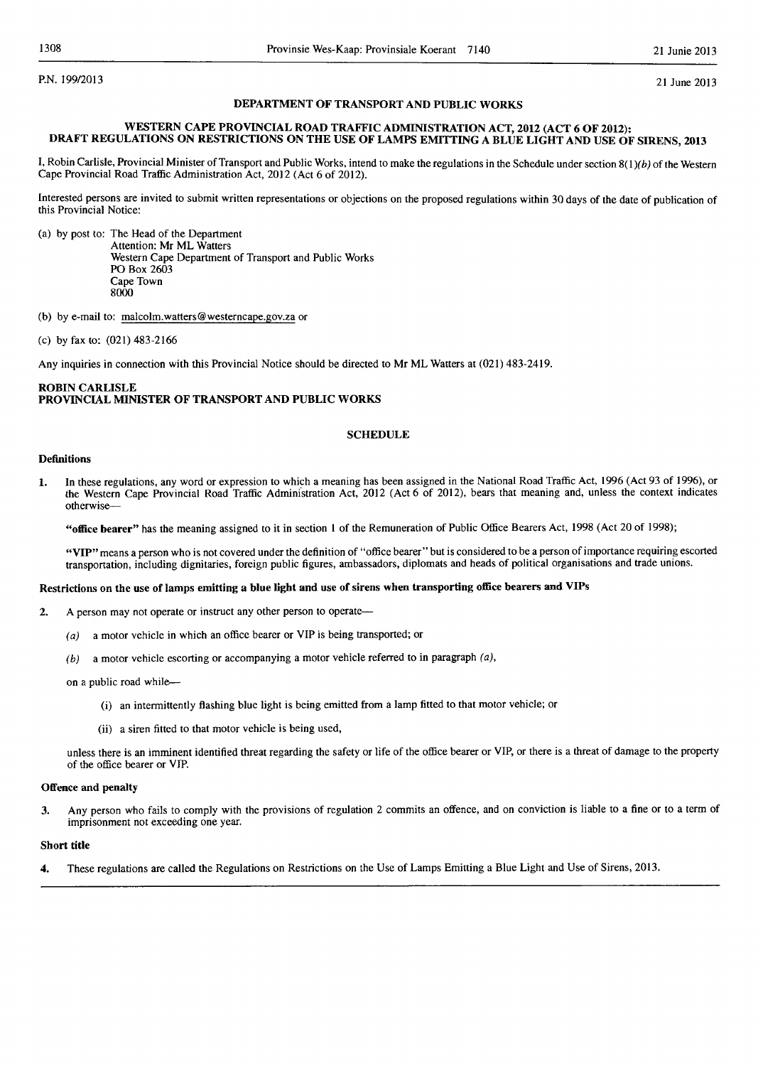P.N. 199/2013 21 June 2013

# DEPARTMENT OF TRANSPORT AND PUBLIC WORKS

# WESTERN CAPE PROVINCIAL ROAD TRAFFIC ADMINISTRATION ACT, 2012 (ACT 6 OF 2012): DRAFT REGULATIONS ON RESTRICTIONS ON THE USE OF LAMPS EMITTING A BLUE LIGHT AND USE OF SIRENS, 2013

I, Robin Carlisle, Provincial Minister of Transport and Public Works, intend to make the regulations in the Schedule under section  $8(1)(b)$  of the Western Cape Provincial Road Traffic Administration Act, 2012 (Act 6 of 2012).

Interested persons are invited to submit written representations or objections on the proposed regulations within 30 days of the date of publication of this Provincial Notice:

(a) by post to: The Head of the Department Attention: Mr ML Watters Western Cape Department of Transport and Public Works PO Box 2603 Cape Town 8000

(b) by e-mail to: malcolm.watters@westerncape.gov.za or

(c) by fax to: (021) 483-2166

Any inquiries in connection with this Provincial Notice should be directed to Mr ML Watters at (021) 483-2419.

# ROBIN CARLISLE PROVINCIAL MINISTER OF TRANSPORT AND PUBLIC WORKS

# **SCHEDULE**

# Definitions

1. In thcse regulations, any word or expression to which a meaning has been assigned in the National Road Traffic Act, 1996 (Act 93 of 1996), or the Western Cape Provincial Road Traffic Administration Act, 2012 (Act 6 of 2012), bears that meaning and, unless the context indicates otherwise-

"office bearer" has the meaning assigned to it in section 1 of the Remuneration of Public Office Bearers Act, 1998 (Act 20 of 1998);

"VIP" means a person who is not covered under the definition of "office bearer" but is considered to be a person of importance requiring escorted transportation, including dignitaries, foreign public figures, ambassadors, diplomats and heads of political organisations and trade unions.

#### Restrictions on the use of lamps emitting a blue light and use of sirens when transporting office bearers and VIPs

- 2. A person may not operate or instruct any other person to operate-
	- (a) a motor vehicle in which an office bearer or VIP is being transported; or
	- $(b)$  a motor vehicle escorting or accompanying a motor vehicle referred to in paragraph  $(a)$ ,

on a public road while-

- (i) an intermittently flashing blue light is being emitted from a lamp fitted to that motor vehicle; or
- (ii) a siren fitted to that motor vehicle is being used,

unless there is an imminent identified threat regarding the safety or life of the office bearer or VIP, or there is a threat of damage to the property of the office bearer or VIP.

# Offence and penalty

3. Any person who fails to comply with the provisions of regulation 2 commits an offence, and on conviction is liable to a fine or to a term of imprisonment not exceeding one year.

# Short title

4. These regulations are called the Regulations on Restrictions on the Use of Lamps Emitting a Blue Light and Use of Sirens, 2013.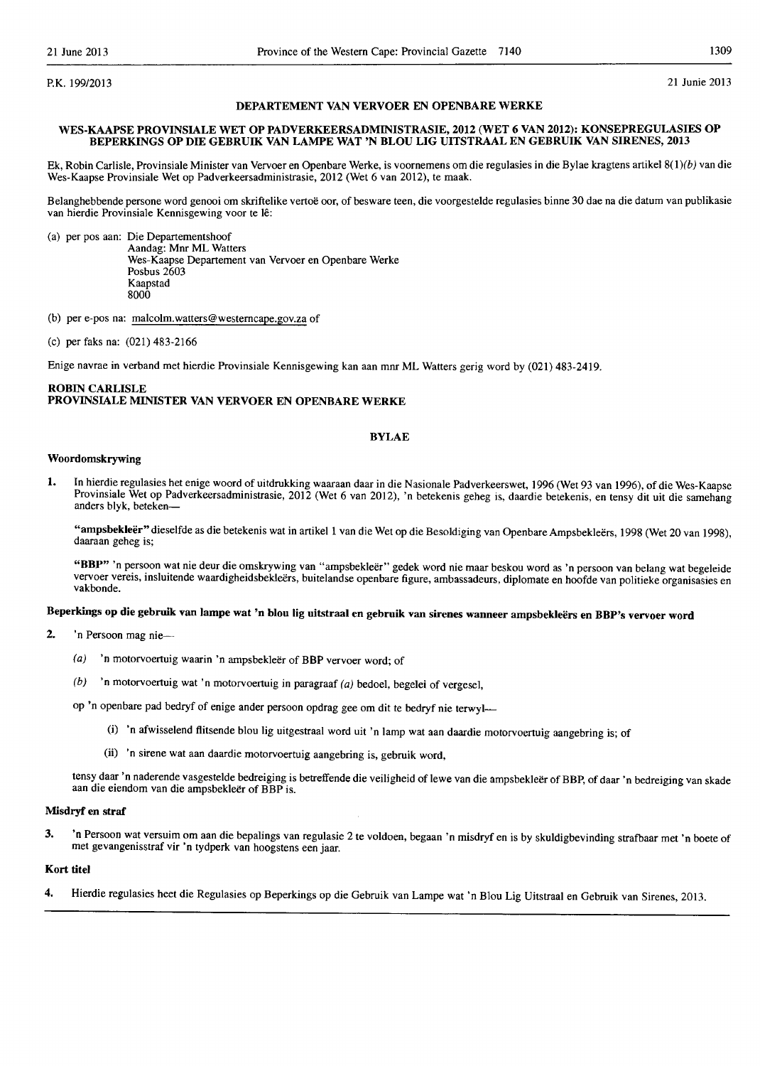P.K. 199/2013 21 Junie 2013

### DEPARTEMENT VAN VERVOER EN OPENBARE WERKE

# WES.KAAPSE PROVINSIALE WET OP PADVERKEERSADMINISTRASIE, 2012 (WET 6 VAN 2012): KONSEPREGULASIES OP BEPERKINGS OP DIE GEBRUIK VAN LAMPE WAT 'N BLOU LIG UITSTRAAL EN GEBRUIK VAN SIRENES, 2013

Ek, Robin Carlisle, Provinsiale Minister van Vervoer en Openbare Werke, is voornemens am die regulasies in die Bylae kragtens artikel 8(l)(b) van die Wes-Kaapse Provinsiale Wet op Padverkeersadministrasie, 2012 (Wet 6 van 2012), te maak.

Belanghebbende persone word genooi om skriftelike vertoë oor, of besware teen, die voorgestelde regulasies binne 30 dae na die datum van publikasie van hierdie Provinsiale Kennisgewing voor te lê:

(a) per pos aan: Die Departementshoof

Aandag: Mnr ML Watters Wes-Kaapse Departement van Vervoer en Openbare Werke Posbus 2603 Kaapstad 8000

(b) per e-pos na: malcolm.watters@westerncape.gov.za of

(c) per faks na: (021) 483-2166

Enige navrae in verband met hierdie Provinsiale Kennisgewing kan aan mnr ML Watters gerig word by (021) 483-2419.

# ROBIN CARLISLE PROVINSIALE MINISTER VAN VERVOER EN OPENBARE WERKE

#### BYLAE

### Woordomskrywing

1. In hierdie regulasies het enige woord of uitdrukking waaraan daar in die Nasionale Padverkeerswct, 1996 (Wet 93 van 1996), of die Wes-Kaapse Provinsiale Wet op Padverkeersadministrasie, 2012 (Wet 6 van 2012), 'n betekenis geheg is, daardie betekenis, en tensy dit uit die samehang anders blyk, beteken-

"ampsbekleër" dieselfde as die betekenis wat in artikel 1 van die Wet op die Besoldiging van Openbare Ampsbekleërs, 1998 (Wet 20 van 1998), daaraan geheg is;

"BBP" 'n persoon wat nie deur die omskrywing van "ampsbekleër" gedek word nie maar beskou word as 'n persoon van belang wat begeleide vervoer vereis, insluitende waardigheidsbekleërs, buitelandse openbare figure, ambassadeurs, diplomate en hoofde van politieke organisasies en vakbonde.

# Beperkings op die gebruik van lampe wat 'n blou lig uitstraal en gebruik van sirenes wanneer ampsbekleers en BBP's vervoer word

- 2. 'n Persoon mag nie-
	- (a) 'n motorvoertuig waarin 'n ampsbekleer of BBP vervoer word; of
	- (b) 'n motorvoertuig wat 'n motorvoertuig in paragraaf  $(a)$  bedoel, begelei of vergesel,

op 'n openbare pad bedryf of enige ander persoon opdrag gee om dit te bedryf nie terwyl-

- (i) 'n afwisselend flitsende blou Jig uitgestraal word uit 'n lamp wat aan daardie motorvoertuig aangebring is; of
- (ii) 'n sirene wat aan daardie motorvoertuig aangebring is, gebruik word,

tensy daar 'n naderende vasgestelde bedreiging is betreffende die veiligheid of lewe van die ampsbekleër of BBP, of daar 'n bedreiging van skade aan die eiendom van die ampsbekleer of BBP is.

# Misdryf en straf

3. 'n Persoon wat versuim om aan die bepalings van regulasie 2 te voldoen, begaan 'n misdryf en is by skuldigbevinding strafbaar met 'n boete of met gevangenisstraf vir 'n tydperk van hoogstens een jaar.

#### Kort titel

4. Hierdie regulasies heet die Regulasies op Beperkings op die Gebruik van Lampe wat 'n Blou Lig Uitstraal en Gebruik van Sirenes, 2013.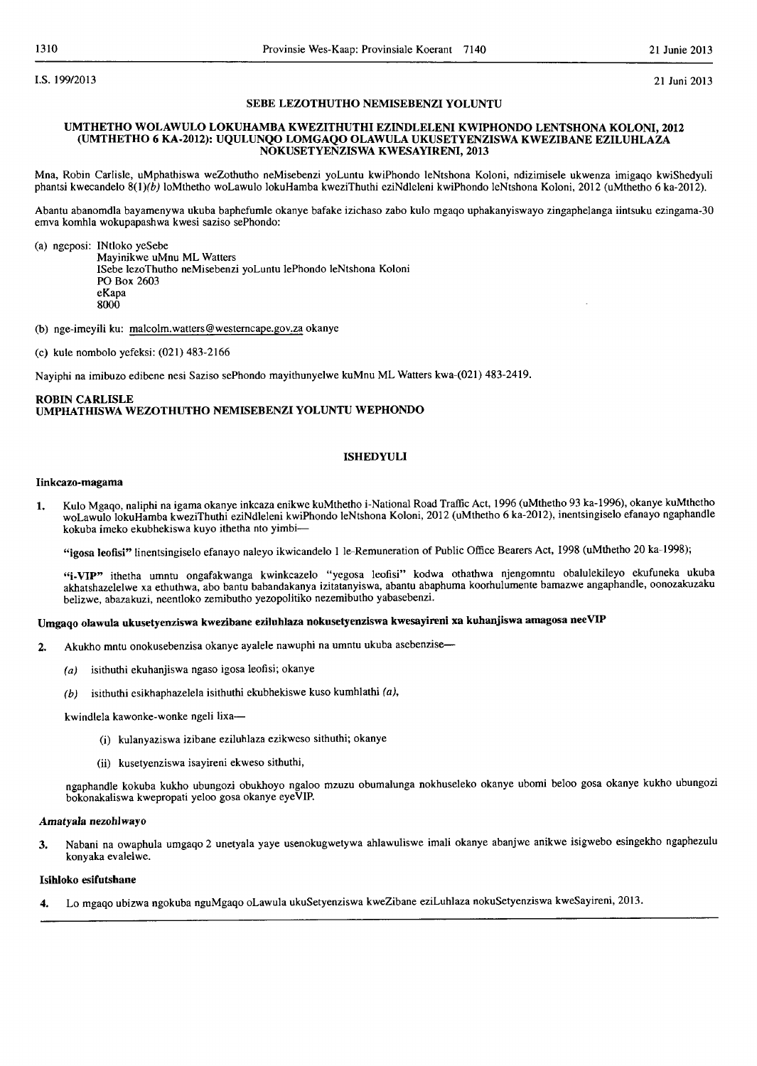I.S. 199/2013 21 Juni 2013

### SEBE LEZOTHUTHO NEMISEBENZI YOLUNTU

### UMTHETHO WOLAWULO LOKUHAMBA KWEZITHUTHI EZINDLELENI KWIPHONDO LENTSHONA KOLONI 2012 (UMTHETHO 6 KA-2012): UQULUNQO LOMGAQO OLAWULA UKUSETYENZISWA KWEZIBANE EZILUHLAZA NOKUSETYENZISWA KWESAYIRENI, 2013

Mna, Robin Carlisle, uMphathiswa weZothutho neMisebenzi yoLuntu kwiPhondo leNtshona Koloni, ndizimisele ukwenza imigaqo kwiShedyuli phantsl kwecandelo 8(1)(b) loMthetho woLawulo lokuHamba kweziThuthi eziNdleleni kwiPhondo leNtshona Koloni, 2012 (uMthetho 6 ka-2012).

Abantu abanomdla bayamenywa ukuba baphefumle okanye bafake izichaso zabo kulo mgaqo uphakanyiswayo zingaphelanga iintsuku ezingama-30 emva komhla wokupapashwa kwesi saziso sePhondo:

(a) ngeposi: INtloko yeSebe

Mayinikwe uMnu ML Watters ISebe lezoThutho neMisebenzi yoLuntu lePhondo leNtshona Koloni POBox 2603 eKapa 8000

(b) nge-imeyili ku: malcolm.watters@westerncape.gov.za okanye

(c) kule nombolo yefeksi: (021) 483-2166

Nayipbi na imibuzo edibene nesi Saziso sePhondo mayithunyelwe kuMnu ML Watters kwa-(021) 483-2419.

# ROBIN CARLISLE UMPHATHISWA WEZOTHUTHO NEMISEBENZI YOLUNTU WEPHONDO

### ISHEDYULI

### Iinkcazo-magama

1. Kul0 Mgaqo, naliphi na igama okanye inkcaza enikwe kuMthetho i-National Road Traffic Act, 1996 (uMthetho 93 ka-1996), okanye kuMthetho woLawulo lokuHamba kweziThuthi eziNdleleni kwiPhondo leNtshona Koloni, 2012 (uMthetho 6 ka-2012), inentsingiselo efanayo ngaphandle kokuba imeko ekubhekiswa kuyo ithetha nto yimbi-

"igosa leofisi" linentsingiselo efanayo naleyo ikwicandelo 1 le-Remuneration of Public Office Bearers Act, 1998 (uMthetho 20 ka-1998);

"i-VIP" ithetha umntu ongafakwanga kwinkcazelo "yegosa leofisi" kodwa othathwa njengomntu obalulekileyo ekufuneka ukuba akhatshazelelwe xa ethuthwa, abo bantu babandakanya izitatanyiswa, abantu abaphuma koorhulumente bamazwe angaphandle, oonozakuzaku belizwe, abazakuzi, neentloko zemibutho yezopolitiko nezemibutho yabasebenzi.

# Umgaqo olawula ukusetyenziswa kwezibane eziluhlaza nokusetyenziswa kwesayireni xa kuhanjiswa amagosa neeVIP

- 2. Akukho mntu onokusebenzisa okanye ayalele nawuphi na umntu ukuba asebenzise-
	- (a) isithuthi ekuhanjiswa ngaso igosa leofisi; okanye
	- (b) isithuthi esikhaphazelela isithuthi ekubhekiswe kuso kumhlathi  $(a)$ ,

kwindlela kawonke-wonke ngeli lixa-

- (i) kulanyaziswa izibane eziluhlaza ezikweso sithuthi; okanye
- (ii) kusetyenziswa isayireni ekweso sithuthi,

ngaphandle kokuba kukho ubungozi obukhoyo ngaloo mzuzu obumalunga nokhuseleko okanye ubomi beloo gosa okanye kukho ubungozi bokonakaliswa kwepropati yel00 gosa okanye eyeVIP.

### AmatyaJa nezohlwayo

3. Nabani na owaphula umgaqo 2 unetyala yaye usenokugwetywa ahlawuliswe imali okanye abanjwe anikwe isigwebo esingekho ngaphezulu konyaka evalelwe.

#### lsihloko esifufshane

4. Lo mgaqo ubizwa ngokuba nguMgaqo oLawula ukuSetyenziswa kweZibane eziLuhlaza nokuSetyenziswa kweSayireni, 2013.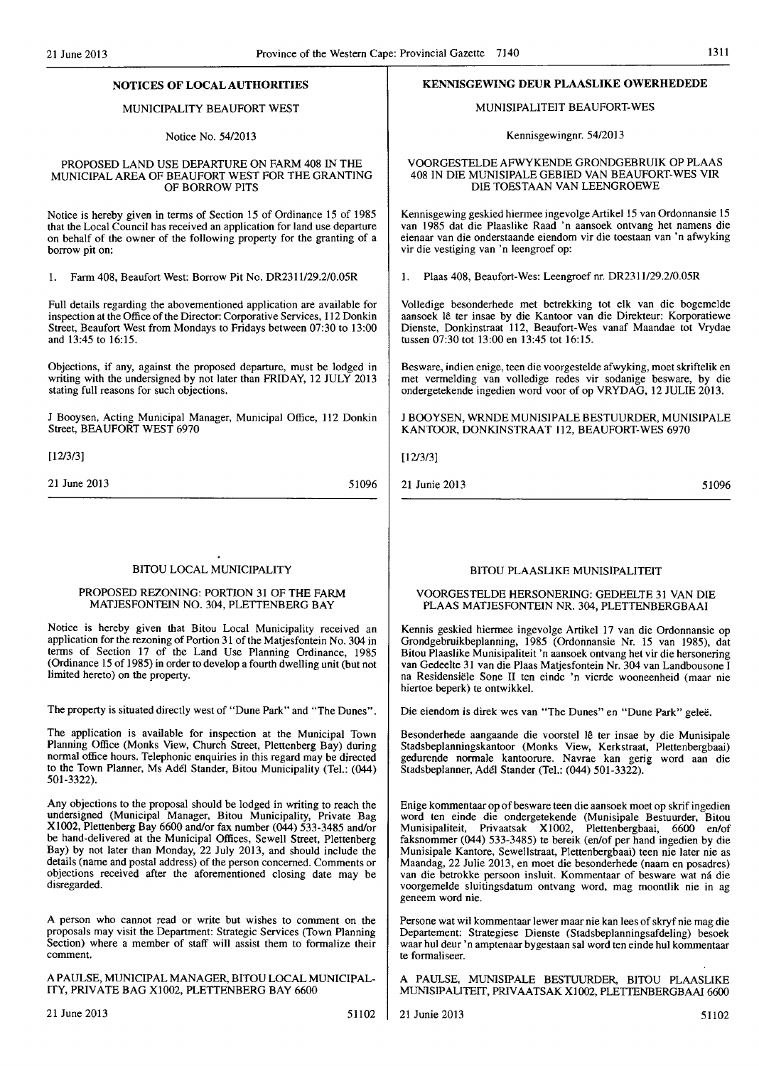# NOTICES OF LOCAL AUTHORITIES

### MUNICIPALITY BEAUFORT WEST

### Notice No. 54/2013

### PROPOSED LAND USE DEPARTURE ON FARM 408 IN THE MUNICIPAL AREA OF BEAUFORT WEST FOR THE GRANTING OF BORROW PITS

Notice is hereby given in terms of Section 15 of Ordinance 15 of 1985 that the Local Council has received an application for land use departure on behalf of the owner of the following property for the granting of a borrow pit on:

1. Farm 408, Beaufort West: Borrow Pit No. DR2311129.2/0.05R

Full details regarding the abovementioned application are available for inspection at the Office of the Director: Corporative Services, 112 Donkin Street, Beaufort West from Mondays to Fridays between 07:30 to 13:00 and 13:45 to 16:15.

Objections, if any, against the proposed departure, must be lodged in writing with the undersigned by not later than FRIDAY, 12 JULY 2013 stating full reasons for such objections.

J Booysen, Acting Municipal Manager, Municipal Office, 112 Donkin Street, BEAUFORT WEST 6970

[12/3/3]

21 June 2013

51096

### BlTOU LOCAL MUNICIPALITY

# PROPOSED REZONING: PORTION 31 OF THE FARM MATJESFONTEIN NO. 304, PLETTENBERG BAY

Notice is hereby given that Bitou Local Municipality received an application for the rezoning of Portion 31 of the Matjesfontein No. 304 in terms of Section 17 of the Land Use Planning Ordinance, 1985 (Ordinance 15 of 1985) in order to develop a fourth dwelling unit (but not limited hereto) on the property.

The property is situated directly west of "Dune Park" and "The Dunes".

The application is available for inspection at the Municipal Town Planning Office (Monks View, Church Street, Plettenberg Bay) during normal office hours. Telephonic enquiries in this regard may be directed to the Town Planner, Ms Adel Stander, Bitou Municipality (Tel.: (044) 501-3322).

Any objections to the proposal should be lodged in writing to reach the undersigned (Municipal Manager, Bitou Municipality, Private Bag X1002, Plettenberg Bay 6600 andlor fax number (044) 533-3485 andlor be hand-delivered at the Municipal Offices, Sewell Street, Plettenberg Bay) by not later than Monday, 22 July 2013, and should include the details (name and postal address) of the person concerned. Comments or objections received after the aforementioned closing date may be disregarded.

A person who cannot read or write but wishes to comment on the proposals may visit the Department: Strategic Services (Town Planning Section) where a member of staff will assist them to formalize their comment.

A PAULSE, MUNICIPAL MANAGER, BITOU LOCAL MUNICIPAL-ITY, PRIVATE BAG X1002, PLETTENBERG BAY 6600

# KENNISGEWING DEUR PLAASLIKE OWERHEDEDE

#### MUNISIPALITEIT BEAUFORT-WES

Kennisgewingnr. 54/2013

### VOORGESTELDE AFWYKENDE GRONDGEBRUIK OP PLAAS 408 IN DIE MUNISIPALE GEBIED VAN BEAUFORT-WES VIR DIE TOESTAAN VAN LEENGROEWE

Kennisgewing geskied hiermee ingevolge Artikel 15 van Ordonnansie 15 van 1985 dat die Plaaslike Raad 'n aansoek ontvang het namens die eienaar van die onderstaande eiendom vir die toestaan van 'n afwyking vir die vestiging van 'n leengroef op:

1. Plaas 408, Beaufort-Wes: Leengroef nr. DR2311/29.2/0.05R

Volledige besonderhede met betrekking tot elk van die bogemelde aansoek lê ter insae by die Kantoor van die Direkteur: Korporatiewe Dienste, Donkinstraat 112, Beaufort-Wes vanaf Maandae tot Vrydae tussen 07:30 tot 13:00 en 13:45 tot 16:15.

Besware, indien enige, teen die voorgestelde afwyking, moet skriftelik en met vermelding van volledige redes vir sodanige besware, by die ondergetekende ingedien word voor of op VRYDAG, 12 JULIE 2013.

J BOOYSEN, WRNDE MUNISIPALE BESTUURDER, MUNISIPALE KANTOOR, OONKINSTRAAT 112, BEAUFORT-WES 6970

[12/3/3]

21 Junie 2013 51096

# BITOU PLAASLIKE MUNISIPALITEIT

## VOORGESTELDE HERSONERING: GEDEELTE 31 VAN DIE PLAAS MATJESFONTEIN NR. 304, PLETTENBERGBAAI

Kennis geskied hiermee ingevolge Artikel 17 van die Ordonnansie op Grondgebruikbeplanning, 1985 (Ordonnansie Nr. 15 van 1985), dat Bitou Plaaslike Munisipaliteit 'n aansoek ontvang het vir die hersonering van Gedeelte 31 van die Plaas Matjesfontein Nr. 304 van Landbousone I na Residensiele Sone II ten einde 'n vierde wooneenheid (maar nie hiertoe beperk) te ontwikkel.

Die eiendom is direk wes van "The Dunes" en "Dune Park" gelee.

Besonderhede aangaande die voorstel lê ter insae by die Munisipale Stadsbeplanningskantoor (Monks View, Kerkstraat, Plettenbergbaai) gedurende normale kantoorure. Navrae kan gerig word aan die Stadsbeplanner, Adel Stander (Tel.: (044) 501-3322).

Enige kommentaar op of besware teen die aansoek moet op skrif ingedien word ten einde die ondergetekende (Munisipale Bestuurder, Bitou Munisipaliteit, Privaatsak X 1002, Plettenbergbaai, 6600 en/of faksnommer (044) 533-3485) te bereik (en/of per hand ingedien by die Munisipale Kantore, Sewellstraat, Plettenbergbaai) teen nie later nie as Maandag, 22 Julie 2013, en moet die besonderhede (naam en posadres) van die betrokke persoon insluit. Kommentaar of besware wat na die voorgeme1de sluitingsdatum ontvang word, mag moontlik nie in ag geneem word nie.

Persone wat wit kommentaar Iewer maar nie kan lees of skryf nie mag die Departement: Strategiese Dienste (Stadsbeplanningsafdeling) besoek waar hul deur 'n amptenaar bygestaan sal word ten einde hul kommentaar te formaliseer.

A PAULSE, MUNISIPALE BESTUURDER, BITOU PLAASLIKE MUNISIPALITEIT, PRIVAATSAK Xl 002, PLETTENBERGBAAI 6600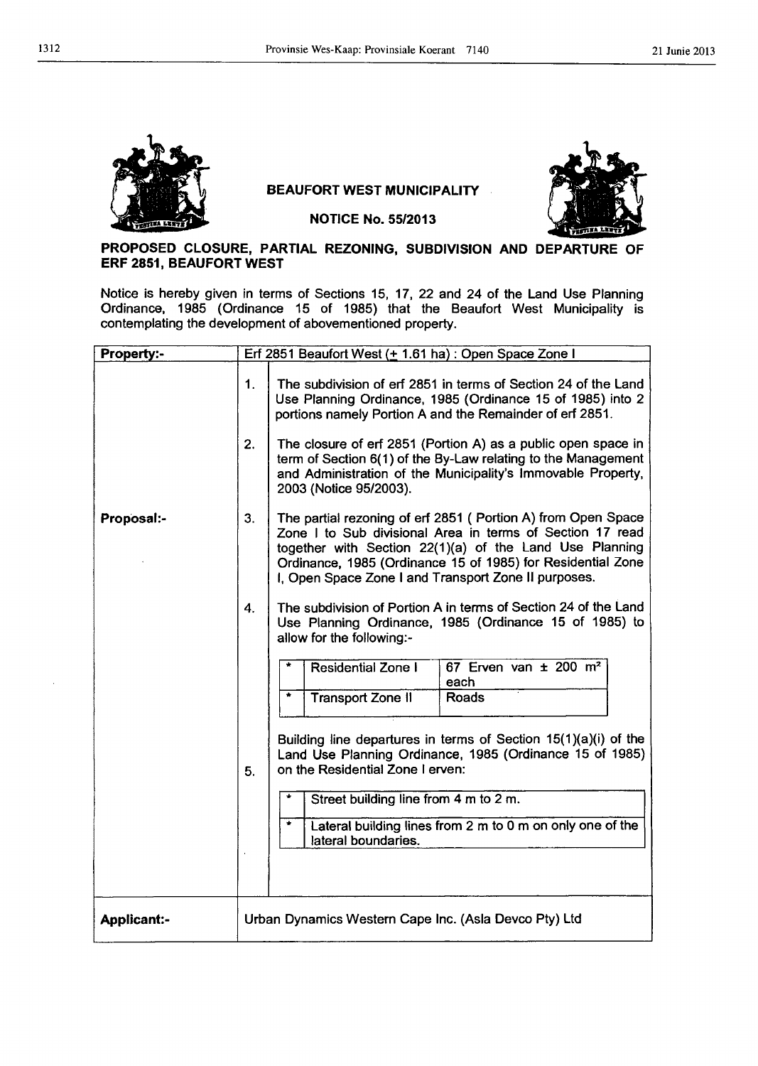

# BEAUFORT WEST MUNICIPALITY



NOTICE No. 55/2013

# PROPOSED CLOSURE. PARTIAL REZONING, SUBDIVISION AND DEPARTURE OF ERF 2851, BEAUFORT WEST

Notice is hereby given in terms of Sections 15, 17, 22 and 24 of the Land Use Planning Ordinance, 1985 (Ordinance 15 of 1985) that the Beaufort West Municipality is contemplating the development of abovementioned property.

| <b>Property:-</b>  |                                                       | Erf 2851 Beaufort West (+ 1.61 ha) : Open Space Zone I                                                                                                                                                                                                                                                      |
|--------------------|-------------------------------------------------------|-------------------------------------------------------------------------------------------------------------------------------------------------------------------------------------------------------------------------------------------------------------------------------------------------------------|
|                    | 1.<br>2.                                              | The subdivision of erf 2851 in terms of Section 24 of the Land<br>Use Planning Ordinance, 1985 (Ordinance 15 of 1985) into 2<br>portions namely Portion A and the Remainder of erf 2851.<br>The closure of erf 2851 (Portion A) as a public open space in                                                   |
|                    |                                                       | term of Section 6(1) of the By-Law relating to the Management<br>and Administration of the Municipality's Immovable Property,<br>2003 (Notice 95/2003).                                                                                                                                                     |
| Proposal:-         | 3.                                                    | The partial rezoning of erf 2851 (Portion A) from Open Space<br>Zone I to Sub divisional Area in terms of Section 17 read<br>together with Section 22(1)(a) of the Land Use Planning<br>Ordinance, 1985 (Ordinance 15 of 1985) for Residential Zone<br>I, Open Space Zone I and Transport Zone II purposes. |
|                    | 4.                                                    | The subdivision of Portion A in terms of Section 24 of the Land<br>Use Planning Ordinance, 1985 (Ordinance 15 of 1985) to<br>allow for the following:-                                                                                                                                                      |
|                    |                                                       | <b>Residential Zone I</b><br>67 Erven van $\pm$ 200 m <sup>2</sup><br>each<br>۰<br><b>Roads</b><br><b>Transport Zone II</b><br>Building line departures in terms of Section $15(1)(a)(i)$ of the                                                                                                            |
|                    | 5.                                                    | Land Use Planning Ordinance, 1985 (Ordinance 15 of 1985)<br>on the Residential Zone I erven:                                                                                                                                                                                                                |
|                    |                                                       | Street building line from 4 m to 2 m.<br>٠<br>Lateral building lines from 2 m to 0 m on only one of the                                                                                                                                                                                                     |
|                    |                                                       | lateral boundaries.                                                                                                                                                                                                                                                                                         |
| <b>Applicant:-</b> | Urban Dynamics Western Cape Inc. (Asla Devco Pty) Ltd |                                                                                                                                                                                                                                                                                                             |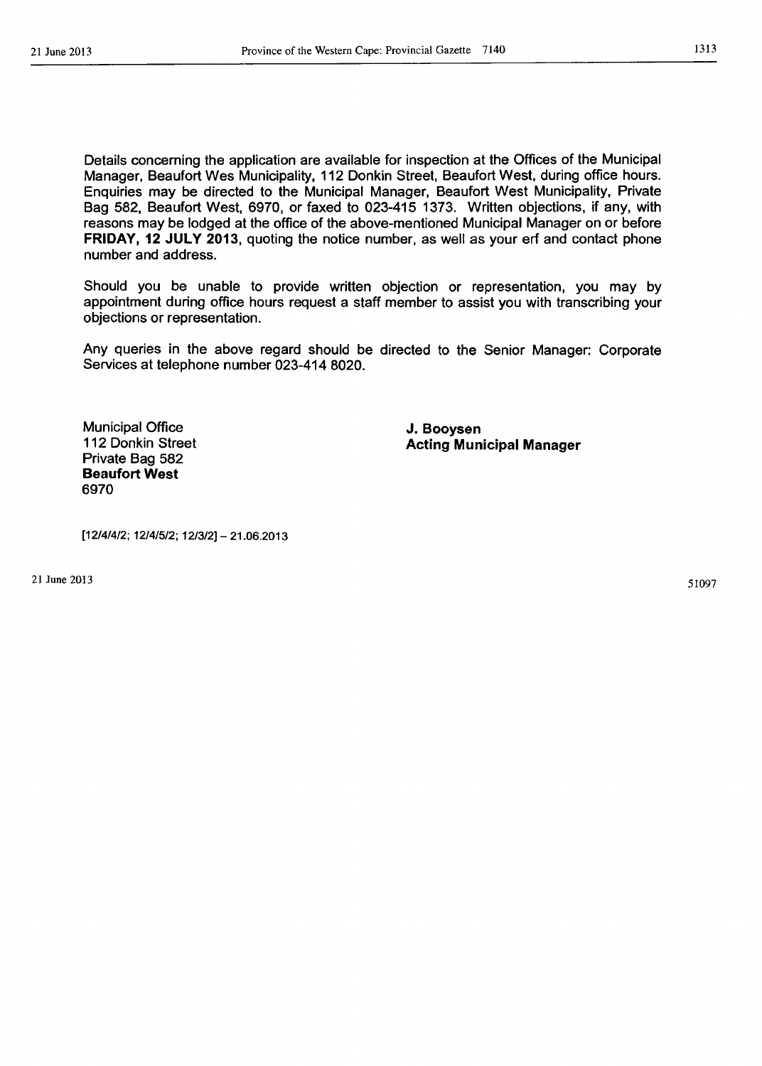1313

Details concerning the application are available for inspection at the Offices of the Municipal Manager, Beaufort Wes Municipality, 112 Donkin Street, Beaufort West, during office hours. Enquiries may be directed to the Municipal Manager, Beaufort West Municipality, Private Bag 582, Beaufort West, 6970, or faxed to 023-415 1373. Written objections, if any, with reasons may be lodged at the office of the above-mentioned Municipal Manager on or before FRIDAY, 12 JULY 2013, quoting the notice number, as well as your erf and contact phone number and address.

Should you be unable to provide written objection or representation, you may by appointment during office hours request a staff member to assist you with transcribing your objections or representation.

Any queries in the above regard should be directed to the Senior Manager: Corporate Services at telephone number 023-414 8020.

Municipal Office 112 Donkin Street Private Bag 582 Beaufort West 6970

J. Booysen Acting Municipal Manager

[12/4/4/2; 12141512; 12/3/2] - 21.06.2013

21 June 2013

51097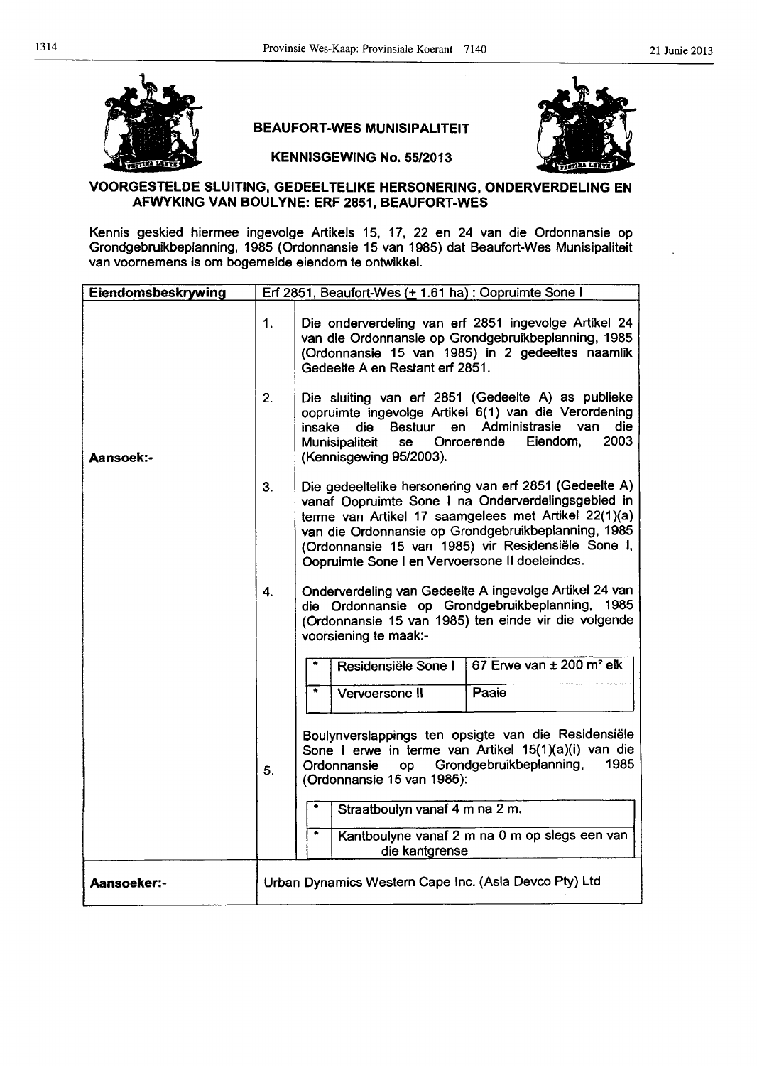



BEAUFORT-WES MUNISIPALITEIT KENNISGEWING No. 55/2013

# VOORGESTELDE SLUITING, GEDEEL TELIKE HERSONERING, ONDERVERDELING EN AFWYKING VAN BOULYNE: ERF 2851, BEAUFORT-WES

Kennis geskied hiermee ingevolge Artikels 15, 17, 22 en 24 van die Ordonnansie op Grondgebruikbeplanning, 1985 (Ordonnansie 15 van 1985) dat Beaufort-Wes Munisipaliteit van voornemens is om bogemelde eiendom te ontwikkel.

| Eiendomsbeskrywing | Erf 2851, Beaufort-Wes (+ 1.61 ha) : Oopruimte Sone I  |                                                                                                                                                                                                                                                                                                                                     |
|--------------------|--------------------------------------------------------|-------------------------------------------------------------------------------------------------------------------------------------------------------------------------------------------------------------------------------------------------------------------------------------------------------------------------------------|
|                    | 1 <sub>1</sub><br>2.                                   | Die onderverdeling van erf 2851 ingevolge Artikel 24<br>van die Ordonnansie op Grondgebruikbeplanning, 1985<br>(Ordonnansie 15 van 1985) in 2 gedeeltes naamlik<br>Gedeelte A en Restant erf 2851.<br>Die sluiting van erf 2851 (Gedeelte A) as publieke                                                                            |
| Aansoek:-          |                                                        | oopruimte ingevolge Artikel 6(1) van die Verordening<br>Administrasie<br>die<br>van<br>insake<br>die Bestuur<br>en<br>2003<br>Munisipaliteit<br>Onroerende<br>Eiendom,<br>se<br>(Kennisgewing 95/2003).                                                                                                                             |
|                    | 3.                                                     | Die gedeeltelike hersonering van erf 2851 (Gedeelte A)<br>vanaf Oopruimte Sone I na Onderverdelingsgebied in<br>terme van Artikel 17 saamgelees met Artikel 22(1)(a)<br>van die Ordonnansie op Grondgebruikbeplanning, 1985<br>(Ordonnansie 15 van 1985) vir Residensiële Sone I,<br>Oopruimte Sone I en Vervoersone II doeleindes. |
|                    | $\mathbf{4}$                                           | Onderverdeling van Gedeelte A ingevolge Artikel 24 van<br>die Ordonnansie op Grondgebruikbeplanning, 1985<br>(Ordonnansie 15 van 1985) ten einde vir die volgende<br>voorsiening te maak:-                                                                                                                                          |
|                    |                                                        | 67 Erwe van ± 200 m <sup>2</sup> elk<br>Residensiële Sone I                                                                                                                                                                                                                                                                         |
|                    |                                                        | Paaie<br>$\bullet$<br>Vervoersone II                                                                                                                                                                                                                                                                                                |
|                    | 5.                                                     | Boulynverslappings ten opsigte van die Residensiële<br>Sone I erwe in terme van Artikel 15(1)(a)(i) van die<br>1985<br>Grondgebruikbeplanning,<br>op<br>Ordonnansie<br>(Ordonnansie 15 van 1985):                                                                                                                                   |
|                    |                                                        | Straatboulyn vanaf 4 m na 2 m.                                                                                                                                                                                                                                                                                                      |
|                    |                                                        | ۰<br>Kantboulyne vanaf 2 m na 0 m op slegs een van<br>die kantgrense                                                                                                                                                                                                                                                                |
| <b>Aansoeker:-</b> | Urban Dynamics Western Cape Inc. (Asla Devco Pty) Ltd. |                                                                                                                                                                                                                                                                                                                                     |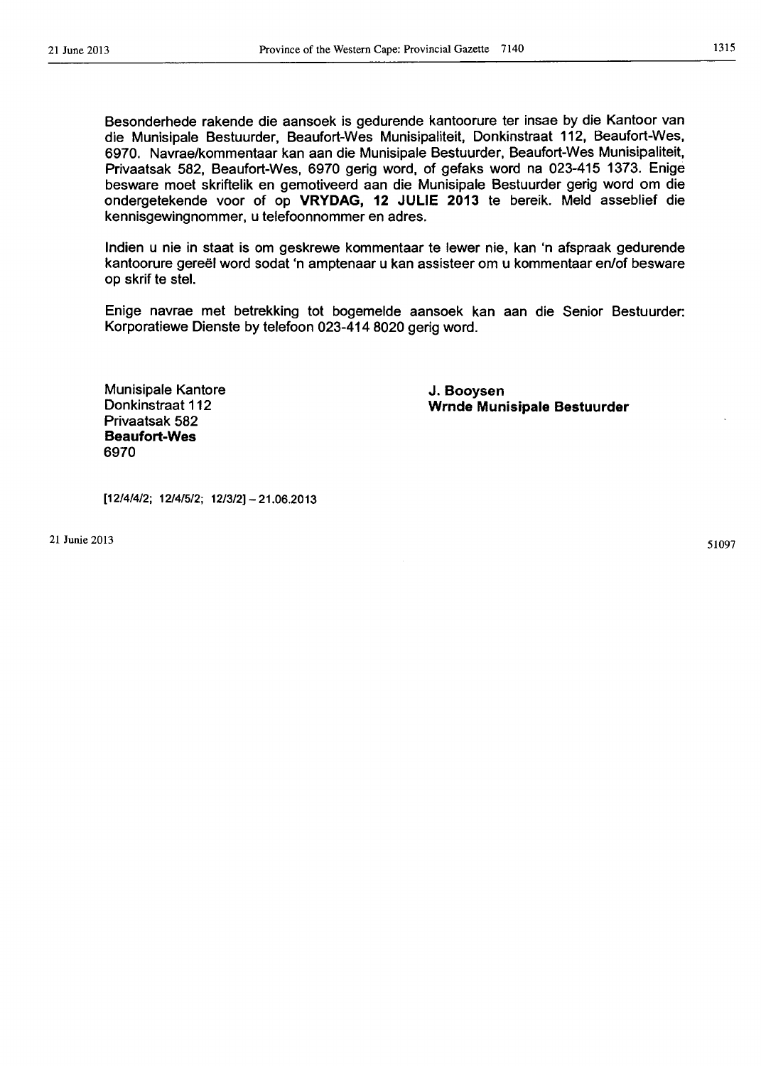Besonderhede rakende die aansoek is gedurende kantoorure ter insae by die Kantoor van die Munisipale Bestuurder, Beaufort-Wes Munisipaliteit, Donkinstraat 112, Beaufort-Wes, 6970. Navrae/kommentaar kan aan die Munisipale Bestuurder, Beaufort-Wes Munisipaliteit, Privaatsak 582, Beaufort-Wes, 6970 gerig word, of gefaks word na 023-415 1373. Enige besware moet skriftelik en gemotiveerd aan die Munisipale Bestuurder gerig word om die ondergetekende voor of op VRYDAG, 12 JULIE 2013 te bereik. Meld asseblief die kennisgewingnommer, u telefoonnommer en adres.

Indien u nie in staat is om geskrewe kommentaar te lewer nie, kan 'n afspraak gedurende kantoorure gereël word sodat 'n amptenaar u kan assisteer om u kommentaar en/of besware op skrif te stel.

Enige navrae met betrekking tot bogemelde aansoek kan aan die Senior Bestuurder: Korporatiewe Dienste by telefoon 023-414 8020 gerig word.

> J. Booysen Wrnde Munisipale Bestuurder

Munisipale Kantore Donkinstraat 112 Privaatsak 582 Beaufort-Wes 6970

 $[12/4/4/2; 12/4/5/2; 12/3/2] - 21.06.2013$ 

21 Junie 2013

51097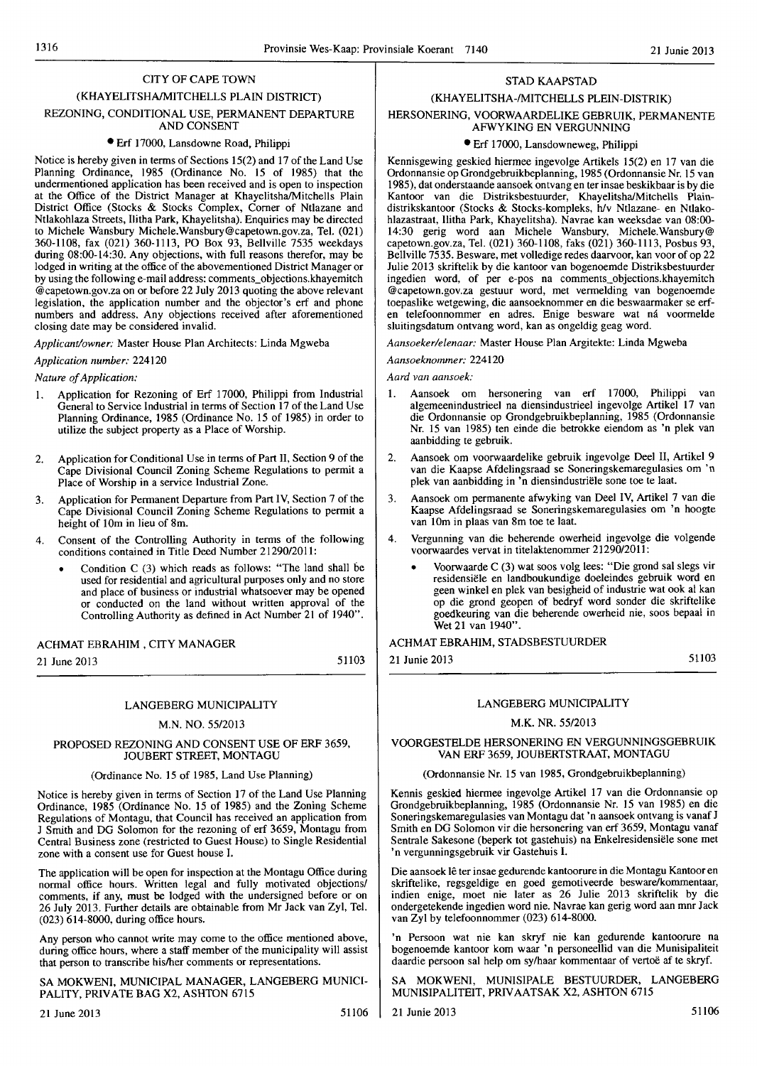# CITY OF CAPE TOWN

# (KHAYELITSHAIMITCHELLS PLAIN DISTRICT) REZONING, CONDITIONAL USE, PERMANENT DEPARTURE AND CONSENT

# • Erf 17000, Lansdowne Road, Philippi

Notice is hereby given in terms of Sections 15(2) and 17 of the Land Use Planning Ordinance, 1985 (Ordinance No. 15 of 1985) that the undermentioned application has been received and is open to inspection at the Office of the District Manager at Khayelitsha/Mitchells Plain District Office (Stocks & Stocks Complex, Corner of Ntlazane and Ntlakohlaza Streets, IIitha Park, Khayelitsha). Enquiries may be directed to Michele Wansbury Michele.Wansbury@capetown.gov.za, Tel. (021) 360-1108, fax (021) 360-1113, PO Box 93, Bellville 7535 weekdays during 08:00-14:30. Any objections, with full reasons therefor, may be lodged in writing at the office of the abovementioned District Manager or by using the following e-mail address: comments objections.khayemitch @capetown.gov.zaon or before 22 July 2013 quoting the above relevant legislation, the application number and the objector's erf and phone numbers and address. Any objections received after aforementioned closing date may be considered invalid.

*Applicallliowner:* Master House Plan Architects: Linda Mgweba

# *Application number: 224120*

*Nature of Application:* 

- I. Application for Rezoning of Erf 17000, Philippi from Industrial General to Service Industrial in terms of Section 17 of the Land Use Planning Ordinance, 1985 (Ordinance No. 15 of 1985) in order to utilize the subject property as a Place of Worship.
- 2. Application for Conditional Use in terms of Part II, Section 9 of the Cape Divisional Council Zoning Scheme Regulations to permit a Place of Worship in a service Industrial Zone.
- 3. Application for Permanent Departure from Part IV, Section 7 of the Cape Divisional Council Zoning Scheme Regulations to permit a hcight of 10m in lieu of 8m.
- 4. Consent of the Controlling Authority in terms of the following conditions contained in Title Deed Number *21290/2011:* 
	- Condition C (3) which reads as follows: "The land shall be used for residential and agricultural purposes only and no store and place of business or industrial whatsoever may be opened or conducted on the land without written approval of the Controlling Authority as defined in Act Number 21 of 1940".

# ACHMAT EBRAHIM, CITY MANAGER

21 June 2013

51103

# LANGEBERG MUNICIPALITY

# M.N. NO. *55/2013*

# PROPOSED REZONING AND CONSENT USE OF ERF 3659, JOUBERT STREET, MONTAGU

# (Ordinance No. 15 of 1985, Land Use Planning)

Notice is hereby given in terms of Section 17 of the Land Use Planning Ordinance, 1985 (Ordinance No. 15 of 1985) and the Zoning Scheme Regulations of Montagu, that Council has received an application from J Smith and DG Solomon for the rezoning of erf 3659, Montagu from Central Business zone (restricted to Guest House) to Single Residential zone with a consent use for Guest house I.

The application will be open for inspection at the Montagu Office during normal office hours. Written legal and fully motivated objections/ comments, if any, must be lodged with the undersigned before or on 26 July 2013. Further details are obtainable from Mr Jack van Zyl, Tel. (023) 614-8000, during office hours.

Any person who cannot write may come to the office mentioned above, during office hours, where a staff member of the municipality will assist that person to transcribe his/her comments or representations.

SA MOKWENI, MUNICIPAL MANAGER, LANGEBERG MUNICI-PALITY, PRIVATE BAG X2, ASHTON 6715

# STAD KAAPSTAD (KHAYELITSHA-IMITCHELLS PLEIN-DISTRIK)

# HERSONERING, VOORWAARDELIKE GEBRUIK, PERMANENTE AFWYKING EN VERGUNNING

# • Erf 17000, Lansdowneweg, Philippi

Kennisgewing geskied hiermee ingevolge Artikels 15(2) en 17 van die Ordonnansie op Grondgebruikbeplanning, 1985 (Ordonnansie Nr. 15 van 1985), dat onderstaande aansoek ontvang en ter insae beskikbaar is by die Kantoor van die Distriksbestuurder, KhayelitshalMitchells Plaindistrikskantoor (Stocks & Stocks-kompleks, hlv Ntlazane- en Ntlakohlazastraat, I1itha Park, Khayelitsha). Navrae kan weeksdae van 08:00- 14:30 gerig word aan Michele Wansbury, Michele.Wansbury@ capetown.gov.za, Tel. (021) 360-1108, faks (021) 360-1113, Posbus 93, Bellville 7535. Besware, met volledige redes daarvoor, kan voor of op 22 Julie 2013 skriftelik by die kantoor van bogenoemde Distriksbestuurder ingedien word, of per e-pos na comments\_objections.khayemitch @capetown.gov.za gestuur word, met vermelding van bogenoemde toepaslike wetgewing, die aansoeknommer en die beswaarmaker se erfen telefoonnommer en adres. Enige besware wat ná voormelde sluitingsdatum ontvang word, kan as ongeldig geag word.

*Aansoekerlelenaar:* Master House Plan Argitekte: Linda Mgweba

*AallSoeknommer: 224120* 

*Aard van aansoek:* 

- I. Aansoek om hersonering van erf 17000, Philippi van algemeenindustrieel na diensindustrieel ingevolge Artikel 17 van die Ordonnansie op Grondgebruikbeplanning, 1985 (Ordonnansie Nr. 15 van 1985) ten einde die betrokke eiendom as 'n plek van aanbidding te gebruik.
- 2. Aansoek om voorwaardelike gebruik ingevolge Deel II, Artikel 9 van die Kaapse Afdelingsraad se Soneringskemaregulasies om 'n plek van aanbidding in 'n diensindustriele sone toe te laat.
- 3. Aansoek om permanente afwyking van Deel IV, Artikel 7 van die Kaapse Afdelingsraad se Soneringskemaregulasies om 'n hoogte van 10m in plaas van 8m toe te laat.
- 4. Vergunning van die beherende owerheid ingevolge die volgende voorwaardes vervat in titelaktenommer *21290/2011:* 
	- Voorwaarde C (3) wat soos volg lees: "Die grond sal slegs vir residensiele en landboukundige doeleindes gebruik word en geen winkel en plek van besigheid of industrie wat ook al kan op die grond geopen of bedryf word sonder die skriftelike goedkeuring van die beherende owerheid nie, soos bepaal in Wet 21 van 1940".

# ACHMAT EBRAHIM, STADSBESTUURDER

21 Junie 2013

51103

# LANGEBERG MUNICIPALITY

# M.K. NR. *5512013*

# VOORGESTELDE HERSONERING EN VERGUNNINGSGEBRUIK VAN ERF 3659, JOUBERTSTRAAT, MONTAGU

# (Ordonnansie Nr. 15 van 1985, Grondgebruikbep1anning)

Kennis geskied hiermee ingevolge Artikel 17 van die Ordonnansie op Grondgebruikbeplanning, 1985 (Ordonnansie Nr. 15 van 1985) en die Soneringskemaregulasies van Montagu dat 'n aansoek ontvang is vanaf J Smith en DO Solomon vir die hersonering van erf 3659, Montagu vanaf Sentrale Sakesone (beperk tot gastehuis) na Enkelresidensiele sone met 'n vergunningsgebruik vir Gastehuis 1.

Die aansoek lê ter insae gedurende kantoorure in die Montagu Kantoor en skriftelike, regsgeldige en goed gemotiveerde besware/kommentaar, indien enige, moet nie later as 26 Julie 2013 skriftelik by die ondergetekende ingedien word nie. Navrae kan gerig word aan mnr Jack van Zyl by telefoonnommer (023) 614-8000.

'n Persoon wat nie kan skryf nie kan gedurende kantoorure na bogenoemde kantoor kom waar 'n personeellid van die Munisipaliteit daardie persoon sal help om sy/haar kommentaar of vertoë af te skryf.

SA MOKWENI, MUNISIPALE BESTUURDER, LANGEBERG MUNISIPALITEIT, PRIV AATSAK X2, ASHTON 6715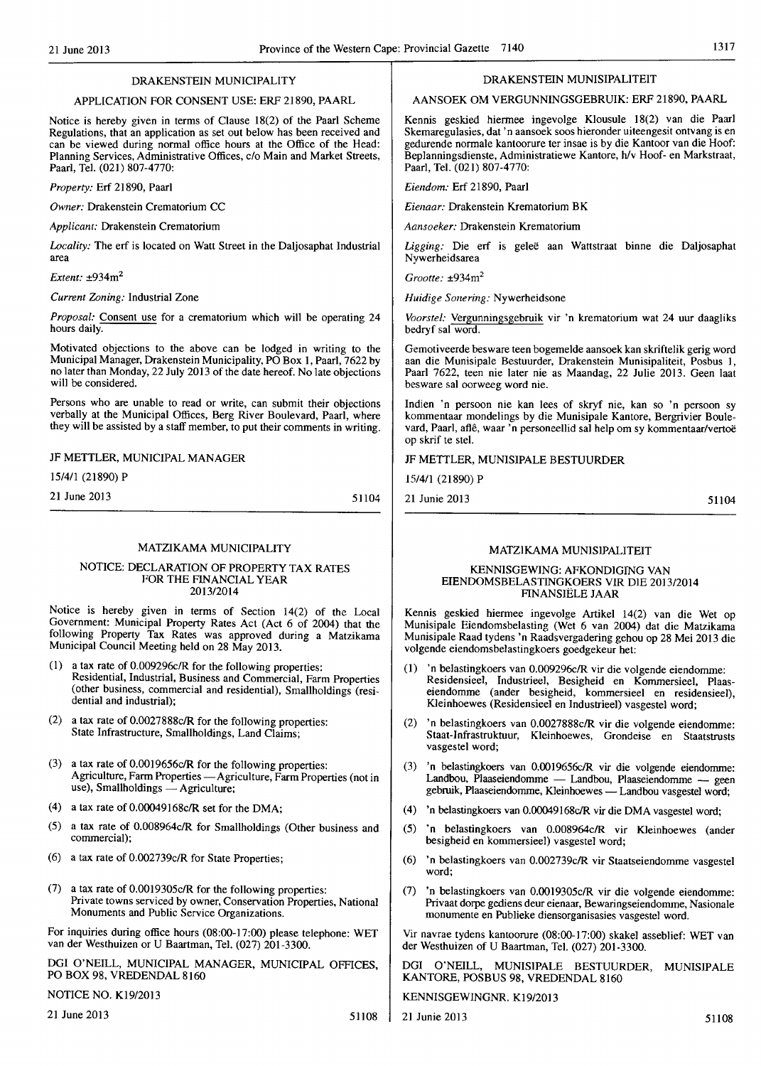# DRAKENSTEIN MUNICIPALITY

# APPLICATION FOR CONSENT USE: ERF 21890, PAARL

Notice is hereby given in terms of Clause 18(2) of the Paarl Scheme Regulations, that an application as set out below has been received and can be viewed during normal office hours at the Office of the Head: Planning Services, Administrative Offices, clo Main and Market Streets, PaarI, Tel. (021) 807-4770:

*Property:* Erf 21890, Paarl

*Owner:* Drakenstein Crematorium CC

*Applicant:* Drakenstein Crematorium

*Locality:* The erf is located on Watt Street in the Daljosaphat Industrial area

*Extent:* ±934m<sup>2</sup>

*Current Zoning:* Industrial Zone

*Proposal:* Consent use for a crematorium which will be operating 24 hours daily.

Motivated objections to the above can be lodged in writing to the Municipal Manager, Drakenstein Municipality, PO Box I, Paarl, 7622 by no later than Monday, 22 July 2013 of the date hereof. No late objections will be considered.

Persons who are unable to read or write, can submit their objections verbally at the Municipal Offices, Berg River Boulevard, Paarl, where they will be assisted by a staff member, to put their comments in writing.

JF METTLER, MUNICIPAL MANAGER

15/4/1 (21890) P

21 June 2013

51104

# MATZIKAMA MUNICIPALITY

### NOTICE: DECLARATION OF PROPERTY TAX RATES FOR THE FINANCIAL YEAR 2013/2014

Notice is hereby given in terms of Section 14(2) of the Local Government: Municipal Property Rates Act (Act 6 of 2004) that the following Property Tax Rates was approved during a Matzikama Municipal Council Meeting held on 28 May 2013.

- (I) a tax rate of 0.009296c/R for the following properties: Residential, Industrial, Business and Commercial, Farm Properties (other business, commercial and residential), Smallholdings (residential and industrial);
- (2) a tax rate of 0.0027888c/R for the following properties: State Infrastructure, Smallholdings, Land Claims;
- (3) a tax rate of 0.001 9656c/R for the following properties: Agriculture, Farm Properties - Agriculture, Farm Properties (not in use), Smallholdings - Agriculture;
- (4) a tax rate of  $0.00049168c/R$  set for the DMA;
- (5) a tax rate of 0.008964c/R for Smallholdings (Other business and commercial);
- (6) a tax rate of 0.002739c/R for State Properties;
- (7) a tax rate of 0.0019305c/R for the following properties: Private towns serviced by owner, Conservation Properties, National Monuments and Public Service Organizations.

For inquiries during office hours (08:00-17:00) please telephone: WET van der Westhuizen or U Baartman, Tel. (027) 201-3300.

DGI O'NEILL, MUNICIPAL MANAGER, MUNICIPAL OFFICES, PO BOX 98, VREDENDAL 8160

NOTICE NO. KI9/2013

21 June 2013  $51108$ 

# DRAKENSTEIN MUNISIPALITEIT

# AANSOEK OM VERGUNNINGSGEBRUIK: ERF 21890, PAARL

Kennis geskied hiermee ingevolge KIousule. 18(2) van die Paarl Skemaregulasies, dat 'n aansoek soos hieronder uiteengesit ontvang is en gedurende normale kantoorure ter insae is by die Kantoor van die Hoof: Beplanningsdienste, Administratiewe Kantore, h/v Hoof- en Markstraat, Paarl, Tel. (021) 807-4770:

*Eiendom:* Erf 21890, Paarl

*Eienaar: Drakenstein Krematorium BK* 

*Aansoeker:* Drakenstein Krematorium

*Ligging:* Die erf is gelee aan Wattstraat binne die Daljosaphat Nywerheidsarea

*Grootte:* ±934m<sup>2</sup>

*Huidige Sonering:* Nywerheidsone

*Voorstel:* Vergunningsgebruik vir 'n krematorium wat 24 uur daagliks bedryf sal word.

Gemotiveerde besware teen bogemelde aansoek kan skriftelik gerig word aan die Munisipale Bestuurder, Drakenstein Munisipaliteit, Posbus 1, Paarl 7622, teen nie later nie as Maandag, 22 Julie 2013. Geen laat besware sal oorweeg word nie.

Indien 'n persoon nie kan lees of skryf nie, kan so 'n persoon sy kommentaar mondelings by die Munisipale Kantore, Bergrivier Boulevard, Paarl, aflê, waar 'n personeellid sal help om sy kommentaar/vertoë op skrif te stel.

# JF METTLER, MUNISIPALE BESTUURDER

15/4/1 (21890) P

21 Junie 2013 51104

# MATZIKAMA MUNISIPALITEIT

### KENNISGEWING: AFKONDIGING VAN EIENDOMSBELASTINGKOERS VIR DIE 2013/2014 FINANSIELE JAAR

Kennis geskied hiermee ingevolge Artikel 14(2) van die Wet op Munisipale Eiendomsbelasting (Wet 6 van 2004) dat die Matzikama Munisipale Raad lydens 'n Raadsvergadering gehou op 28 Mei 2013 die volgende eiendomsbelastingkoers goedgekeur het:

- (1) 'n belastingkoers van 0.009296cIR vir die volgende eiendomme: Residensieel, Industrieel, Besigheid en Kommersieel, Plaaseiendomme (ander besigheid, kommersieel en residensieel), Kleinhoewes (Residensieel en Industrieel) vasgestel word;
- (2) 'n belastingkoers van 0.0027888c/R vir die volgende eiendomme: Staat-Infrastruktuur, KIeinhoewes, Grondeise en Staatstrusts vasgestel word;
- (3) 'n belastingkoers van 0.0019656c/R vir die volgende eiendomme: Landbou, Plaaseiendomme - Landbou, Plaaseiendomme - geen gebruik, Plaaseiendomme, Kleinhoewes - Landbou vasgestel word;
- (4) 'n belastingkoers van 0.00049168c/R vir die DMA vasgestel word;
- (5) 'n belastingkoers van 0.008964c/R vir KIeinhoewes (ander besigheid en kommersieel) vasgestel word;
- (6) 'n belastingkoers van 0.002739c/R vir Staatseiendomme vasgestel word;
- (7) 'n belastingkoers van 0.0019305cIR vir die volgende eiendomme: Privaat dorpe gediens deur eienaar, Bewaringseiendomme, Nasionale monumente en Publieke diensorganisasies vasgestel word.

Vir navrae tydens kantoorure (08:00-17:00) skakel asseblief: WET van der Westhuizen of U Baartman, Tel. (027) 201-3300.

O'NEILL, MUNISIPALE BESTUURDER, MUNISIPALE KANTORE, POSBUS 98, VREDENDAL 8160

KENNISGEWINGNR, K19/2013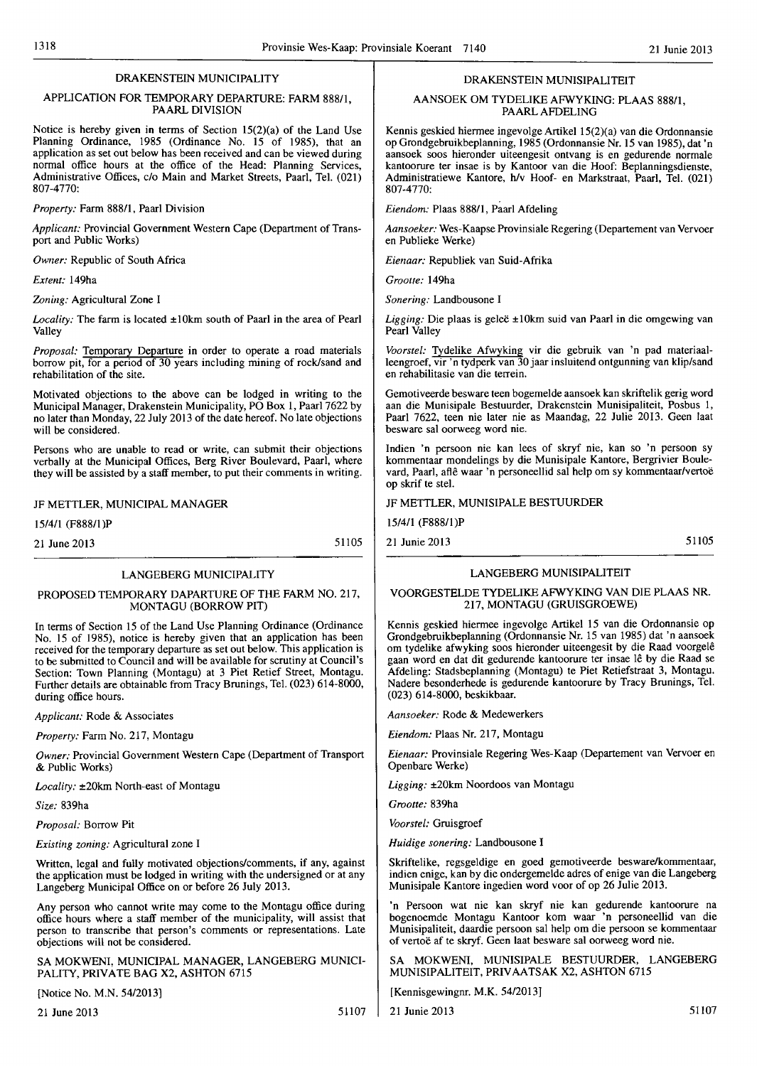# DRAKENSTEIN MUNICIPALITY

### APPLICATION FOR TEMPORARY DEPARTURE: FARM 888/1, PAARL DIVISION

Notice is hereby given in terms of Section 15(2)(a) of the Land Use Planning Ordinance, 1985 (Ordinance No. 15 of 1985), that an application as set out below has been received and can be viewed during normal office hours at the office of the Head: Planning Services, Administrative Offices, c/o Main and Market Streets, Paarl, Tel. (021) 807-4770:

*Property:* Farm 888/1, Paarl Division

*Applicant:* Provincial Government Western Cape (Department of Transport and Public Works)

*Owner:* Republic of South Africa

*Extent:* 149ha

*Zoning:* Agricultural Zone I

*Locality:* The farm is located ±lOkm south of Paarl in the area of Pearl Valley

*Proposal:* Temporary Departure in order to operate a road materials borrow pit, for a period of 30 years including mining of rock/sand and rehabilitation of the site.

Motivated objections to the above can be lodged in writing to the Municipal Manager, Drakenstein Municipality, PO Box 1, Paarl 7622 by no later than Monday, 22 July 2013 of the date hereof. No late objections will be considered.

Persons who are unahle to read or write, can submit their objections verbally at the Municipal Offices, Berg River Boulevard, Paarl, where they will be assisted by a staff member, to put their comments in writing.

#### JF METTLER, MUNICIPAL MANAGER

15/4/1 (F888/1)P

21 June 2013

51105

# LANGEBERG MUNICIPALITY

# PROPOSED TEMPORARY DAPARTURE OF THE FARM NO. 217, MONTAGU (BORROW PIT)

In terms of Section 15 of the Land Use Planning Ordinance (Ordinance No. 15 of 1985), notice is hereby given that an application has been received for the temporary departure as set out below. This application is to be submitted to Council and will be available for scrutiny at Council's Section: Town Planning (Montagu) at 3 Piet Retief Street, Montagu. Further details are obtainable from Tracy Brunings, Tel. (023) 614-8000, during office hours.

*Applicant:* Rode & Associates

*Property:* Farm No. 217, Montagu

*Owner:* Provincial Government Western Cape (Department of Transport & Public Works)

*Locality:* ±20km North-east of Montagu

*Size:* 839ha

*Proposal:* Borrow Pit

*Existing zoning:* Agricultural zone I

Written, legal and fully motivated objections/comments, if any, against the application must be lodged in writing with the undersigned or at any Langeberg Municipal Office on or before 26 July 2013.

Any person who cannot write may come to the Montagu office during office hours where a staff member of the municipality, will assist that person to transcribe that person's comments or representations. Late objections will not be considered.

SA MOKWENI, MUNICIPAL MANAGER, LANGEBERG MUNICI-PALITY, PRIVATE BAG X2, ASHTON 6715

[Notice No. M.N. 54/2013]

21 June 2013 51107

# DRAKENSTEIN MUNISIPALITEIT

# AANSOEK OM TYDELIKE AFWYKING: PLAAS 888/1, PAARL AFDELING

Kennis geskied hiermee ingevolge Artikel 15(2)(a) van die Ordonnansie op Grondgebruikbeplanning, 1985 (Ordonnansie Nr. 15 van 1985), dat'n aansoek soos hieronder uiteengesit ontvang is en gedurende normale kantoorure ter insae is by Kantoor van die Hoof: Beplanningsdienste, Administratiewe Kantore, h/v Hoof- en Markstraat, Paarl, Tel. (021) 807-4770:

*Eiendom:* Plaas 888/1, Paarl Afdeling

*Aallsoeker:* Wes-Kaapse Provinsiale Regering (Departement van Vervoer en Publieke Werke)

Eienaar: Republiek van Suid-Afrika

*Grootte:* 149ha

Sonering: Landbousone I

*Ligging: Die plaas is geleë* ±10km suid van Paarl in die omgewing van Pearl Valley

*Voorstel:* Tydelike Afwyking vir die gebruik van 'n pad materiaalleengroef, vir 'n tydperk van 30 jaar insluitend ontgunning van klip/sand en rehabilitasie van die terrein.

Gemotiveerde besware teen bogemelde aansoek kan skriftelik gerig word aan die Munisipale Bestuurder, Drakenstein Munisipaliteit, Posbus I, Paarl 7622, teen nie later nie as Maandag, 22 Julie 2013. Geen laat besware sal oorweeg word nie.

Indien 'n persoon nie kan lees of skryf nie, kan so 'n persoon sy kommentaar mondelings by die Munisipale Kantore, Bergrivier Boulevard, Paarl, aflê waar 'n personeellid sal help om sy kommentaar/vertoë op skrif te ste!.

JF METTLER, MUNISIPALE BESTUURDER

15/4/1 (F888/1)P

21 Junie 2013 51105

# LANGEBERG MUNISIPALITEIT

# VOORGESTELDE TYDELIKE AFWYKING VAN DIE PLAAS NR. 217, MONTAGU (GRUISGROEWE)

Kennis geskied hiermee ingevolge Artikel 15 van die Ordonnansie op Grondgebruikbeplanning (Ordonnansie Nr. 15 van 1985) dat 'n aansoek om tydelike afwyking soos hieronder uiteengesit by die Raad voorgele gaan word en dat dit gedurende kantoorure ter insae Ie by die Raad se Afdeling: StadsbepJanning (Montagu) te Piet Retiefstraat 3, Montagu. Nadere besonderhede is gedurende kantoorure by Tracy Brunings, Tel. (023) 614-8000, beskikbaar.

*Aallsoeker:* Rode & Medewerkers

*Eiendom: Plaas Nr. 217, Montagu* 

*Eienaar:* Provinsiale Regering Wes-Kaap (Departement van Vervoer en Openbare Werke)

*Ligging:* ±20km Noordoos van Montagu

*Grootte:* 839ha

*Voorstel:* Gruisgroef

*Huidige sonering:* Landbousone I

Skriftelike, regsgeldige en goed gemotiveerde beswarelkommentaar, indien enige, kan by die ondergemelde adres of enige van die Langeberg Munisipaie Kantore ingedien word voor of op 26 Julie 2013.

'n Persoon wat nie kan skryf nie kan gedurende kantoorure na bogenoemde Montagu Kantoor kom waar 'n personeellid van die Munisipaliteit, daardie persoon sal help am die persoon se kommentaar of vertoe af te skryf. Geen laat besware sal oorweeg word nie.

SA MOKWENI, MUNISIPALE BESTUURDER, LANGEBERG MUNISIPALITEIT, PRIV AATSAK X2, ASHTON 6715

[Kennisgewingnr. M.K. 54/2013]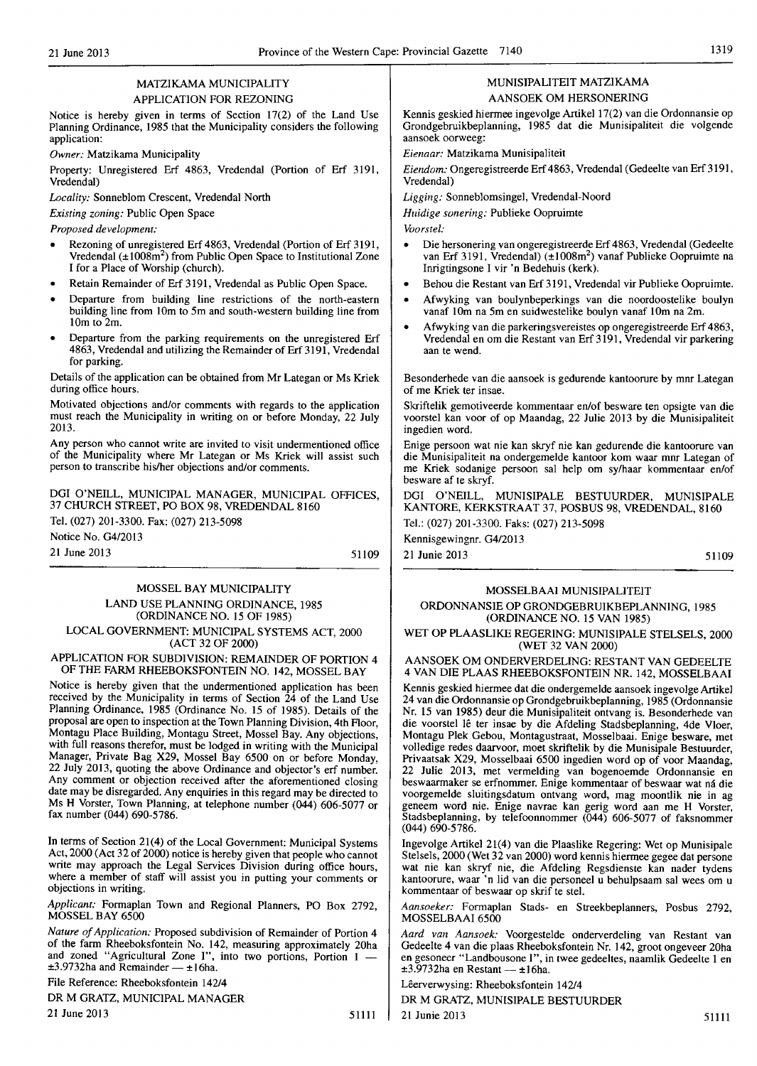# MATZIKAMA MUNICIPALITY APPLICATION FOR REZONING

Notice is hereby given in terms of Section 17(2) of the Land Use Planning Ordinance, 1985 that the Municipality considers the following application:

*Owner:* Matzikama Municipality

Property: Unregistered Erf 4863, Vredendal (Portion of Erf 3191, Vredendal)

*Locality:* Sonneblom Crescent, Vredendal North

*Existing zoning:* Public Open Space

*Proposed development:* 

- Rezoning of unregistered Erf 4863, Vredendal (Portion of Erf 3191, Vredendal (±1008m2) from Public Open Space to Institutional Zone I for a Place of Worship (church).
- Retain Remainder of Erf 3191, Vredendal as Public Open Space.
- Departure from building line restrictions of the north-eastern building line from 10m to 5m and south-western building line from 10m to 2m.
- Departure from the parking requirements on the unregistered Erf 4863, Vredendal and utilizing the Remainder of Erf 3191, Vredendal for parking.

Details of the application can be obtained from Mr Lategan or Ms Krick during office hours.

Motivated objections and/or comments with regards to the application must reach the Municipality in writing on or before Monday, 22 July 2013.

Any person who cannot write are invited to visit undermentioned office of the Municipality where Mr Lategan or Ms Kriek will assist such person to transcribe hislher objections and/or comments.

DGI O'NEILL, MUNICIPAL MANAGER, MUNICIPAL OFFICES, 37 CHURCH STREET, PO BOX 98, VREDENDAL 8160

Tel. (027) 201-3300. Fax: (027) 213-5098

Notice No. G412013

21 June 2013

51109

# MOSSEL BAY MUNICIPALITY LAND USE PLANNING ORDINANCE, 1985 (ORDINANCE NO. 15 OF 1985) LOCAL GOVERNMENT: MUNICIPAL SYSTEMS ACT, 2000

(ACT 32 OF 2000)

APPLICATION FOR SUBDIVISION: REMAINDER OF PORTION 4 OF THE FARM RHEEBOKSFONTEIN NO. 142, MOSSEL BAY

Notice is hereby given that the undermentioned application has been received by the Municipality in terms of Section 24 of the Land Use Planning Ordinance, 1985 (Ordinance No. 15 of 1985). Details of the proposal are open to inspection at the Town Planning Division, 4th Floor, Montagu Place Building, Montagu Street, Mossel Bay. Any objections, with full reasons therefor, must be lodged in writing with the Municipal Manager, Private Bag X29, Mossel Bay 6500 on or before Monday, 22 July 2013, quoting the above Ordinance and objector's erf number. Any comment or objection received after the aforementioned closing date may be disregarded. Any enquiries in this regard may be directed to Ms H Vorster, Town Planning, at telephone number (044) 606-5077 or fax number (044) 690-5786.

In terms of Section 21(4) of the Local Government: Municipal Systems Act, 2000 (Act 32 of 2000) notice is hereby given that people who cannot write may approach the Legal Services Division during office hours, where a member of staff will assist you in putting your comments or objections in writing.

*Applicant:* Formaplan Town and Regional Planners, PO Box 2792, MOSSEL BAY 6500

*Nature of Application:* Proposed subdivision of Remainder of Portion 4 of the farm Rheeboksfontein No. 142, measuring approximately 20ha and zoned "Agricultural Zone I", into two portions, Portion 1 -  $±3.9732$ ha and Remainder  $-±16$ ha.

File Reference: Rheeboksfontein 14214

DR M GRATZ, MUNICIPAL MANAGER

21 June 2013 51111

# MUNISIPALITEIT MATZIKAMA AANSOEK OM HERSONERING

Kennis geskied hiermee ingevolge Artikel 17(2) van die Ordonnansie op Grondgebruikbeplanning, 1985 dat die Munisipaliteit die volgende aansoek oorweeg:

*Eienaar:* Matzikama Munisipa1iteit

*Eiendom:* Ongeregistreerde Erf 4863, Vredendal (Gedeelte van Erf 3191, Vredendal)

Ligging: Sonneblomsingel, Vredendal-Noord

*Huidige sonering:* Publieke Oopruimte

*Voorstel:* 

- Die hersonering van ongeregistreerde Erf 4863, Vredendal (Gedeelte van Erf 3191, Vredendal) (±1008m<sup>2</sup>) vanaf Publieke Oopruimte na Inrigtingsone I vir 'n Bedehuis (kerk).
- Behou die Restant van Erf 3191, Vredendal vir Publieke Oopruimte.
- Afwyking van boulynbeperkings van die noordoostelike boulyn vanaf 10m na 5m en suidwestelike boulyn vanaf 10m na 2m.
- Afwyking van die parkeringsvereistes op ongeregistreerde Erf 4863, Vredendal en om die Restant van Erf3191, Vredendal vir parkering aan te wend.

Besonderhede van die aansoek is gedurende kantoorure by mnr Lategan of me Kriek ter insae.

Skriftelik gemotiveerde kommentaar en/of besware ten opsigte van die voorstel kan voor of op Maandag, 22 Julie 2013 by die Munisipaliteit ingedien word.

Enige persoon wat nie kan skryf nie kan gedurende die kantoorure van die Munisipaliteit na ondergemelde kantoor kom waar mnr Lategan of me Kriek sodanige persoon sal help om sy/haar kommentaar en/of besware af te skryf.

DGI O'NEILL, MUNISIPALE BESTUURDER, MUNISIPALE KANTORE, KERKSTRAAT 37, POSBUS 98, VREDENDAL, 8160

Tel.: (027) 201-3300. Faks: (027) 213-5098

Kennisgewingnr. G4/2013

21 Junie 2013 51109

# MOSSELBAAI MUNISIPALITEIT

# ORDONNANSIE OP GRONDGEBRUIKBEPLANNING, 1985 (ORDINANCE NO, 15 VAN 1985)

WET OP PLAASLIKE REGERING: MUNISIPALE STELSELS, 2000 (WET 32 VAN 2000)

AANSOEK OM ONDERVERDELING: RESTANT VAN GEDEELTE 4 VAN DIE PLAAS RHEEBOKSFONTEIN NR. 142, MOSSELBAAI

Kennis geskied hiermee dat die ondergemelde aansoek ingevolge Artike1 24 van die Ordonnansie op Grondgebruikbeplanning, 1985 (Ordonnansie Nr. 15 van 1985) deur die Munisipaliteit ontvang is, Besonderhede van die voorstel lê ter insae by die Afdeling Stadsbeplanning, 4de Vloer, Montagu Plek Gebou, Montagustraat, Mosselbaai. Enige besware, met vollcdige redes daarvoor, moet skriftelik by die Munisipale Bestuurder, Privaatsak X29, Mosselbaai 6500 ingedien word op of voor Maandag, 22 Julie 2013, met vermelding van bogenoemde Ordonnansie en beswaarmaker se erfnommer, Enige kommentaar of beswaar wat na die voorgemelde sluitingsdatum ontvang word, mag moontlik nie in ag geneem word me. Enige navrae kan gerig word aan me H Vorster, Stadsbeplanning, by telefoonnommer (044) 606-5077 of faksnommer (044) 690-5786.

Ingevolge Artikel 21(4) van die Plaaslike Regering: Wet op Munisipale Stelsels, 2000 (Wet 32 van 2000) word kennis hiermee gegee dat persone wat nie kan skryf nie, die Afdeling Regsdienste kan nader tydens kantoorure, waar 'n lid van die personeel u behulpsaam sal wees om u kommentaar of beswaar op skrif te stel.

*Aansoeker:* Formaplan Stads- en Streekbeplanners, Posbus 2792, MOSSELBAAI 6500

*Aard van Aansoek:* Voorgestelde onderverdeling van Restant van Gedeelte 4 van die plaas Rheeboksfontein Nr. 142, groot ongeveer 20ha en gesoneer "Landbousone I", in twee gedeeltes, naamlik Gedeelte 1 en  $\pm 3.9732$ ha en Restant —  $\pm 16$ ha.

Lêerverwysing: Rheeboksfontein 142/4

DR M GRATZ, MUNISIPALE BESTUURDER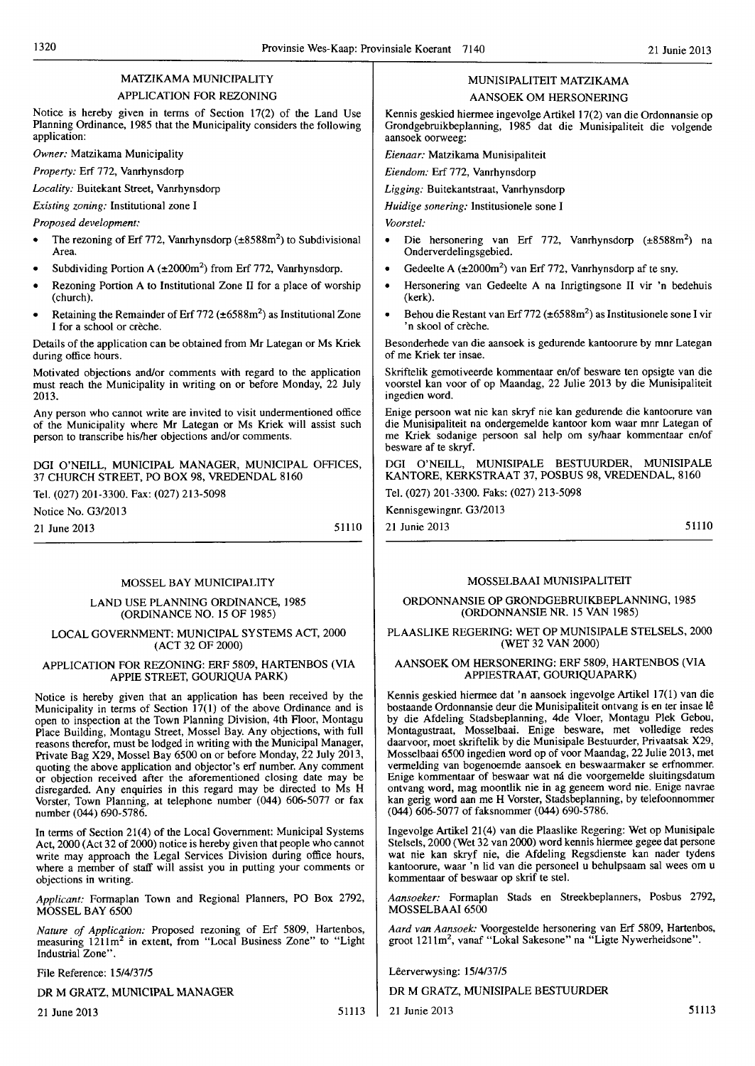# MATZIKAMA MUNICIPALITY

# APPLICATION FOR REZONING

Notice is hereby given in terms of Section 17(2) of the Land Use Planning Ordinance, 1985 that the Municipality considers the following application: *to* 

*Owner:* Matzikama Municipality

*Property:* Erf 772, Vanrhynsdorp

*Locality:* Buitekant Street, Vanrhynsdorp

*Existing zoning:* Institutional zone I

*Proposed development:* 

- The rezoning of Erf 772, Vanrhynsdorp (±8588m<sup>2</sup>) to Subdivisional Area.
- Subdividing Portion A  $(\pm 2000 \text{m}^2)$  from Erf 772, Vanrhynsdorp.
- Rezoning Portion A to Institutional Zone II for a place of worship (church).
- Retaining the Remainder of Erf 772 ( $\pm 6588$ m<sup>2</sup>) as Institutional Zone I for a school or crèche.

Details of the application can be obtained from Mr Lategan or Ms Kriek during office hours.

Motivated objections and/or comments with regard to the application must reach the Municipality in writing on or before Monday, 22 July 2013.

Any person who cannot write are invited to visit undermentioned office of the Municipality where Mr Lategan or Ms Kriek will assist such person to transcribe his/her objections and/or comments.

DOl O'NEILL, MUNICIPAL MANAGER, MUNICIPAL OFFICES, 37 CHURCH STREET, PO BOX 98, VREDENDAL 8160

Tel. (027) 201-3300. Fax: (027) 213-5098

Notice No. *G3/2013* 

21 June 2013

51110

# MOSSEL BAY MUNICIPALITY

# LAND USE PLANNING ORDINANCE, 1985 (ORDINANCE NO. 15 OF 1985)

# LOCAL GOVERNMENT: MUNICIPAL SYSTEMS ACT, 2000 (ACT 32 OF 2000)

# APPLICATION FOR REZONING: ERF 5809, HARTENBOS (VIA APPlE STREET, GOURIQUA PARK)

Notice is hereby given that an application has been received by the Municipality in terms of Section  $17(1)$  of the above Ordinance and is open to inspection at the Town Planning Division, 4th Floor, Montagu Place Building, Montagu Street, Mossel Bay. Any objections, with full reasons therefor, must be lodged in writing with the Municipal Manager, Private Bag X29, Mossel Bay 6500 on or before Monday, 22 July 2013, quoting the above application and objector's erf number. Any comment or objection received after the aforementioned closing date may be disregarded. Any enquiries in this regard may be directed to Ms H Vorster, Town Planning, at telephone number (044) 606-5077 or fax number (044) 690-5786.

In terms of Section 21(4) of the Local Government: Municipal Systems Act, 2000 (Act 32 of 2000) notice is hereby given that people who cannot write may approach the Legal Services Division during office hours, where a member of staff will assist you in putting your comments or objections in writing.

*Applicant:* Formaplan Town and Regional Planners, PO Box 2792, MOSSEL BAY 6500

*Nature of Application:* Proposed rezoning of Erf 5809, Hartenbos, measuring 1211m2 in extent, from "Local Business Zone" to "Light Industrial Zone".

File Reference: *15/4/37/5* 

DR M GRATZ, MUNICIPAL MANAGER

21 June 2013 51113

# MUNISIPALITEIT MATZIKAMA

AANSOEK OM HERSONERING

Kennis geskied hiermee ingevolge Artikel 17(2) van die Ordonnansie op Grondgebruikbeplanning, 1985 dat die Munisipaliteit die volgende aansoek oorweeg:

*Eiellaar:* Matzikama Munisipaliteit

*Eiendom:* Erf 772, Vanrhynsdorp

Ligging: Buitekantstraat, Vanrhynsdorp

*Huidige sonering:* Institusionele sone I

*Voorsrei:* 

- Die hersonering van Erf 772, Vanrhynsdorp (±8588m2) na Onderverdelingsgebied.
- Gedeelte A (±2000m<sup>2</sup>) van Erf 772, Vanrhynsdorp af te sny.
- Hersonering van Gedeelte A na Inrigtingsone II vir 'n bedehuis (kerk).
- Behou die Restant van Erf 772 ( $\pm 6588$ m<sup>2</sup>) as Institusionele sone I vir 'n skool of creche.

Besonderhede van die aansoek is gedurende kantoorure by mnr Lategan of me Kriek ter insae.

Skriftelik gemotiveerde kommentaar en/of besware ten opsigte van die voorstel kan voor of op Maandag, 22 Julie 2013 by die Munisipaliteit ingedien word.

Enige persoon wat nie kan skryf nie kan gedurende die kantoorure van die Munisipaliteit na ondergemelde kantoor kom waar mnr Lategan of me Kriek sodanige persoon sal help om sylhaar kommentaar en/of besware af te skryf.

DOl O'NEILL, MUNISIPALE BESTUURDER, MUNISIPALE KANTORE, KERKSTRAAT 37, POSBUS 98, VREDENDAL, 8160

Tel. (027) 201-3300. Faks: (027) 213-5098

Kennisgewingnr. G312013 21 Junie 2013 51II0

# MOSSELBAAI MUNISIPALITEIT

# ORDONNANSIE OP GRONDGEBRUIKBEPLANNING, 1985 (ORDONNANSIE NR. 15 VAN 1985)

# PLAASLIKE REGERING: WET OP MUNISIPALE STELSELS, 2000 (WET 32 VAN 2000)

# AANSOEK OM HERSONERING: ERF 5809, HARTENBOS (VIA APPIESTRAAT, GOURIQUAPARK)

Kennis geskied hiermee dat 'n aansoek ingevolge Artikel 17(1) van die bostaande Ordonnansie deur die Munisipaliteit ontvang is en ter insae Ie by die Afdeling Stadsbeplanning, 4de Vloer, Montagu Plek Gebou, Montagustraat, Mosselbaai. Enige besware, met voIIedige redes daarvoor, moet skriftelik by die Munisipale Bestuurder, Privaatsak X29, Mosselbaai 6500 ingedien word op of voor Maandag, 22 Julie 2013, met vermelding van bogenoemde aansoek en beswaarmaker se erfnommer. Enige kommentaar of beswaar wat ná die voorgemelde sluitingsdatum ontvang word, mag moontlik nie in ag geneem word nie. Enige navrae kan gerig word aan me H Vorster, Stadsbeplanning, by telefoonnommer (044) 606-5077 offaksnommer (044) 690-5786.

Ingevolge Artikel 21(4) van die Plaaslike Regering: Wet op Munisipale Stelsels, 2000 (Wet 32 van 2000) word kennis hiermee gegee dat persone wat nie kan skryf nie, die Afdeling Regsdienste kan nader tydens kantoorure, waar 'n lid van die personeel u behulpsaam sal wees om u kommentaar of beswaar op skrif te stel.

*Aansoeker:* Formaplan Stads en Streekbeplanners, Posbus 2792, MOSSELBAAI 6500

*Aard van Aansoek:* Voorgestelde hersonering van Erf 5809, Hartenbos, groot 1211m2, vanaf "Lokal Sakesone" na "Ligte Nywerheidsone".

Uerverwysing: *15/4/37/5* 

DR M GRATZ, MUNISIPALE BESTUURDER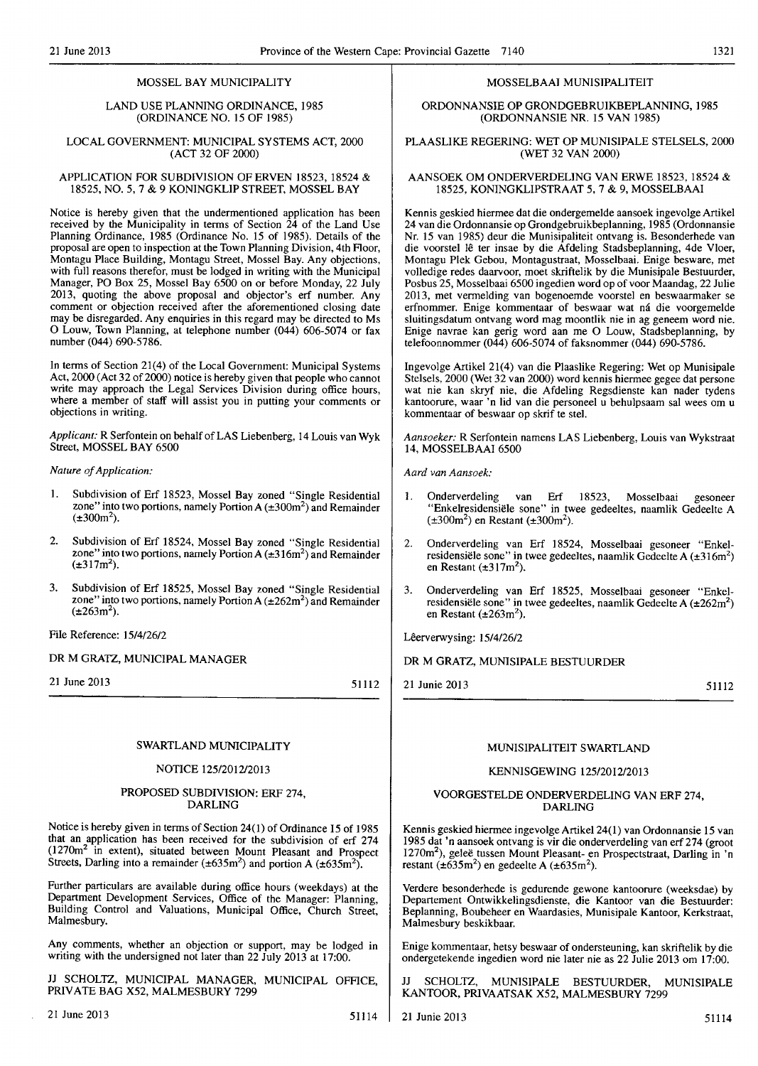# MOSSEL BAY MUNICIPALITY

# LAND USE PLANNING ORDINANCE, 1985 (ORDINANCE NO. 15 OF 1985)

# LOCAL GOVERNMENT: MUNICIPAL SYSTEMS ACT, 2000 (ACT 32 OF 2000)

### APPLICATION FOR SUBDIVISION OF ERVEN 18523, 18524 & 18525, NO.5, 7 & 9 KONINGKLIP STREET, MOSSEL BAY

Notice is hereby given that the undermentioned application has been received by the Municipality in terms of Section 24 of the Land Use Planning Ordinance, 1985 (Ordinance No. 15 of 1985). Details of the proposal are open to inspection at the Town Planning Division, 4th Floor, Montagu Place Building, Montagu Street, Mossel Bay. Any objections, with full reasons therefor, must be lodged in writing with the Municipal Manager, PO Box 25, Mossel Bay 6500 on or before Monday, 22 July 2013, quoting the above proposal and objector's erf number. Any comment or objection received after the aforementioned closing date may be disregarded. Any enquiries in this regard may be directed to Ms o Louw, Town Planning, at telephone number (044) 606-5074 or fax number (044) 690-5786.

In terms of Section 21(4) of the Local Government: Municipal Systems Act, 2000 (Act 32 of 2000) notice is hereby given that people who cannot write may approach the Legal Services Division during office hours, where a member of staff will assist you in putting your comments or objections in writing.

Applicant: R Serfontein on behalf of LAS Liebenberg, 14 Louis van Wyk Street, MOSSEL BAY 6500

### *Nature of Application:*

- 1. Subdivision of Erf 18523, Mossel Bay zoned "Single Residential zone" into two portions, namely Portion A  $(\pm 300 \text{m}^2)$  and Remainder  $(\pm 300 \text{m}^2)$ .
- 2. Subdivision of Erf 18524, Mossel Bay zoned "Single Residential zone" into two portions, namely Portion A  $(\pm 316m^2)$  and Remainder  $(\pm 317m^2)$ .
- 3. Subdivision of Erf 18525, Mossel Bay zoned "Single Residential zone" into two portions, namely Portion A  $(\pm 262m^2)$  and Remainder  $(\pm 263 \text{m}^2)$ .

File Reference: 15/4/26/2

# DR M GRATZ, MUNICIPAL MANAGER

21 June 2013

51112

# SWARTLAND MUNICIPALITY

# NOTICE 125/2012/2013

### PROPOSED SUBDIVISION: ERF 274, DARLING

Notice is hereby given in terms of Section 24(1) of Ordinance 15 of 1985 that an application has been received for the subdivision of erf 274 (1270m<sup>2</sup> in extent), situated between Mount Pleasant and Prospect Streets, Darling into a remainder ( $\pm 635 \text{m}^2$ ) and portion A ( $\pm 635 \text{m}^2$ ).

Further particulars are available during office hours (weekdays) at the Department Development Services, Office of the Manager: Planning, Building Control and Valuations, Municipal Office, Church Street, Malmesbury.

Any comments, whether an objection or support, may be lodged in writing with the undersigned not later than 22 July 2013 at 17:00.

JJ SCHOLTZ, MUNICIPAL MANAGER, MUNICIPAL OFFICE, PRIVATE BAG X52, MALMESBURY 7299

# MOSSELBAAI MUNISIPALITEIT

ORDONNANSIE OP GRONDGEBRUIKBEPLANNING, 1985 (ORDONNANSIE NR. 15 VAN 1985)

# PLAASLIKE REGERING: WET OP MUNISIPALE STELSELS, 2000 (WET 32 VAN 2000)

#### AANSOEK OM ONDERVERDELING VAN ERWE 18523, 18524 & 18525, KONINGKLIPSTRAAT 5,7 & 9, MOSSELBAAI

Kennis geskied hiermee dat die ondergemeIde aansoek ingevolge Artikel 24 van die Ordonnansie op Grondgebruikbeplanning, 1985 (Ordonnansie Nr. 15 van 1985) deur die Munisipaliteit ontvang is. Besonderhede van die voorstel lê ter insae by die Afdeling Stadsbeplanning, 4de Vloer, Montagu Plek Gebou, Montagustraat, Mosselbaai. Enige besware, met volledige redes daarvoor, moet skriftelik by die Munisipale Bestuurder, Posbus 25, Mosselbaai 6500 ingedien word op of voor Maandag, 22 Julie 2013, met vennelding van bogenoemde voorstel en beswaarmaker se erfnommer. Enige kommentaar of beswaar wat ná die voorgemelde sluitingsdatum ontvang word mag moontlik nie in ag geneem word nie. Enige navrae kan gerig word aan me 0 Louw, Stadsbeplanning, by telefoonnommer (044) 606-5074 of faksnommer (044) 690-5786.

Ingevolge Artikel 21(4) van die Plaaslike Regering: Wet op Munisipale Stelsels, 2000 (Wet 32 van 2000) word kennis hiermee gegee dat persone wat nie kan skryf nie, die Afdeling Regsdienste kan nader tydens kantoorure, waar 'n lid van die personeel u behulpsaam sal wees om u kommentaar of beswaar op skrif te ste!.

*Aansoeker:* R Serfontein namens LAS Liebenberg, Louis van Wykstraat 14, MOSSELBAAI 6500

Aard van Aansoek:

- 1. Onderverdeling van Erf 18523, Mosselbaai gesoneer "Enkelresidensiele sone" in twee gedeeJtes, naamlik Gedeelte A  $(\pm 300 \text{m}^2)$  en Restant  $(\pm 300 \text{m}^2)$ .
- 2. Onderverdeling van Erf 18524, Mosselbaai gesoneer "Enkelresidensiële sone" in twee gedeeltes, naamlik Gedeelte A (±316m<sup>2</sup>) en Restant  $(\pm 317m^2)$ .
- 3. Onderverdeling van Erf 18525, Mosselbaai gesoneer "Enkelresidensiële sone" in twee gedeeltes, naamlik Gedeelte A  $(\pm 262m^2)$ en Restant  $(\pm 263 \text{m}^2)$ .

# Lêerverwysing: 15/4/26/2

# DR M GRATZ, MUNISIPALE BESTUURDER

21 Junie 2013

51112

# MUNISIPALITEIT SWARTLAND

# KENNISGEWING 125/2012/2013

# VOORGESTELDE ONDERVERDELING VAN ERF 274, DARLING

Kennis geskied hiermee ingevolge ArtikeI 24(1) van Ordonnansie 15 van 1985 dat 'n aansoek ontvang is vir die onderverdeling van erf274 (groot 1270m2), gelee tussen Mount Pleasant- en Prospectstraat, Darling in 'n restant ( $\pm 635$ m<sup>2</sup>) en gedeelte A ( $\pm 635$ m<sup>2</sup>).

Verdere besonderhede is gedurende gewone kantoorure (weeksdae) by Departement OntwikkeIingsdienste, die Kantoor van die Bestuurder: Beplanning, Boubeheer en Waardasies, Munisipale Kantoor, Kerkstraat, Malmesbury beskikbaar.

Enige kommentaar, hetsy beswaar of ondersteuning, kan skriftelik by die ondergetekende ingedien word nie later nie as 22 Julie 2013 om 17:00.

SCHOLTZ, MUNISIPALE BESTUURDER, MUNISIPALE KANTOOR, PRIVAATSAK X52, MALMESBURY 7299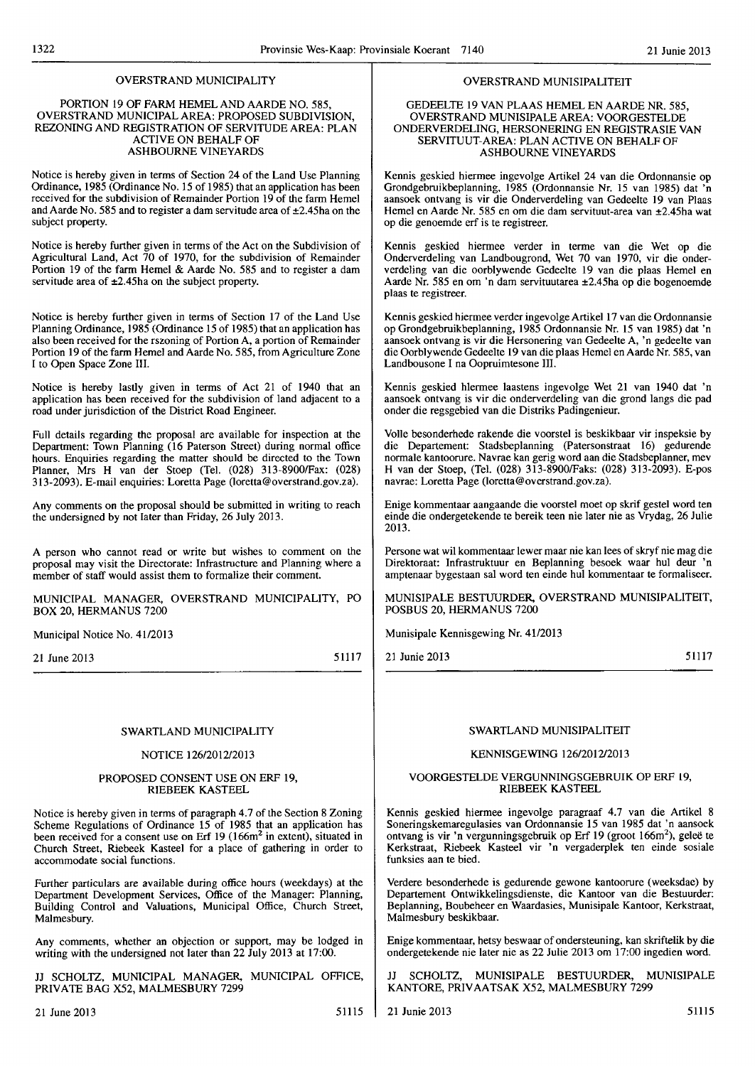# OVERSTRAND MUNICIPALITY

### PORTION 19 OF FARM HEMEL AND AARDE NO. 585, OVERSTRAND MUNICIPAL AREA: PROPOSED SUBDIVISION, REZONING AND REGISTRATION OF SERVITUDE AREA: PLAN ACTIVE ON BEHALF OF ASHBOURNE VINEYARDS

Notice is hereby given in terms of Section 24 of the Land Use Planning Ordinance, 1985 (Ordinance No. 15 of 1985) that an application has been received for the subdivision of Remainder Portion 19 of the farm Hemel and Aarde No. 585 and to register a dam servitude area of  $\pm$ 2.45ha on the subject property.

Notice is hereby further given in terms of the Act on the Subdivision of Agricultural Land, Act 70 of 1970, for the subdivision of Remainder Portion 19 of the farm Hcmel & Aarde No. 585 and to register a dam servitude area of  $\pm 2.45$ ha on the subject property.

Notice is hereby further given in terms of Section 17 of the Land Use Planning Ordinance, 1985 (Ordinance 15 of 1985) that an application has also been received for the rszoning of Portion A, a portion of Remainder Portion 19 of the farm Hemel and Aarde No. 585, from Agriculture Zone I to Open Space Zone III.

Notice is hereby lastly given in terms of Act 21 of 1940 that an application has been received for the subdivision of land adjacent to a road under jurisdiction of the District Road Engineer.

Full details regarding the proposal are available for inspection at the Department: Town Planning (16 Paterson Street) during normal office hours. Enquiries regarding the matter should be directed to the Town Planner, Mrs H van der Stoep (Tel. (028) 313-8900/Fax: (028) 313-2093). E-mail enquiries:LorettaPage(\orctta@overstrand.gov.za).

Any comments on the proposal should be submitted in writing to reach the undersigned by not later than Friday, 26 July 2013.

A person who cannot read or write but wishes to comment on the proposal may visit the Directorate: Infrastructure and Planning where a member of staff would assist them to formalize their comment.

MUNICIPAL MANAGER, OVERSTRAND MUNICIPALITY, PO BOX 20, HERMANUS 7200

Municipal Notice No. 41/2013

21 June 2013

51117

# SWARTLAND MUNICIPALITY

# NOTICE 126/2012/2013

#### PROPOSED CONSENT USE ON ERF 19, RIEBEEK KASTEEL

Notice is hereby given in terms of paragraph 4.7 of the Section 8 Zoning Scheme Regulations of Ordinance 15 of 1985 that an application has been received for a consent use on Erf  $19(166m^2)$  in extent), situated in Church Street, Riebeek Kasteel for a place of gathering in order to accommodate social functions.

Further particulars are available during office hours (weekdays) at the Department Development Services, Office of the Manager: Planning, Building Control and Valuations, Municipal Office, Church Street, Malmesbury.

Any comments, whether an objection or support, may be lodged in writing with the undersigned not later than 22 July 2013 at 17:00.

JJ SCHOLTZ, MUNICIPAL MANAGER, MUNICIPAL OFFICE, PRIVATE BAG X52, MALMESBURY 7299

21 June 2013 51115

# OVERSTRAND MUNISIPALITEIT

### GEDEELTE 19 VAN PLAAS HEMEL EN AARDE NR. 585, OVERSTRAND MUNISlPALE AREA: VOORGESTELDE ONDERVERDELING, HERSONERING EN REGISTRASIE VAN SERVITUUT-AREA: PLAN ACTIVE ON BEHALF OF ASHBOURNE VINEYARDS

Kennis geskied hiermee ingevolge Artikel 24 van die Ordonnansie op Grondgebruikbeplanning, 1985 (Ordonnansie Nr. 15 van 1985) dat 'n aansoek ontvang is vir die Onderverdeling van Gedeelte 19 van Plaas Hemel en Aarde Nr. 585 en om die dam servituut-area van ±2.45ha wat op die genoemde erf is te registreer.

Kennis geskied hiermee verder in terme van die Wet op die Onderverdeling van Landbougrond, Wet 70 van 1970, vir die onderverdeling van die oorblywende Gedeelte 19 van die plaas Hemel en Aarde Nr. 585 en om 'n dam servituutarea ±2.45ha op die bogenoemde plaas te registreer.

Kennis geskicd hiermec verder ingevolge Artikel 17 van die Ordonnansie op Grondgebruikbeplanning, 1985 Ordonnansie Nr. 15 van 1985) dat 'n aansoek ontvang is vir die Hersonering van Gedeelte A, 'n gedeelte van die Oorblywende Gedeelte 19 van die plaas Hemel en Aarde Nr. 585, van Landbousone I na Oopruimtesone III.

Kennis geskied hlermee laastens ingevolge Wet 21 van 1940 dat 'n aansoek ontvang is vir die onderverdeling van die grond langs die pad onder die regsgebied van die Distriks Padingenieur.

Volle besonderhede rakende die voorstel is beskikbaar vir inspeksie by die Departement: Stadsbeplanning (Patersonstraat 16) gedurende normale kantoorure. Navrae kan gerig word aan die Stadsbeplanner, mev H van der Stoep, (Tel. (028) 313-89OO/Faks: (028) 3\3-2093). E-pos navrae: Loretta Page (loretta@overstrand.gov.za).

Enige kommentaar aangaande die voorstel moet op skrif gestel word ten einde die ondergetekende te bereik teen nie later nie as Vrydag, 26 Julie 2013.

Persone wat wi! kommentaar lewer maar nie kan lees of skryf nie mag die Direktoraat: Infrastruktuur en Beplanning besoek waar hul deur 'n amptenaar bygcstaan sal word ten einde hul kommentaar te formaliseer.

MUNISIPALE BESTUURDER, OVERSTRAND MUNlSIPALITEIT, POSBUS 20, HERMANUS 7200

Munisipale Kennisgewing Nr. 41/2013

21 Junie 2013

51117

# SWARTLAND MUNISIPALITEIT

# KENNISGEWING 126/2012/2013

# VOORGESTELDE VERGUNNINGSGEBRUIK OP ERF 19, RIEBEEK KASTEEL

Kennis geskied hiermee ingevolge paragraaf 4.7 van die Artikel 8 Soneringskemaregulasies van Ordonnansie 15 van 1985 dat 'n aansoek ontvang is vir 'n vergunningsgebruik op Erf 19 (groot 166m<sup>2</sup>), geleë te Kerkstraat, Riebeek Kasteel vir 'n vergaderplek ten einde sosiale funksies aan te bied.

Verdere besonderhede is gedurende gewone kantoorure (weeksdae) by Departement Ontwikkelingsdienste, die Kantoor van die Bestuurder: Beplanning, Boubeheer en Waardasies, Munisipale Kantoor, Kerkstraat, Malmesbury beskikbaar.

Enige kommentaar, hetsy beswaar of ondersteuning, kan skriftelik by die ondergetekende nie later nie as 22 Julie 2013 om 17:00 ingedien word.

JJ SCHOLTZ, MUNISIPALE BESTUURDER, MUNISIPALE KANTORE, PRIV AATSAK X52, MALMESBURY 7299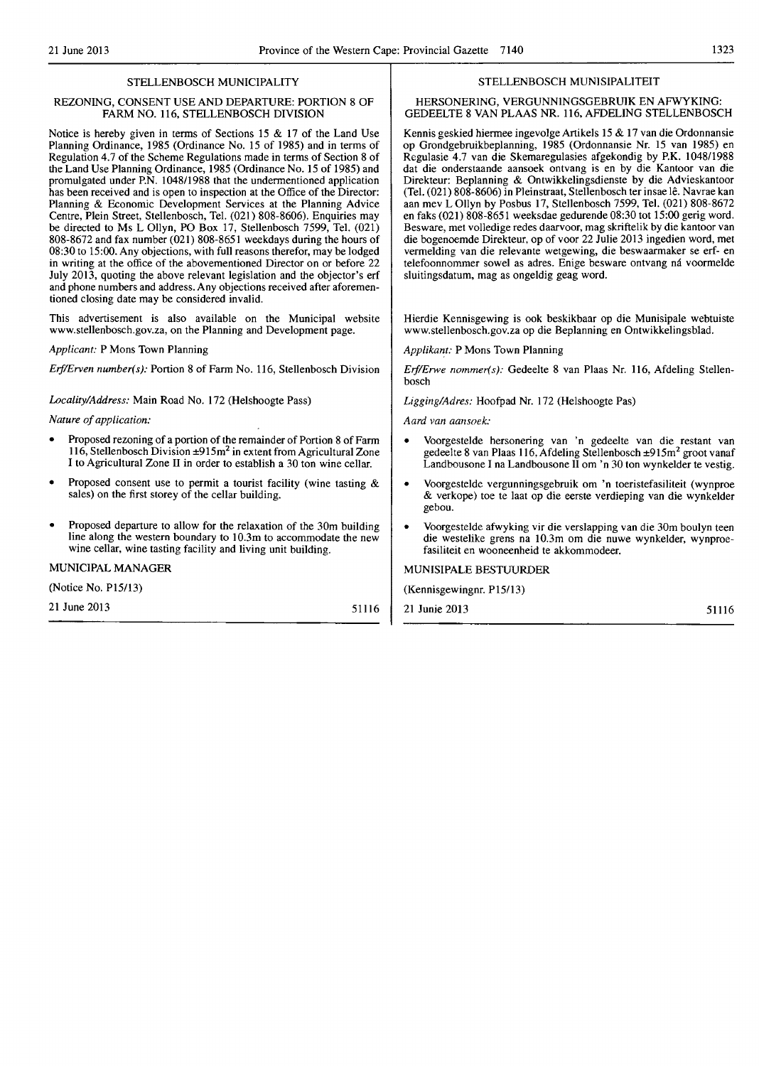# STELLENBOSCH MUNICIPALITY

# REZONING, CONSENT USE AND DEPARTURE: PORTION 8 OF FARM NO. 116, STELLENBOSCH DIVISION

Notice is hereby given in terms of Sections 15 & 17 of the Land Use Planning Ordinance, 1985 (Ordinance No. 15 of 1985) and in terms of Regulation 4.7 of the Scheme Regulations made in terms of Section 8 of the Land Use Planning Ordinance, 1985 (Ordinance No. 15 of 1985) and promulgated under P.N. 1048/1988 that the undermentioned application has been received and is open to inspection at the Office of the Director: Planning & Economic Development Services at the Planning Advice Centre, Plein Street, Stellenbosch, Tel. (021) 808-8606). Enquiries may be directed to Ms L Ollyn, PO Box 17, Stellenbosch 7599, Tel. (021) 808-8672 and fax number (021) 808-8651 weekdays during the hours of 08:30 to 15:00. Any objections, with full reasons therefor, may be lodged in writing at the office of the abovementioned Director on or before 22 July 2013, quoting the above relevant legislation and the objector's erf and phone numbers and address. Any objections received after aforementioned closing date may be considered invalid.

This advertisement is also available on the Municipal website www.stellenbosch.gov.za. on the Planning and Development page.

*Applicant:* P Mons Town Planning

*Erf/Erven number(s): Portion 8 of Farm No. 116, Stellenbosch Division* 

*Locality/Address:* Main Road No. 172 (Helshoogte Pass)

*Nature of application:* 

- Proposed rezoning of a portion of the remainder of Portion 8 of Farm 116, Stellenbosch Division  $\pm 915$ m<sup>2</sup> in extent from Agricultural Zone I to Agricultural Zone II in order to establish a 30 ton wine cellar.
- Proposed consent use to permit a tourist facility (wine tasting  $\&$ sales) on the first storey of the cellar building.
- Proposed departure to allow for the relaxation of the 30m building line along the western boundary to 10.3m to accommodate the new wine cellar, wine tasting facility and living unit building.

# MUNICIPAL MANAGER

(Notice No. PI5113)

21 June 2013 51116

STELLENBOSCH MUNISIPALlTEIT

# HERSONERING, VERGUNNINGSGEBRUIK EN AFWYKING: GEDEELTE 8 VAN PLAAS NR. 116, AFDELING STELLENBOSCH

Kennis geskied hiermee ingevolge Artikels 15 & 17 van die Ordonnansie op Grondgebruikbeplanning, 1985 (Ordonnansie Nr. 15 van 1985) en Regulasie 4.7 van die Skemaregulasies afgekondig by P.K. *1048/1988*  dat die onderstaande aansoek ontvang is en by die Kantoor van die Direkteur: Beplanning & Ontwikkelingsdienste by die Advieskantoor (Tel. (021) 808-8606) in Pleinstraat, Stellenbosch ter insae lê. Navrae kan aan mev L Ollyn by Posbus 17, Stellenbosch 7599, Tel. (021) 808-8672 en faks (021) 808-8651 weeksdae gedurende 08:30 tot 15:00 gerig word. Besware, met volledige redes daarvoor, mag skriftelik by die kantoor van die bogenoemde Direkteur, op of voor 22 Julie 2013 ingedien word, met vermelding van die relevante wetgewing, die beswaarmaker se erf- en telefoonnommer sowel as adres. Enige besware ontvang ná voormelde sluitingsdatum, mag as ongeldig geag word.

Hierdie Kennisgewing is ook beskikbaar op die Munisipale webtuiste www.stellenbosch.gov.za op die Beplanning en Ontwikkelingsblad.

*Applikant:* P Mons Town Planning

*ErjlErwe nommer(s):* Gedeelte 8 van Plaas *Nc.* 116, Afdeling Stellenbosch

Ligging/Adres: Hoofpad Nr. 172 (Helshoogte Pas)

Aard van aansoek:

- Voorgestelde hersonering van 'n gedeeJte van die restant van gedeelte 8 van Plaas 116, Afdeling Stellenbosch ±915m2 groot vanaf Landbousone I na Landbousone II om 'n 30 ton wynkelder te vestig.
- Voorgestelde vergunningsgebruik om 'n toeristefasiliteit (wynproe & verkope) toe te laat op die eerste verdieping van die wynkelder gebou.
- Voorgestelde afwyking vir die verslapping van die 30m boulyn teen die westelike grens na lO.3m om die nuwe wynkelder, wynproefasiliteit en wooneenheid te akkommodeer.

# MUNISIPALE BESTUURDER

(Kennisgewingnr. P151l3)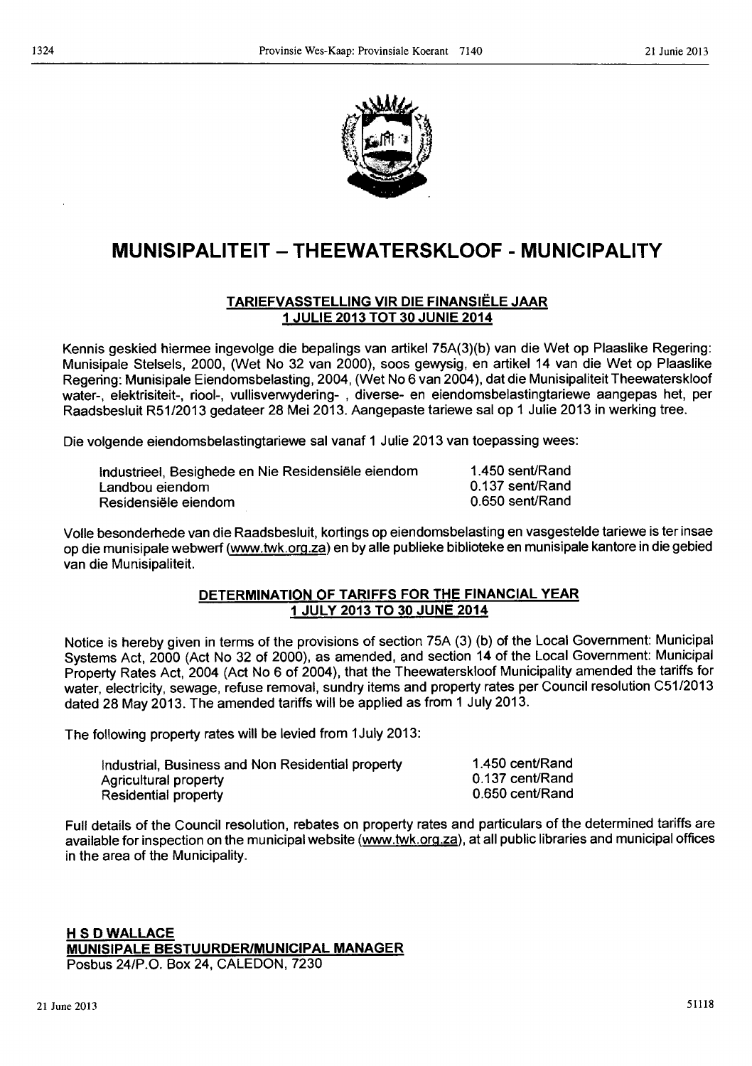

# **MUNISIPALITEIT - THEEWATERSKLOOF - MUNICIPALITY**

# T ARIEFVASSTELLING VIR DIE FINANSIELE JAAR 1 JULIE 2013 TOT 30 JUNIE 2014

Kennis geskied hiermee ingevolge die bepalings van artikel 75A(3)(b) van die Wet op Plaaslike Regering: Munisipale Stelsels, 2000, (Wet No 32 van 2000), soos gewysig, en artikel 14 van die Wet op Plaaslike Regering: Munisipale Eiendomsbelasting, 2004, (Wet No 6 van 2004), dat die Munisipaliteit Theewaterskloof water-, elektrisiteit-, riool-, vullisverwydering- , diverse- en eiendomsbelastingtariewe aangepas het, per Raadsbesluit R51/2013 gedateer 28 Mei 2013. Aangepaste tariewe salop 1 Julie 2013 in werking tree.

Die volgende eiendomsbelastingtariewe sal vanaf 1 Julie 2013 van toepassing wees:

| Industrieel, Besighede en Nie Residensiële eiendom | 1.450 sent/Rand |
|----------------------------------------------------|-----------------|
| Landbou eiendom                                    | 0.137 sent/Rand |
| Residensiële eiendom                               | 0.650 sent/Rand |

Volle besonderhede van die Raadsbesluit, kortings op eiendomsbelasting en vasgestelde tariewe is ter insae op die munisipale webwerf (www.twk.org.za) en by aile publieke biblioteke en munisipale kantore in die gebied van die Munisipaliteit.

# DETERMINATION OF TARIFFS FOR THE FINANCIAL YEAR 1 JULY 2013 TO 30 JUNE 2014

Notice is hereby given in terms of the provisions of section 75A (3) (b) of the Local Government: Municipal Systems Act, 2000 (Act No 32 of 2000), as amended, and section 14 of the Local Government: Municipal Property Rates Act, 2004 (Act No 6 of 2004), that the Theewaterskloof Municipality amended the tariffs for water, electricity, sewage, refuse removal, sundry items and property rates per Council resolution C51/2013 dated 28 May 2013. The amended tariffs will be applied as from 1 July 2013.

The following property rates will be levied from 1 July 2013:

| Industrial, Business and Non Residential property | 1.450 cent/Rand |
|---------------------------------------------------|-----------------|
| Agricultural property                             | 0.137 cent/Rand |
| <b>Residential property</b>                       | 0.650 cent/Rand |

Full details of the Council resolution, rebates on property rates and particulars of the determined tariffs are available for inspection on the municipal website (www.twk.org.za), at all public libraries and municipal offices in the area of the Municipality.

**H S D WALLACE** MUNISIPALE BESTUURDERIMUNICIPAL MANAGER Posbus *24/P.O.* Box 24, CALEDON, 7230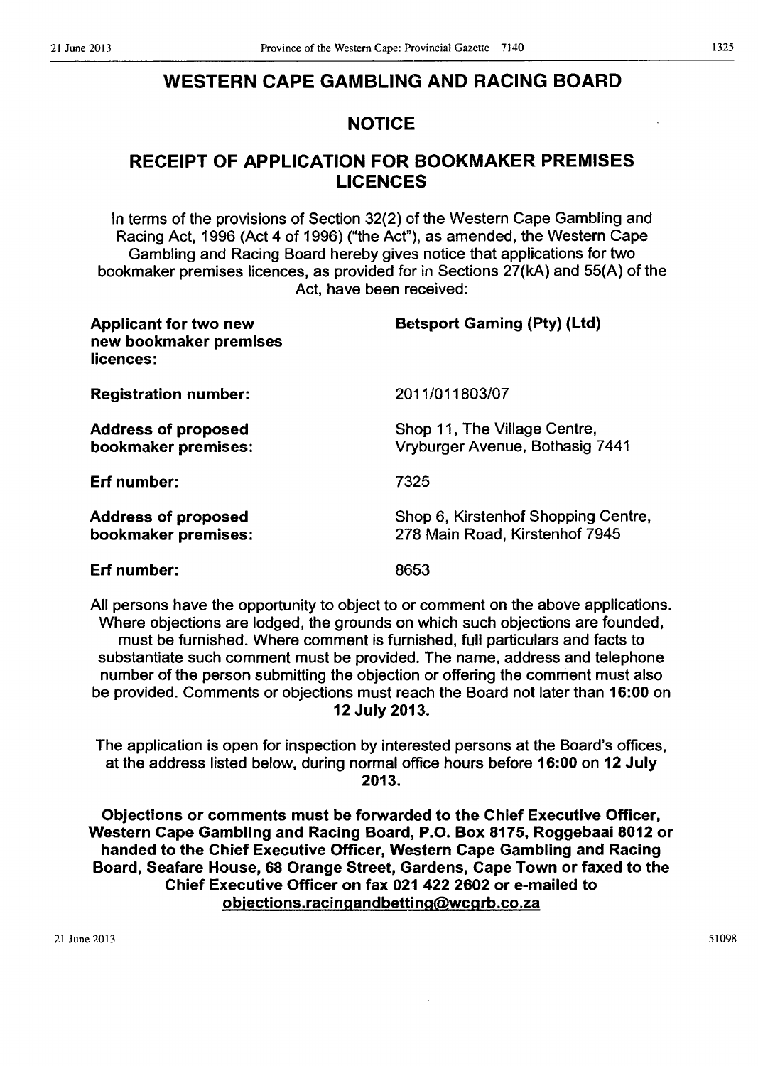# WESTERN CAPE GAMBLING AND RACING BOARD

# NOTICE

# RECEIPT OF APPLICATION FOR BOOKMAKER PREMISES LICENCES

In terms of the provisions of Section 32(2) of the Western Cape Gambling and Racing Act, 1996 (Act 4 of 1996) ("the Act"), as amended, the Western Cape Gambling and Racing Board hereby gives notice that applications for two bookmaker premises licences, as provided for in Sections 27(kA) and 55(A) of the Act, have been received:

| <b>Applicant for two new</b><br>new bookmaker premises<br>licences: | <b>Betsport Gaming (Pty) (Ltd)</b>                                    |
|---------------------------------------------------------------------|-----------------------------------------------------------------------|
| <b>Registration number:</b>                                         | 2011/011803/07                                                        |
| <b>Address of proposed</b><br>bookmaker premises:                   | Shop 11, The Village Centre,<br>Vryburger Avenue, Bothasig 7441       |
| Erf number:                                                         | 7325                                                                  |
| <b>Address of proposed</b><br>bookmaker premises:                   | Shop 6, Kirstenhof Shopping Centre,<br>278 Main Road, Kirstenhof 7945 |
| Erf number:                                                         | 8653                                                                  |

All persons have the opportunity to object to or comment on the above applications. Where objections are lodged, the grounds on which such objections are founded, must be furnished. Where comment is furnished, full particulars and facts to substantiate such comment must be provided. The name, address and telephone number of the person submitting the objection or offering the comment must also be provided. Comments or objections must reach the Board not later than 16:00 on 12 July 2013.

The application is open for inspection by interested persons at the Board's offices, at the address listed below, during normal office hours before 16:00 on 12 July 2013.

Objections or comments must be forwarded to the Chief Executive Officer, Western Cape Gambling and Racing Board, P.O. Box 8175, Roggebaai 8012 or handed to the Chief Executive Officer, Western Cape Gambling and Racing Board, Seafare House, 68 Orange Street, Gardens, Cape Town or faxed to the Chief Executive Officer on fax 021 422 2602 or e-mailed to objections.racingandbetting@wcgrb.co.za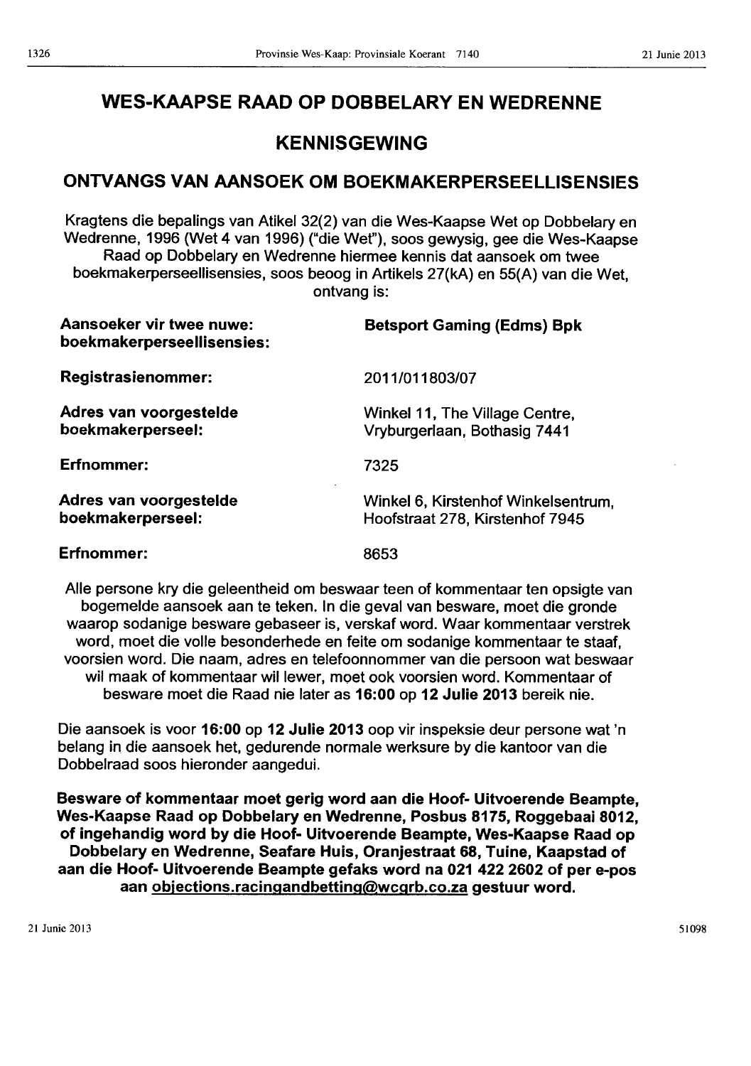# WES-KAAPSE RAAD OP DOBBELARY EN WEDRENNE

# KENNISGEWING

# ONTVANGS VAN AANSOEK OM BOEKMAKERPERSEELLISENSIES

Kragtens die bepalings van Atikel 32(2) van die Wes-Kaapse Wet op Dobbelary en Wedrenne, 1996 (Wet 4 van 1996) ("die Wet"), soos gewysig, gee die Wes-Kaapse Raad op Dobbelary en Wedrenne hiermee kennis dat aansoek om twee boekmakerperseellisensies, soos beoog in Artikels 27(kA) en 55(A) van die Wet, ontvang is:

| Aansoeker vir twee nuwe:<br>boekmakerperseellisensies: | <b>Betsport Gaming (Edms) Bpk</b>                                      |
|--------------------------------------------------------|------------------------------------------------------------------------|
| <b>Registrasienommer:</b>                              | 2011/011803/07                                                         |
| Adres van voorgestelde<br>boekmakerperseel:            | Winkel 11, The Village Centre,<br>Vryburgerlaan, Bothasig 7441         |
| Erfnommer:                                             | 7325                                                                   |
| Adres van voorgestelde<br>boekmakerperseel:            | Winkel 6, Kirstenhof Winkelsentrum,<br>Hoofstraat 278, Kirstenhof 7945 |
| Erfnommer:                                             | 8653                                                                   |

Aile persone kry die geleentheid om beswaar teen of kommentaar ten opsigte van bogemelde aansoek aan te teken. In die geval van besware, moet die gronde waarop sodanige besware gebaseer is, verskaf word. Waar kommentaar verstrek word, moet die volle besonderhede en feite om sodanige kommentaar te staaf, voorsien word. Die naam, adres en telefoonnommer van die persoon wat beswaar wit maak of kommentaar witlewer, moet ook voorsien word. Kommentaar of besware moet die Raad nie later as 16:00 op 12 Julie 2013 bereik nie.

Die aansoek is voor 16:00 op 12 Julie 2013 oop vir inspeksie deur persone wat 'n belang in, die aansoek het, gedurende normale werksure by die kantoor van die Dobbelraad soos hieronder aangedui.

Besware of kommentaar moet gerig word aan die Hoof- Uitvoerende Beampte, Wes-Kaapse Raad op Dobbelary en Wedrenne, Posbus 8175, Roggebaai 8012, of ingehandig word by die Hoof- Uitvoerende Beampte, Wes-Kaapse Raad op Dobbelary en Wedrenne, Seafare Huis, Oranjestraat 68, Tuine, Kaapstad of aan die Hoof- Uitvoerende Beampte gefaks word na 021 422 2602 of per e-pos aan objections.racingandbetting@wcgrb.co.za gestuur word.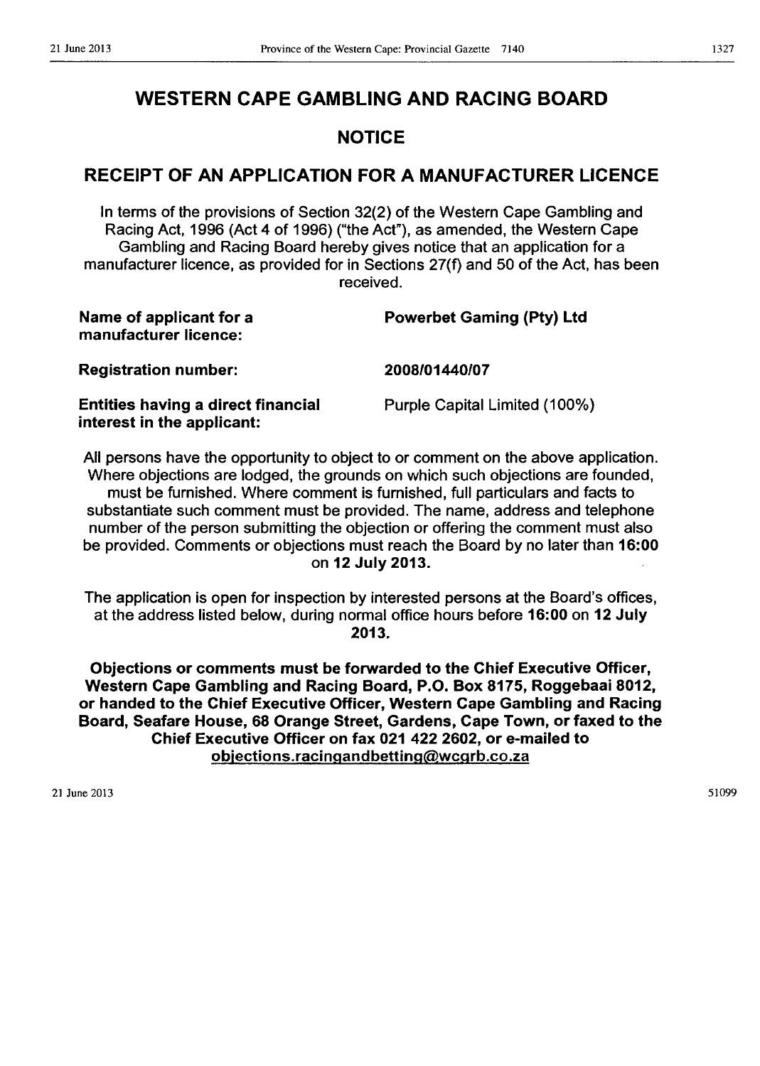# WESTERN CAPE GAMBLING AND RACING BOARD

# NOTICE

# RECEIPT OF AN APPLICATION FOR A MANUFACTURER LICENCE

In terms of the provisions of Section 32(2) of the Western Cape Gambling and Racing Act, 1996 (Act 4 of 1996) ("the Act"), as amended, the Western Cape Gambling and Racing Board hereby gives notice that an application for a manufacturer licence, as provided for in Sections 27(f) and 50 of the Act, has been received.

| Name of applicant for a<br>manufacturer licence:                        | <b>Powerbet Gaming (Pty) Ltd</b> |  |  |
|-------------------------------------------------------------------------|----------------------------------|--|--|
| <b>Registration number:</b>                                             | 2008/01440/07                    |  |  |
| <b>Entities having a direct financial</b><br>interest in the applicant: | Purple Capital Limited (100%)    |  |  |
|                                                                         |                                  |  |  |

All persons have the opportunity to object to or comment on the above application. Where objections are lodged, the grounds on which such objections are founded, must be furnished. Where comment is furnished, full particulars and facts to substantiate such comment must be provided. The name, address and telephone number of the person submitting the objection or offering the comment must also be provided. Comments or objections must reach the Board by no later than 16:00 on 12 July 2013.

The application is open for inspection by interested persons at the Board's offices, at the address listed below, during normal office hours before 16:00 on 12 July 2013.

Objections or comments must be forwarded to the Chief Executive Officer, Western Cape Gambling and Racing Board, P.O. Box 8175, Roggebaai 8012, or handed to the Chief Executive Officer, Western Cape Gambling and Racing Board, Seafare House, 68 Orange Street, Gardens, Cape Town, or faxed to the Chief Executive Officer on fax 021 422 2602, or e-mailed to objections.racingandbetting@wcgrb.co.za

21 June 2013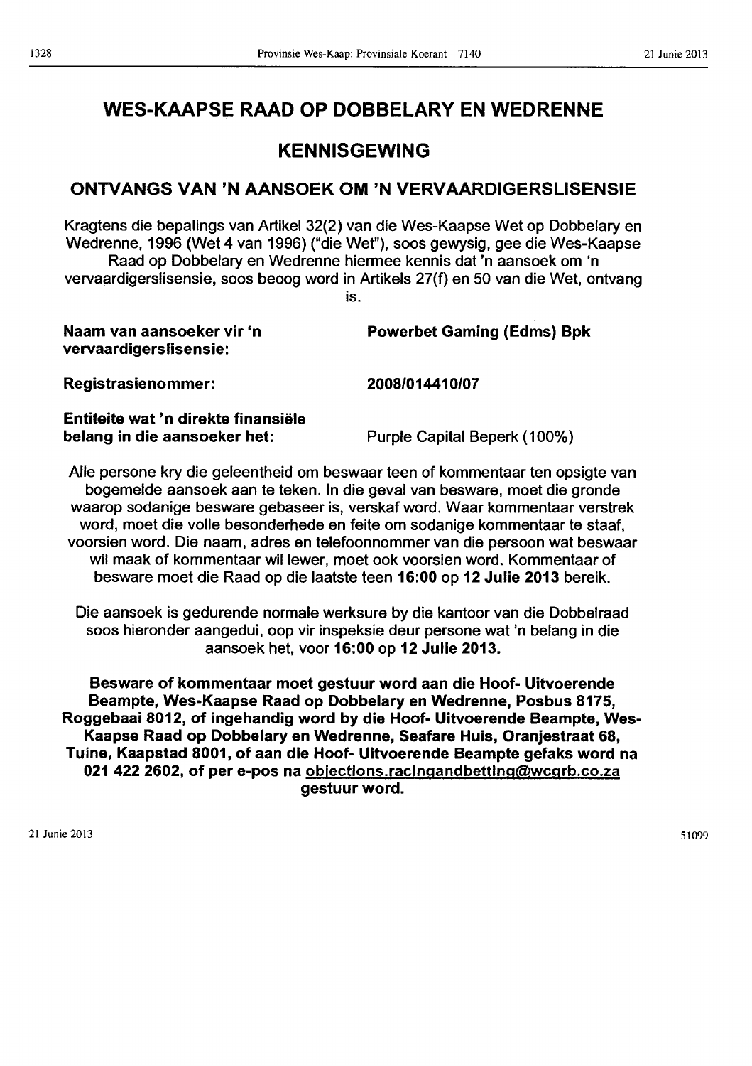# WES-KAAPSE RAAD OP DOBBELARY EN WEDRENNE

# KENNISGEWING

# ONTVANGS VAN 'N AANSOEK OM 'N VERVAARDIGERSLISENSIE

Kragtens die bepalings van Artikel 32(2) van die Wes-Kaapse Wet op Dobbelary en Wedrenne, 1996 (Wet 4 van 1996) ("die Wet"), soos gewysig, gee die Wes-Kaapse Raad op Dobbelary en Wedrenne hiermee kennis dat 'n aansoek om 'n vervaardigerslisensie, soos beoog word in Artikels 27(f) en 50 van die Wet, ontvang is.

| Naam van aansoeker vir 'n<br>vervaardigerslisensie: | <b>Powerbet Gaming (Edms) Bpk</b> |
|-----------------------------------------------------|-----------------------------------|
| <b>Registrasienommer:</b>                           | 2008/014410/07                    |
| Entiteite wat 'n direkte finansiële                 |                                   |

Entiteite wat 'n direkte finansiele belang in die aansoeker het:

Purple Capital Beperk (100%)

Aile persone kry die geleentheid om beswaar teen of kommentaar ten opsigte van bogemelde aansoek aan te teken. In die geval van besware, moet die gronde waarop sodanige besware gebaseer is, verskaf word. Waar kommentaar verstrek word, moet die volle besonderhede en feite om sodanige kommentaar te staaf, voorsien word. Die naam, adres en telefoonnommer van die persoon wat beswaar wil maak of kommentaar willewer, moet ook voorsien word. Kommentaar of besware moet die Raad op die laatste teen 16:00 op 12 Julie 2013 bereik.

Die aansoek is gedurende normale werksure by die kantoor van die Dobbelraad soos hieronder aangedui, oop vir inspeksie deur persone wat 'n belang in die aansoek het, voor 16:00 op 12 Julie 2013.

Besware of kommentaar moet gestuur word aan die Hoof- Uitvoerende Beampte, Wes-Kaapse Raad op Dobbelary en Wedrenne, Posbus 8175, Roggebaai 8012, of ingehandig word by die Hoof- Uitvoerende Beampte, Wes-Kaapse Raad op Dobbelary en Wedrenne, Seafare Huis, Oranjestraat 68, Tuine, Kaapstad 8001, of aan die Hoof- Uitvoerende Beampte gefaks word na 021 422 2602, of per e-pos na objections.racingandbetting@wcgrb.co.za gestuur word.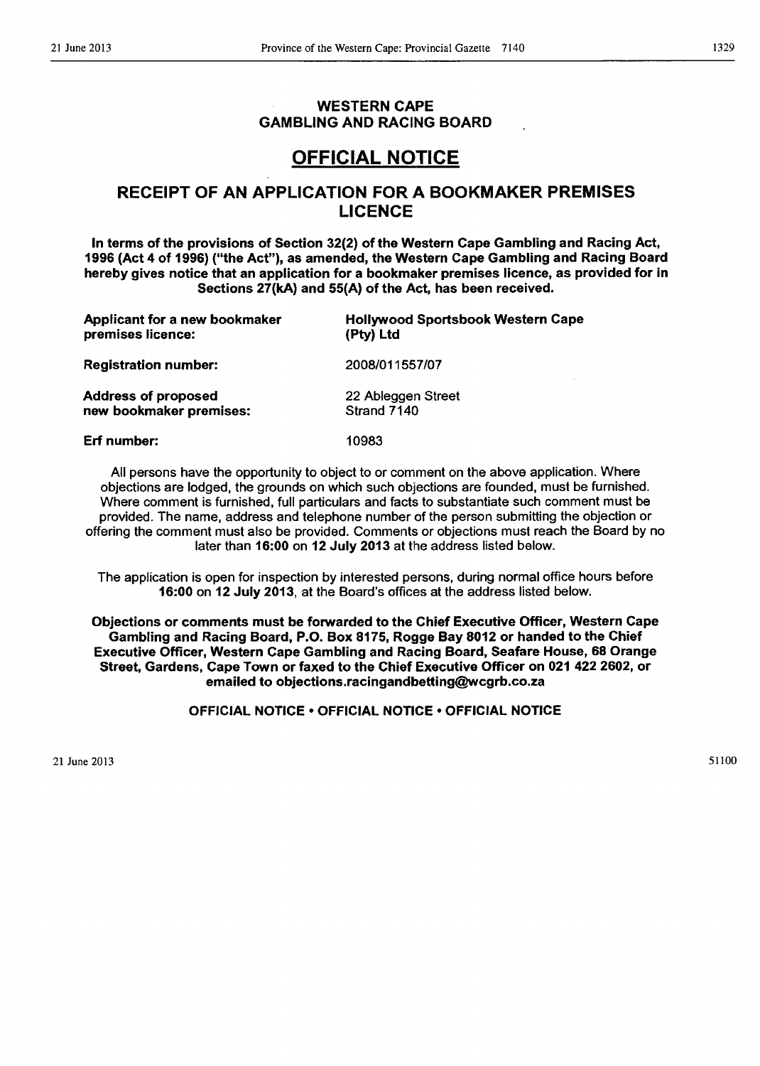# WESTERN CAPE GAMBLING AND RACING BOARD

# OFFICIAL NOTICE

# RECEIPT OF AN APPLICATION FOR A BOOKMAKER PREMISES LICENCE

In terms of the provisions of Section 32(2) of the Western Cape Gambling and Racing Act, 1996 (Act 4 of 1996) ("the Act"), as amended, the Western Cape Gambling and Racing Board hereby gives notice that an application for a bookmaker premises licence, as provided for in Sections 27(kA) and 55(A) of the Act, has been received.

| Applicant for a new bookmaker | <b>Hollywood Sportsbook Western Cape</b> |
|-------------------------------|------------------------------------------|
| premises licence:             | (Pty) Ltd                                |
| <b>Registration number:</b>   | 2008/011557/07                           |
| <b>Address of proposed</b>    | 22 Ableggen Street                       |
| new bookmaker premises:       | Strand 7140                              |
| Erf number:                   | 10983                                    |

All persons have the opportunity to object to or comment on the above application. Where objections are lodged, the grounds on which such objections are founded, must be furnished. Where comment is furnished, full particulars and facts to substantiate such comment must be provided. The name, address and telephone number of the person submitting the objection or offering the comment must also be provided. Comments or objections must reach the Board by no later than 16:00 on 12 July 2013 at the address listed below.

The application is open for inspection by interested persons, during normal office hours before 16:00 on 12 July 2013, at the Board's offices at the address listed below.

Objections or comments must be forwarded to the Chief Executive Officer, Western Cape Gambling and Racing Board, P.O. Box 8175, Rogge Bay 8012 or handed to the Chief Executive Officer, Western Cape Gambling and Racing Board, Seafare House, 68 Orange Street, Gardens, Cape Town or faxed to the Chief Executive Officer on 021 422 2602, or emailed to objections.racingandbetting@wcgrb.co.za

OFFICIAL NOTICE • OFFICIAL NOTICE • OFFICIAL NOTICE

21 June 2013

51100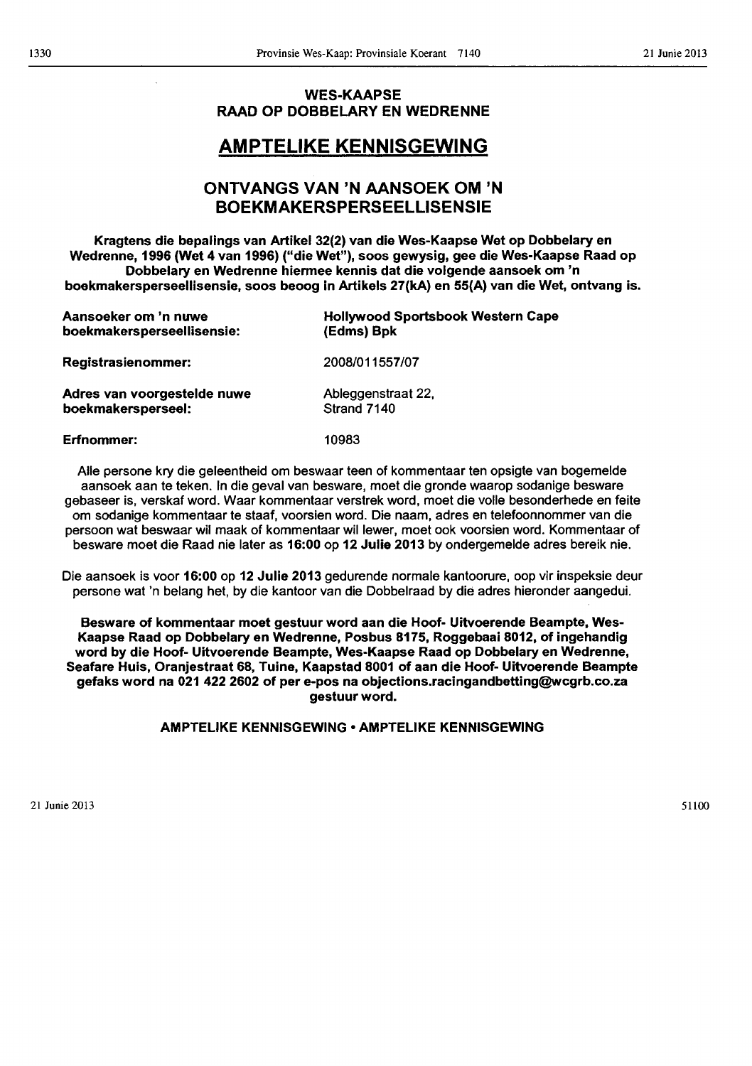# WES-KAAPSE RAAD OP DOBBELARY EN WEDRENNE

# AMPTELIKE KENNISGEWING

# ONTVANGS VAN 'N AANSOEK OM 'N BOEKMAKERSPERSEELLISENSIE

Kragtens die bepalings van Artikel 32(2) van die Wes-Kaapse Wet op Dobbelary en Wedrenne, 1996 (Wet 4 van 1996) ("die Wet"), soos gewysig, gee die Wes-Kaapse Raad op Dobbelary en Wedrenne hiermee kennis dat die volgende aansoek om 'n boekmakersperseellisensie, soos beoog in Artikels 27(kA) en 55(A) van die Wet, ontvang is.

| Aansoeker om 'n nuwe        | <b>Hollywood Sportsbook Western Cape</b> |
|-----------------------------|------------------------------------------|
| boekmakersperseellisensie:  | (Edms) Bpk                               |
| <b>Registrasienommer:</b>   | 2008/011557/07                           |
| Adres van voorgestelde nuwe | Ableggenstraat 22,                       |
| boekmakersperseel:          | Strand 7140                              |
| Erfnommer:                  | 10983                                    |

Aile persone kry die geleentheid om beswaar teen of kommentaar ten opsigte van bogemelde aansoek aan te teken. In die geval van besware, moet die gronde waarop sodanige besware gebaseer is, verskaf word. Waar kommentaar verstrek word, moet die volle besonderhede en feite om sodanige kommentaar te staaf, voorsien word. Die naam, adres en telefoonnommer van die persoon wat beswaar wil maak of kommentaar wil lewer, moet ook voorsien word. Kommentaar of besware moet die Raad nie later as 16:00 op 12 Julie 2013 by ondergemelde adres bereik nie.

Die aansoek is voor 16:00 op 12 Julie 2013 gedurende normale kantoorure, oop vir inspeksie deur persone wat 'n belang het, by die kantoor van die Dobbelraad by die adres hieronder aangedui.

Besware of kommentaar moet gestuur word aan die Hoof- Uitvoerende Beampte, Wes-Kaapse Raad op Dobbelary en Wedrenne, Posbus 8175, Roggebaai 8012, of ingehandig word by die Hoof- Uitvoerende Beampte, Wes-Kaapse Raad op Dobbelary en Wedrenne, Seafare Huis, Oranjestraat 68, Tuine, Kaapstad 8001 of aan die Hoof- Uitvoerende Beampte gefaks word na 021 422 2602 of per e-pos na objections.racingandbetting@Wcgrb.co.za gestuur word.

# AMPTELIKE KENNISGEWING • AMPTELIKE KENNISGEWING

S1100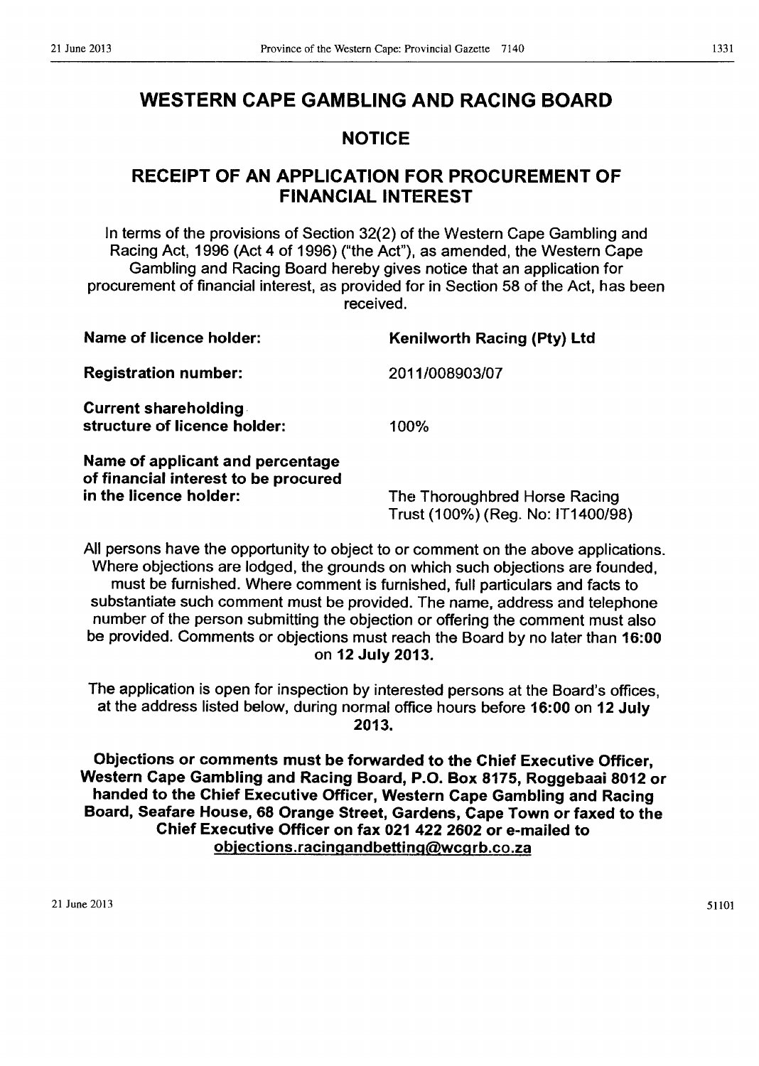# WESTERN CAPE GAMBLING AND RACING BOARD

# NOTICE

# RECEIPT OF AN APPLICATION FOR PROCUREMENT OF FINANCIAL INTEREST

In terms of the provisions of Section 32(2) of the Western Cape Gambling and Racing Act, 1996 (Act 4 of 1996) ("the Act"), as amended, the Western Cape Gambling and Racing Board hereby gives notice that an application for procurement of financial interest, as provided for in Section 58 of the Act, has been received.

| <b>Name of licence holder:</b>                                                                     | Kenilworth Racing (Pty) Ltd                                        |
|----------------------------------------------------------------------------------------------------|--------------------------------------------------------------------|
| <b>Registration number:</b>                                                                        | 2011/008903/07                                                     |
| <b>Current shareholding</b><br>structure of licence holder:                                        | 100%                                                               |
| Name of applicant and percentage<br>of financial interest to be procured<br>in the licence holder: | The Thoroughbred Horse Racing<br>Trust (100%) (Reg. No: IT1400/98) |

All persons have the opportunity to object to or comment on the above applications. Where objections are lodged, the grounds on which such objections are founded, must be furnished. Where comment is furnished, full particulars and facts to substantiate such comment must be provided. The name, address and telephone number of the person submitting the objection or offering the comment must also be provided. Comments or objections must reach the Board by no later than 16:00 on 12 July 2013.

The application is open for inspection by interested persons at the Board's offices, at the address listed below, during normal office hours before 16:00 on 12 July 2013.

Objections or comments must be forwarded to the Chief Executive Officer, Western Cape Gambling and Racing Board, P.O. Box 8175, Roggebaai 8012 or handed to the Chief Executive Officer, Western Cape Gambling and Racing Board, Seafare House, 68 Orange Street, Gardens, Cape Town or faxed to the Chief Executive Officer on fax 021 422 2602 or e-mailed to objections.racingandbetting@wcgrb.co.za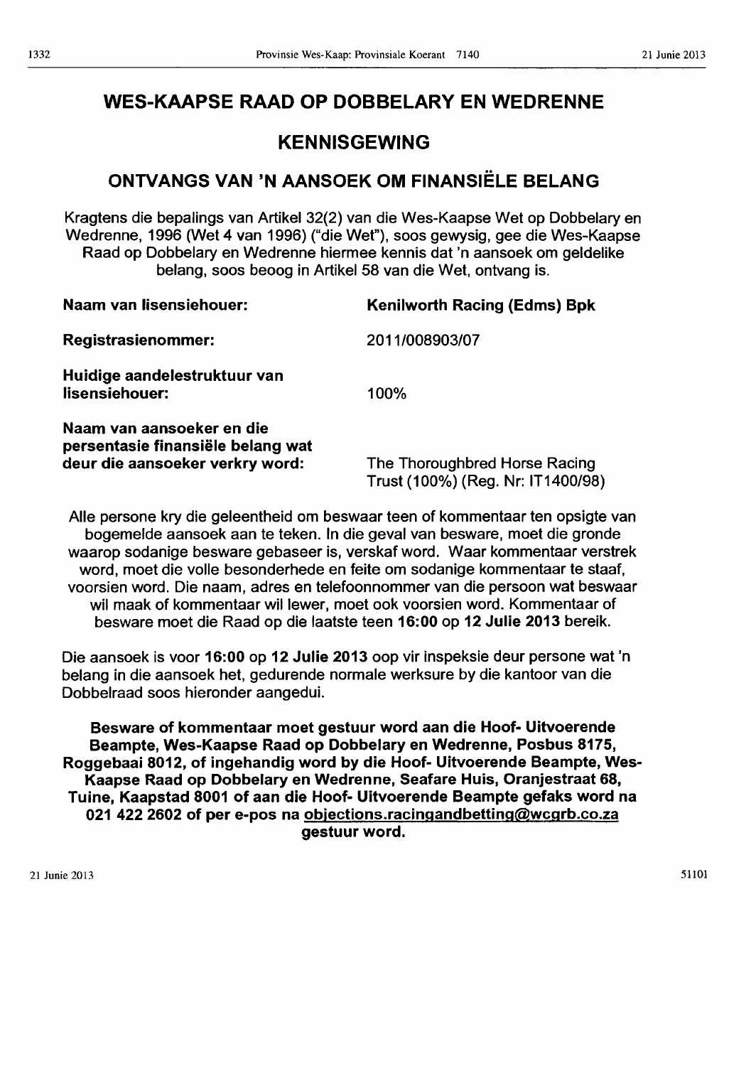# WES-KAAPSE RAAD OP DOBBELARY EN WEDRENNE

# KENNISGEWING

# ONTVANGS VAN 'N AANSOEK OM FINANSIELE BELANG

Kragtens die bepalings van Artikel 32(2) van die Wes-Kaapse Wet op Dobbelary en Wedrenne, 1996 (Wet 4 van 1996) ("die Wet"), 5005 gewysig, gee die Wes-Kaapse Raad op Dobbelary en Wedrenne hiermee kennis dat 'n aansoek om geldelike belang, 5005 beoog in Artikel 58 van die Wet, ontvang is.

| Naam van lisensiehouer:                                                                           | <b>Kenilworth Racing (Edms) Bpk</b>                                |
|---------------------------------------------------------------------------------------------------|--------------------------------------------------------------------|
| <b>Registrasienommer:</b>                                                                         | 2011/008903/07                                                     |
| Huidige aandelestruktuur van<br>lisensiehouer:                                                    | 100%                                                               |
| Naam van aansoeker en die<br>persentasie finansiële belang wat<br>deur die aansoeker verkry word: | The Thoroughbred Horse Racing<br>Trust (100%) (Reg. Nr: IT1400/98) |

Aile persone kry die geleentheid om beswaar teen of kommentaar ten opsigte van bogemelde aansoek aan te teken. In die geval van besware, moet die gronde waarop sodanige besware gebaseer is, verskaf word. Waar kommentaar verstrek word, moet die volle besonderhede en feite om sodanige kommentaar te staaf, voorsien word. Die naam, adres en telefoonnommer van die persoon wat beswaar wil maak of kommentaar willewer, moet ook voorsien word. Kommentaar of besware moet die Raad op die laatste teen 16:00 op 12 Julie 2013 bereik.

Die aansoek is voor 16:00 op 12 Julie 2013 oop vir inspeksie deur persone wat 'n belang in die aansoek het, gedurende normale werksure by die kantoor van die Dobbelraad 5005 hieronder aangedui.

Besware of kommentaar moet gestuur word aan die Hoof- Uitvoerende Beampte, Wes-Kaapse Raad op Dobbelary en Wedrenne, Posbus 8175, Roggebaai 8012, of ingehandig word by die Hoof- Uitvoerende Beampte, Wes-Kaapse Raad op Dobbelary en Wedrenne, Seafare Huis, Oranjestraat 68, Tuine, Kaapstad 8001 of aan die Hoof- Uitvoerende Beampte gefaks word na 021 422 2602 of per e-pos na objections.racingandbetting@wcgrb.co.za gestuur word.

21 Junie 2013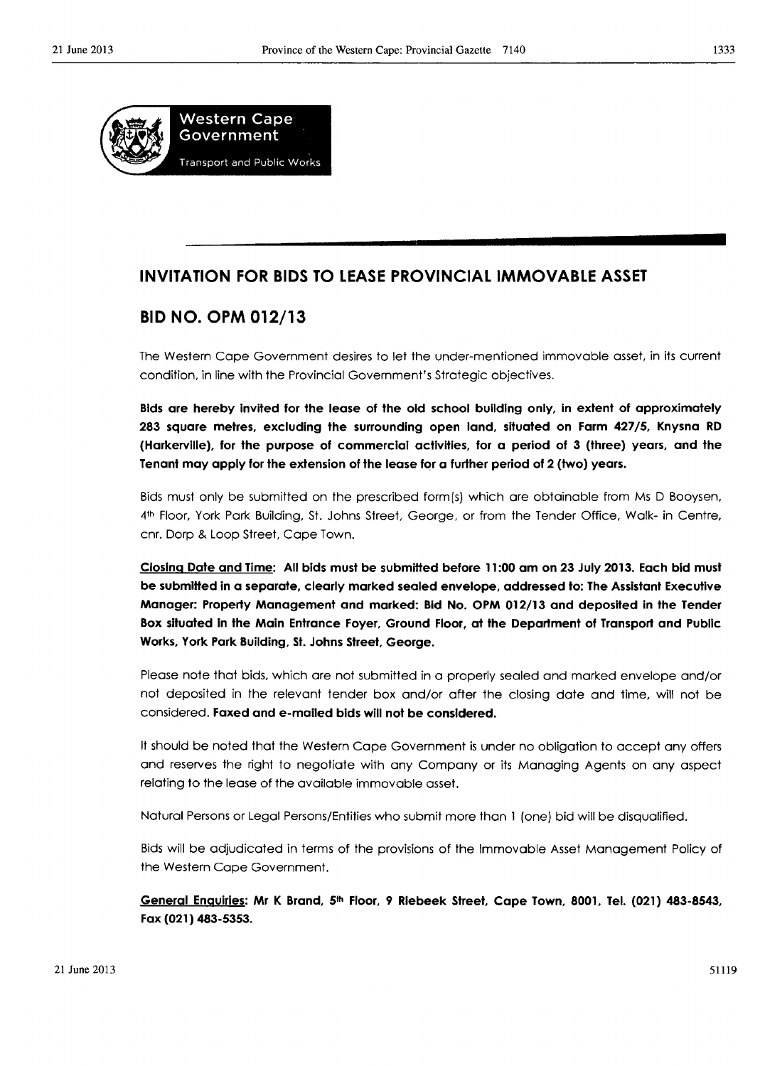

# **INVITATION FOR BIDS TO LEASE PROVINCIAL IMMOVABLE ASSET**

# **BID NO. OPM 012/13**

The Western Cape Government desires to let the under-mentioned immovable asset, in its current condition, in line with the Provincial Government's Strategic objectives.

**Bids are hereby invited for the lease of the old school building only, in extent of approximately 283 square metres, excluding the surrounding open land, situated on Farm 427/5, Knysna RD (Harkerville), for the purpose of commercial activities, for a period of 3 (three) years, and the Tenant may apply for the extension of the lease for a further period of 2 (two) years.** 

Bids must only be submitted on the prescribed form(s) which are obtainable from Ms D Booysen, 4th Floor, York Park Building, St. Johns Street, George, or from the Tender Office, Walk- in Centre, cnr. Dorp & Loop Street, Cape Town.

**Closlnq Date and Time: All bids must be submitted before 11:00 am on 23 July 2013. Each bid must be submitted in a separate, clearly marked sealed envelope, addressed to: The Assistant Executive Manager: Property Management and marked: Bid No. OPM 012/13 and deposited in the Tender Box situated In the Main Entrance Foyer, Ground Floor, at the Department of Transport and Public Works, York Park Building, St. Johns Street, George.** 

Please note that bids, which are not submitted in a properly sealed and marked envelope and/or not deposited in the relevant tender box and/or after the closing date and time, will not be considered. **Faxed and e-mailed bids will not be considered.** 

It should be noted that the Western Cape Government is under no obligation to accept any offers and reserves the right to negotiate with any Company or its Managing Agents on any aspect relating to the lease of the available immovable asset.

Natural Persons or Legal Persons/Entities who submit more than 1 (one) bid will be disqualified.

Bids will be adjudicated in terms of the provisions of the Immovable Asset Management Policy of the Western Cape Government.

**General Enquiries: Mr K Brand, 5th Floor, 9 Rlebeek Street, Cape Town, 8001, Tel. (021) 483-8543, Fax (021) 483-5353.**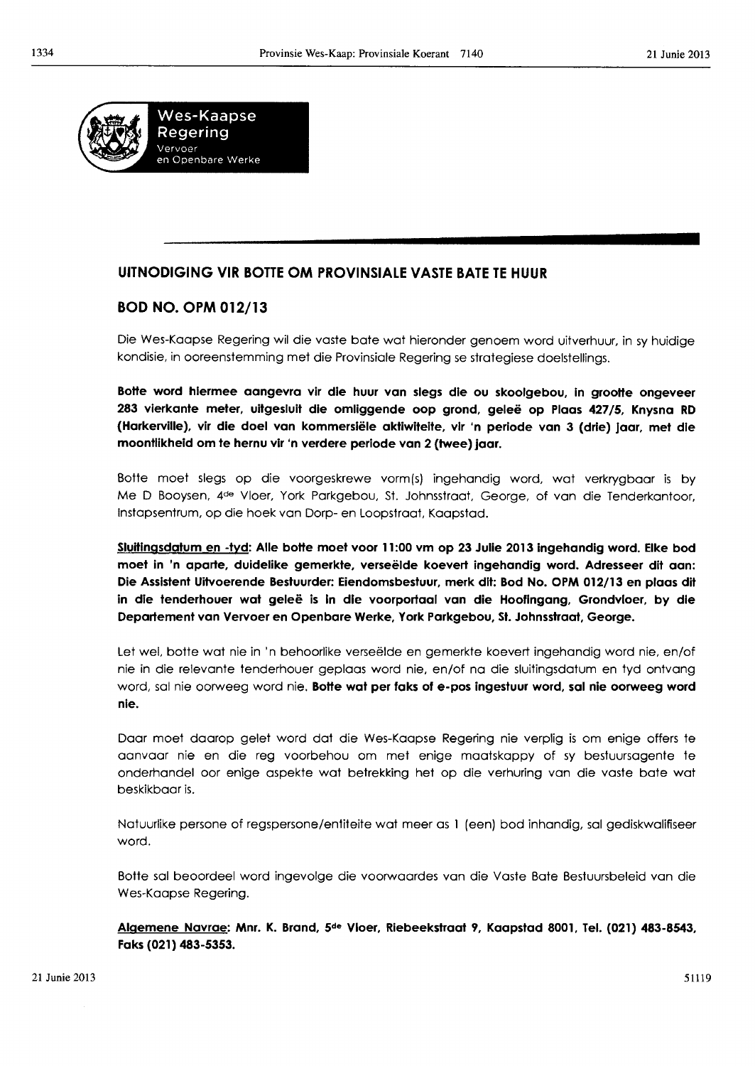

# UITNODIGING VIR BOTTE OM PROVINSIALE VASTE BATE TE HUUR

# BOD NO. OPM 012/13

Die Wes-Kaapse Regering wil die vaste bate wat hieronder genoem word uitverhuur, in sy huidige kondisie, in ooreenstemming met die Provinsiale Regering se strategiese doelstellings.

Botte word hlermee aangevra vir die huur van slegs die ou skoolgebou, In grootte ongeveer 283 vierkante meter, uitgesluit die omliggende oop grond, geleë op Plaas 427/5, Knysna RD (Harkerville), vir die doel van kommersiële aktiwiteite, vir 'n periode van 3 (drie) jaar, met die moontlikheld om te hernu vir 'n verdere perlode van 2 (twee) Jaar.

Botte moet slegs op die voorgeskrewe vormls) ingehandig word, wat verkrygbaar is by Me D Booysen, 4de Vloer, York Parkgebou, St. Johnsstraat, George, of van die Tenderkantoor, Instapsentrum, op die hoek van Dorp- en Loopstraat, Kaapstad.

Siultlngsdatum en -tvd: Aile botte moet voor 11 :00 vm op 23 Julie 2013 Ingehandlg word. Elke bod moet in 'n aparte, duidelike gemerkte, verseëlde koevert ingehandig word. Adresseer dit aan: Die Assistent Uitvoerende Bestuurder: Eiendomsbestuur, merk dit: Bod No. OPM 012/13 en plaas dit in die tenderhouer wat geleë is in die voorportaal van die Hoofingang, Grondvloer, by die Departement van Vervoer en Openbare Werke, York Parkgebou, Sf. Johnsstraat, George.

Let weI, botte wat nie in 'n behoorlike verseelde en gemerkte koevert ingehandig word nie, en/of nie in die relevante tenderhouer geplaas word nie, en/of no die sluitingsdatum en tyd ontvang word, sal nie oorweeg word nie. Botte wat per faks of e-pos ingestuur word, sal nie oorweeg word nie.

Door moet daarop gelet word dot die Wes-Kaapse Regering nie verplig is om enige offers te aanvaar nie en die reg voorbehou om met enige maatskappy of sy bestuursagente te onderhandel oor enige aspekte wat betrekking het op die verhuring van die vaste bate wat beskikbaar is.

Natuurlike persone of regspersone/entiteite wat meer as 1 (een) bod inhandig, sal gediskwalifiseer word.

Botte sal beoordeel word ingevolge die voorwaardes van die Vaste Bate Bestuursbeleid van die Wes-Kaapse Regering.

Aigemene Navrae: Mnr. K. Brand, 5de Vloer, Rlebeekstraat 9, Kaapstad 8001, Tel. (021) 483-8543, Faks (021) 483-5353.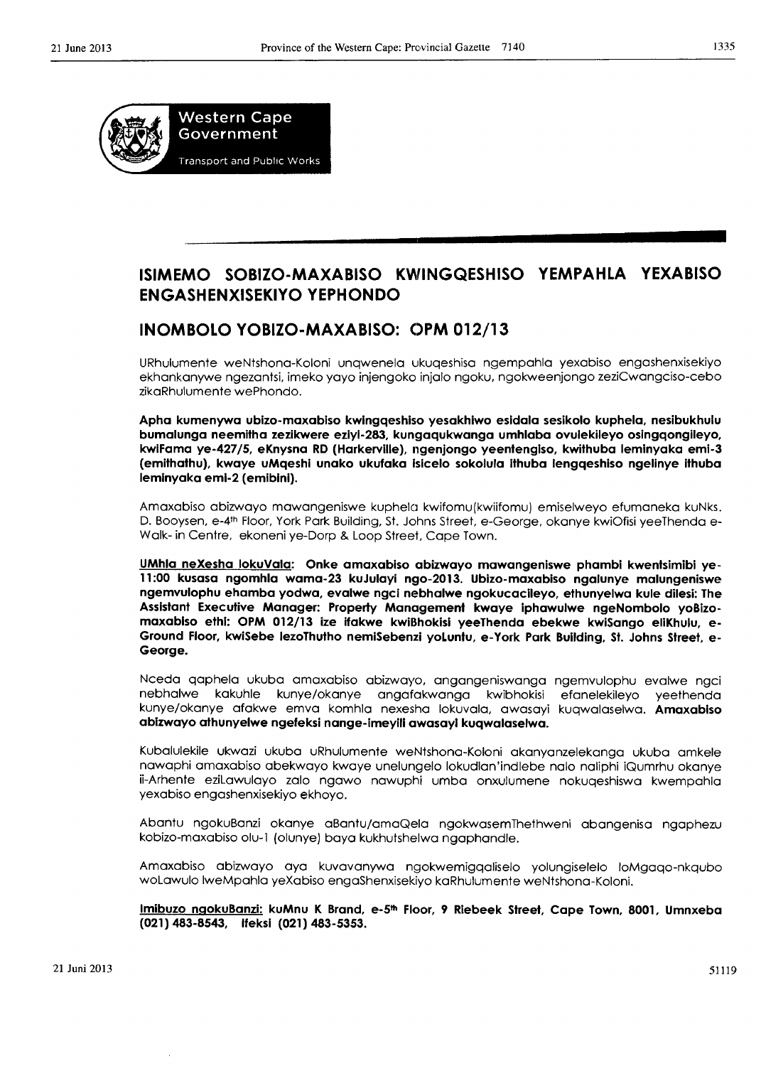

# ISIMEMO SOBIZO-MAXABISO KWINGQESHISO YEMPAHLA YEXABISO ENGASHENXISEKIYO YEPHONDO

# INOMBOLO YOBIZO-MAXABISO: OPM 012/13

URhulumente weNtshona-Koloni unqwenela ukuqeshisa ngempahla yexabiso engashenxisekiyo ekhankanywe ngezantsi, imeko yayo injengoko injalo ngoku, ngokweenjongo zeziCwangciso-cebo zikaRhulumente wePhondo.

Apha kumenywa ubizo-maxabiso kwingqeshiso yesakhiwo esldala sesikolo kuphela, nesibukhulu bumalunga neemitha zezikwere eziyi-283, kungaqukwanga umhlaba ovulekileyo osingqongileyo, kwiFama ye-427/5, eKnysna RD (Harkerville), ngenjongo yeentengiso, kwithuba leminyaka emi-3 (emithathu), kwaye uMqeshi unako ukufaka isicelo sokolula ithuba lengqeshiso ngelinye ithuba lemlnyaka emi-2 (emibini).

Amaxabiso abizwayo mawangeniswe kuphelo kwifomu(kwiifomu) emiselweyo efumaneka kuNks. D. Booysen, e-4th Floor, York Park Building, St. Johns Street, e-George, okanye kwiOfisi yeeThenda e-Walk- in Centre, ekoneni ye-Dorp & Loop Street, Cape Town.

UMhla neXesha lokuVala: Onke amaxabiso abizwayo mawangeniswe phambi kwentsimibi ye-11:00 kusasa ngomhla wama-23 kuJulayi ngo-2013. Ubizo-maxabiso ngalunye malungeniswe ngemvulophu ehamba yodwa, evalwe ngel nebhalwe ngokucacileyo, ethunyelwa kule dilesi: The Assistant Executive Manager: Property Management kwaye iphawulwe ngeNombolo yoBizomaxablso ethi: OPM 012/13 ize ifakwe kwiBhokisi yeeThenda ebekwe kwiSango eliKhulu, e-Ground Floor, kwiSebe lezoThutho nemiSebenzi yoLuntu, e-York Park Building, St. Johns Street, e-George.

Nceda qaphela ukuba amaxabiso abizwayo, angangeniswanga ngemvulophu evalwe ngci nebhalwe kakuhle kunye/okanye angafakwanga kwibhokisi efanelekileyo yeethenda kunye/okanye afakwe emva komhla nexesha lokuvala, awasayi kuqwalaselwa. Amaxabiso abizwayo athunyelwe ngefeksi nange-imeylll awasayi kuqwalaselwo.

Kubalulekile ukwazi ukuba uRhulumente weNtshona-Koloni akanyanzelekanga ukuba amkele nawaphi amaxabiso abekwayo kwaye unelungelo lokudlan'indlebe nolo naliphi iQumrhu okanye ii-Arhente eziLawulayo zalo ngawo nawuphi umba onxulumene nokuqeshiswa kwempahla yexabiso engashenxisekiyo ekhoyo.

Abantu ngokuBanzi okanye aBantu/amaQela ngokwasemThethweni abangenisa ngaphezu kobizo-maxabiso olu-1 (olunye) baya kukhutshelwa ngaphandle.

Amaxabiso abizwayo aya kuvavanywa ngokwemigqaliselo yolungiselelo loMgaqo-nkqubo woLawulo IweMpahla yeXabiso engaShenxisekiyo kaRhulumente weNtshona-Koloni.

Imibuzo ngokuBanzi: kuMnu K Brand, e-5<sup>th</sup> Floor, 9 Riebeek Street, Cape Town, 8001, Umnxeba (021) 483-8543, Ifeksi (021) 483-5353.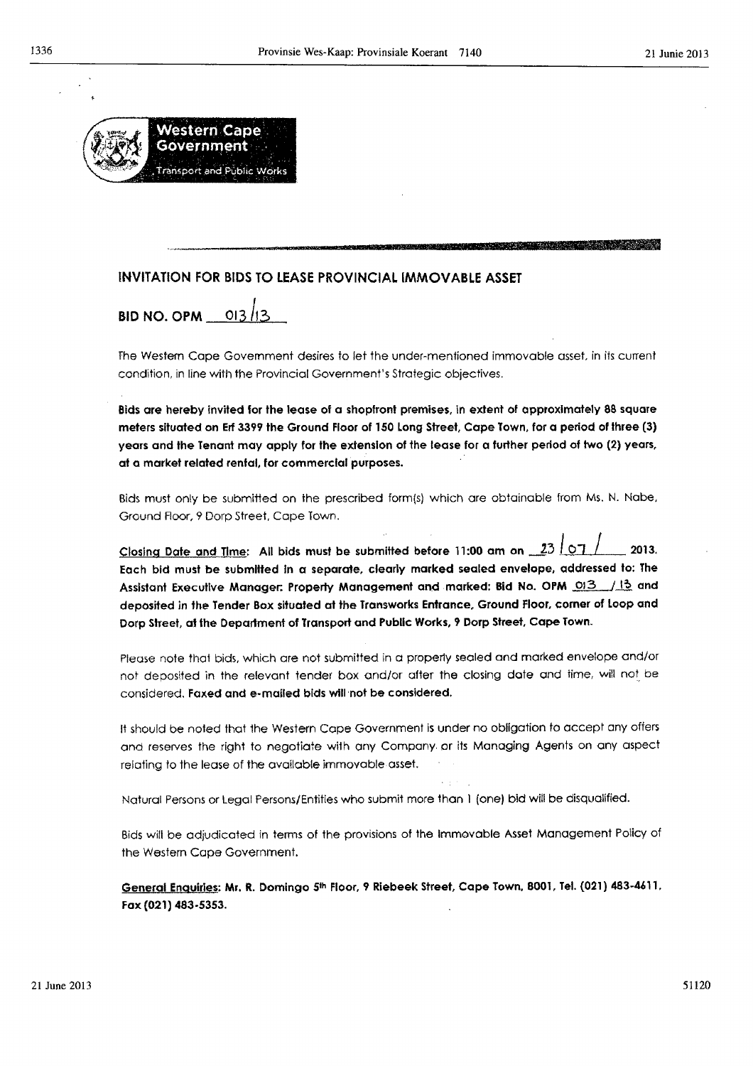

# INVITATION FOR BIDS TO LEASE PROVINCIAL IMMOVABLE ASSET

**BID NO. OPM 013/13** 

The Western Cape Govemment desires to let the under-men1ioned immovable asset, in its current condition, in line with the Provincial Government's Strategic objectives.

**'\$' <sup>I</sup>**ill

I"

Bids are hereby invited for the lease of a shopfront premises, In extent of approximately 88 square meters situated on Erf 3399 the Ground Floor of 150 Long Street, Cope Town, for a period of three (3) years and the Tenant may apply for the extension of the lease for a further period of two (2) years, at a market related rental, for commercial purposes.

Bids must only be submitted on the prescribed form(s) which are obtainable from Ms. N. Nabe, Ground Roor, 9 Dorp street, Cape Town.

Closing Date and Time: All bids must be submitted before 11:00 am on  $23$  OT / 2013. Each bid must be submitted In a separate, clearly marked sealed envelope, addressed to: The Assistant Executive Manager. Property Management and marked: Bid No. OPM 013 /13 and deposited in the Tender Box situated at the Transworks Entrance, Ground Floor, corner of Loop and Dorp Street, at the Department of Transport and Public Works, 'f Dorp Street, Cape Town.

Please note thal bids, which are not submitted in a properly sealed and marked envelope and/or not deposited in the relevant tender box and/or after the closing date and time, wi!! not be considered. Faxed and e-mailed bids will not be considered.

It should be noted that the Western Cape Government is under no obligation to accept any offers ond reserves the right to negotiote with any Company. or its Managing Agents on any aspect relating to the lease of the available immovable asset.

Natural Persons or Legal Persons/Entities who submit more than I (one) bid will be disqualified.

Bids will be adjudicated in terms of the provisions of the Immovable Asset Management Policy of the Western Cape Government.

General Enquiries: Mr. R. Domingo 5th Floor, 9 Riebeek Street, Cape Town, 8001, Tel. (021) 483-4611. Fax (021) 483-5353.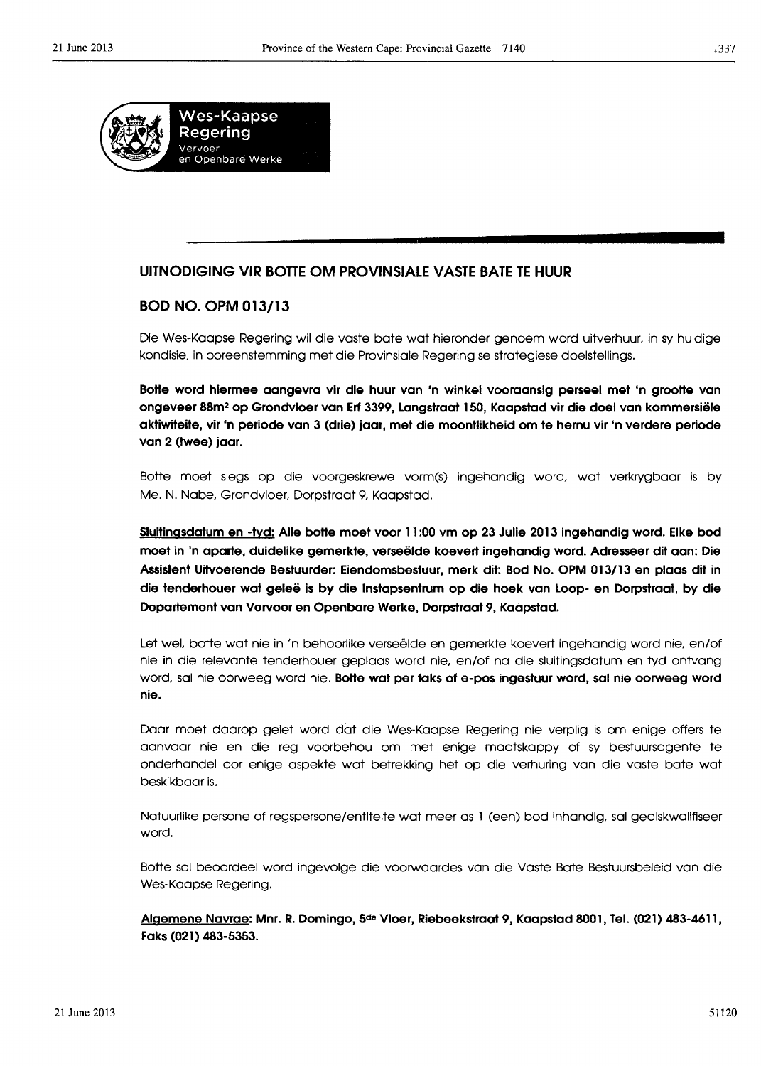

# **UITNODIGING VIR BOTTE OM PROVINSIALE VASTE BATE TE HUUR**

# **BOD NO. OPM 013/13**

Die Wes-Kaapse Regering wi! die vaste bate wat hieronder genoem word uitverhuur, in sy huidige kondisie, in ooreenstemming met die Provinsiale Regering se strategiese doelstellings.

**Boffe word hiermee aangevra vir die huur van 'n winkel vooraansig perseel met 'n grooffe van ongeveer 88m2 op Grondvloer van Erf 3399, langstraat 150, Kaapstad vir die doel van kommersiele aktiwiteite, vir 'n periode van 3 (drie) jaar, met die moontlikheid om te hernu vir 'n verdere periode van 2 (twee) jaar.** 

Botte moet slegs op die voorgeskrewe vorm(s) ingehandig word, wat verkrygboor is by Me. N. Nabe, Grondvloer, Dorpstraat 9, Kaapstad.

**Sluitingsdatum en -tyd: Aile boffe moet voor** 1'1:00 **vm op 23 Julie 2013 ingehandig word. Elke bod moet in 'n aparte, duidelike gemerkte, verseelde koevert ingehandig word. Adresseer dit aan: Die**  Assistent Uitvoerende Bestuurder: Eiendomsbestuur, merk dit: Bod No. OPM 013/13 en plaas dit in **die tenderhouer wat gelee is by die Instapsentrum op die hoek van Loop- en Dorpstraat, by die Departement van Vervoer en Openbare Werke, Dorpstraat 9, Kaapstad.** 

Let wel, botte wat nie in 'n behoorlike verseëlde en gemerkte koevert ingehandig word nie, en/of nie in die relevante tenderhouer geplaas word nie, en/of na die sluitingsdatum en tyd ontvang word, sal nie oorweeg word nie. **Boffe wat per faks of e-pos ingestuur word, sal nie oorweeg word nie.** 

Daar moet daarop gelet word dat die Wes··Kaapse Regering nie verplig is om enige offers te aanvaar nie en die reg voorbehou om met enige maatskappy of sy bestuursagente te onderhandel oor enige aspekte wat betrekking het op die verhuring van die vaste bate wat beskikbaar is.

Natuurlike persone of regspersone/entiteite wat meer as 1 (een) bod inhandig, sal gediskwalifiseer word.

Botte sal beoordeel word ingevolge die voorwaardes van die Vaste Bate Bestuursbeleid van die Wes-Kaapse Regering.

**Aigemene Navrae: Mnr. R. Domingo,** 5de **Vloer, Riebeekstraat 9, Kaapstad 8001, Tel. (021) 483-4611, Faks (021) 483-5353.**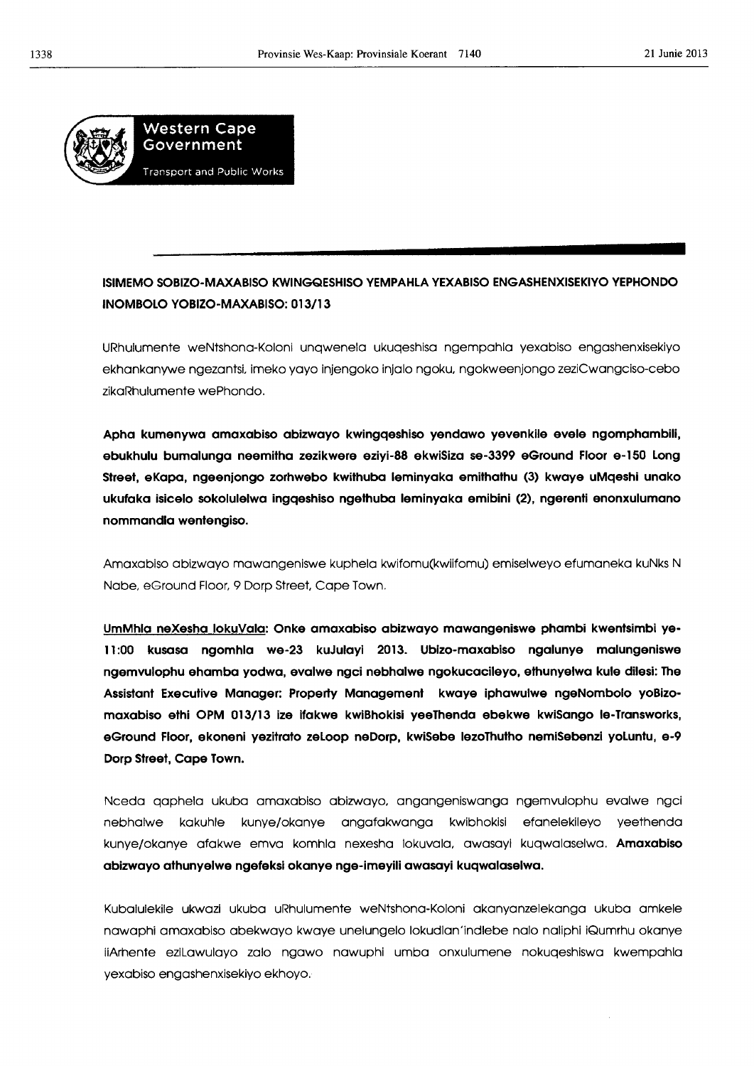

# **ISIMEMO SOBIZO-MAXABISO KWINGQESHISO YEMPAHLA YEXABISO ENGASHENXISEKIYO YEPHONDO INOMBOLO YOBIZO-MAXABISO: 013/13**

URhulumente weNtshona-Kolonl unqwenela ukuqeshisa ngempahla yexabiso engashenxisekiyo ekhankanywe ngezantsi, imeko yayo injengoko inJalo ngoku, ngokweenjongo zeziCwangciso-cebo zikaRhulumente wePhondo.

**Apha kumenywa amaxabiso abizwayo kwingqeshiso yendawo yevenkile evele ngomphambili, ebukhulu bumalunga neemitha zezikwere eziyl-88 ekwiSiza se-3399 eGround Floor e-150 Long street, eKapa, ngeenjongo zorhwebo kwithuba leminyaka emithathu (3) kwaye uMqeshi unako ukufaka isicelo sokolulelwa ingqeshiso ngethuba leminyaka emibini (2), ngerenti enonxulumano nommandla wentengiso.** 

Amaxabiso abizwayo mawangeniswe kuphela kwifomu(kwllfomu) emiselweyo efumaneka kuNks N Nabe, eGround Floor, 9 Dorp Street. Cape Town.

**UmMhla neXesha lokuVala: Onke amaxabiso abizwayo mawangeniswe phambi kwentslmbl ye-**11:00 kusasa ngomhla we-23 kuJulayi 2013. Ubizo-maxabiso ngalunye malungeniswe **ngemvulophu ehamba yodwa, evalwe ngci nebhalwe ngokucacileyo, ethunyelwa kule dilesl: The Assistant Executive Manager: Property Management kwaye iphawulwe ngeNombolo yoBizomaxabiso ethi OPM 013/13 ize ifakwe kwiBhokisi yeeThenda ebekwe kwiSango le-Transworks, eGround Floor, ekoneni yezitrato zeLoop neDorp, kwiSebe IezoThutho nemiSebenzi yoLuntu, e-9 Dorp Street, Cope Town.** 

Nceda qaphela ukuba amaxabiso abizwayo, angangeniswanga ngemvulophu evalwe ngci nebhalwe kakuhle kunye/okanye angafakwanga kwibhokisi efanelekileyo yeethenda kunye/okanye afakwe emva komhla nexesha lokuvala, awasayi kuqwalaselwa. **Amaxablso abizwayo athunyelwe ngefeksi okanye nge-imeyili awasayi kuqwalaselwa.** 

Kubalulekile ukwazl ukuba uRhulumente weNtshona-Koloni akanyanzelekanga ukuba amkele nawaphi amaxablso abekwayo kwaye unelungelo lokudlan'indlebe nalo naliphi iQumrhu okanye iiArhente ezlLawulayo zalo ngawo nawuphi umba onxulumene nokuqeshiswa kwempahla yexabiso engashenxisekiyo ekhoyo.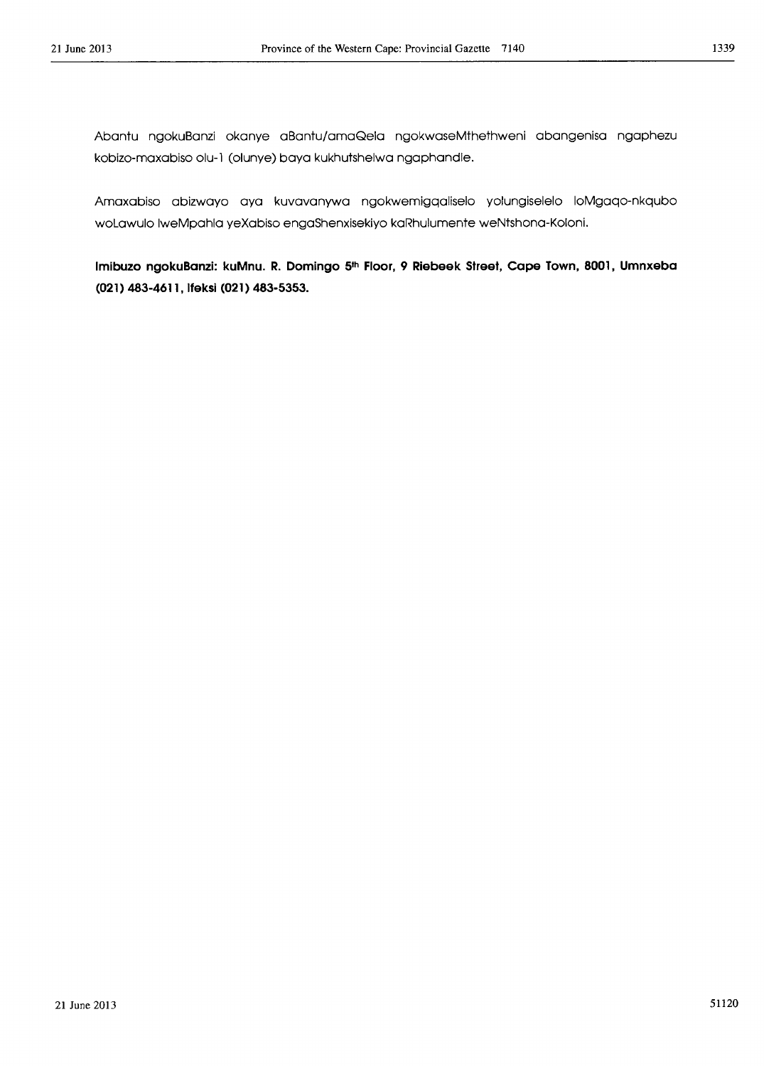Abantu ngokuBanzi okanye aBantu/amaQela ngokwaseMthethweni abangenisa ngaphezu koblzo-maxabiso olu-l (olunye) baya kukhutshelwa ngaphandle.

Amaxabiso abizwayo aya kuvavanywa ngokwemigqaliselo yolungiselelo loMgaqo-nkqubo woLawulo IweMpahla yeXabiso engaShenxisekiyo kaRhulumente weNtshona-Koloni.

**Imlbuzo ngokuBanzi: kuMnu. R. Domingo** 5th **Floor, 9 Rlebeek Street, cape Town, 8001, Umnxeba (021) 483-4611, Ifeksi (021) 483-5353.**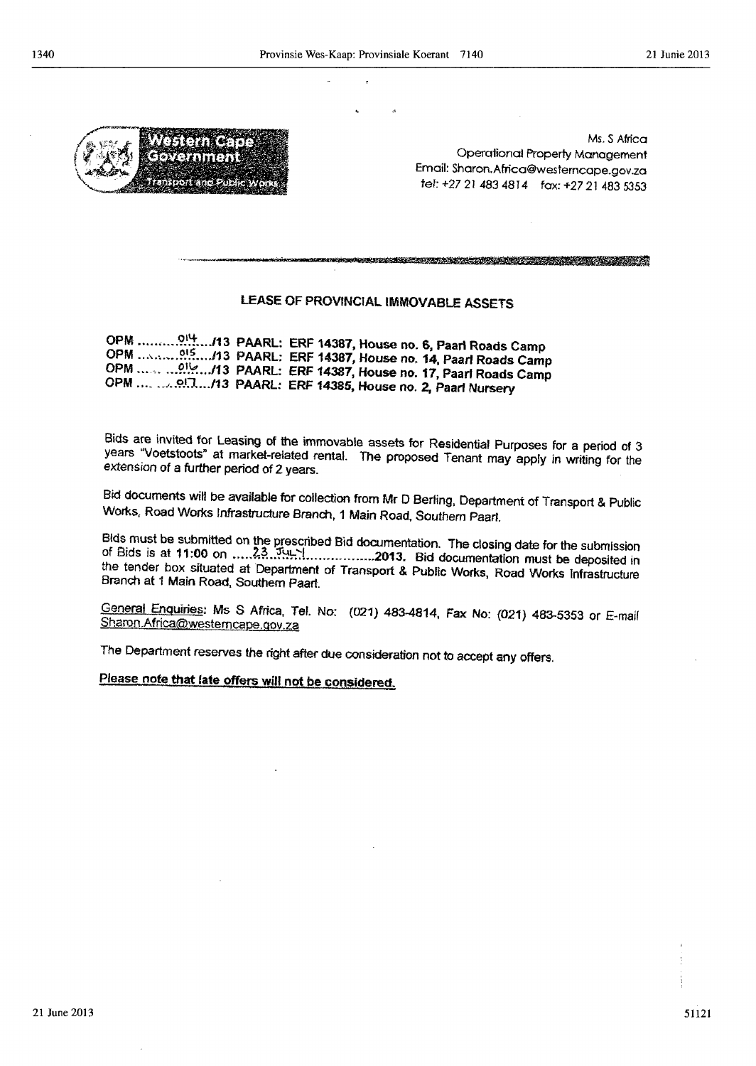

**The Tire. Correntment** off and Dub

Ms. S Africa Operalional Property Management Email: Sharon.Africa@westerncape.gov.zQ tel: +27 21 483 4814 fax: +27 21 483 5353

a se de la constitución de la constitución de la constitución de la constitución de la constitución de la cons

# LEASE OF PROVINCIAL IMMOVABLE ASSETS

OPM ..... , .... 9.'~ *...* .I13 PAARL: ERF 14387, House no. S, Paal1 Roads Camp OPM ... ,.,.~ .. ?1.~ .... 113 PAARL: ERF 14387, House no. 14, Paarl Roads Camp OPM ••• -" .\_.~).~ .. .I13 PAARL: ERF 14387, House no. 17, Paar! Roads Camp OPM .... ... .' .. *9\_0 .... /13* PAARl: ERF 14385, House no. 2, Paarf Nursery

Bids are invited for Leasing of the immovable assets for Residential Purposes for a period of 3 years "Voetstoots" at market-related rental. The proposed Tenant may apply in writing for the extension of a further period of 2 years.

Bld documents will be available for collection from Mr D Berling, Department of Transport & Public Works, Road Works Infrastructure Branch, 1 Main Road, Southern Paarl.

Bids must be submitted on the prescribed Bid documentation. The closing date for the submission of Bids is at 11 :00 on ..... .?~ .. '!~1;;.':L ............... 2013. Bid documentation must be deposited in the tender box situated at Department of Transport & Public Works, Road Works Infrastructure Branch at 1 Main Road, Southern Paarl.

General Enquiries: Ms S Africa, Tel. No: (021) 483-4814, Fax No: {021) 483-5353 or E-maif Sharon Africa@westemcape.gov.za

The Department reserves the right after due consideration not to accept any offers.

Please note that late offers will not be considered.